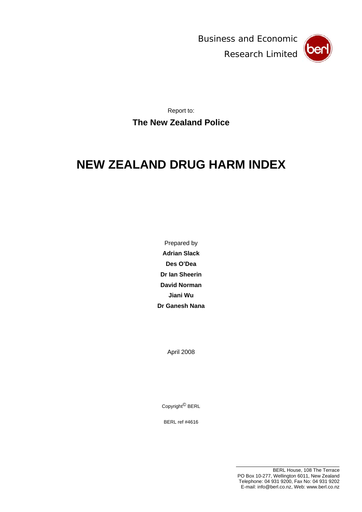Business and Economic Research Limited



Report to: **The New Zealand Police** 

# <span id="page-0-0"></span>**NEW ZEALAND DRUG HARM INDEX**

Prepared by **Adrian Slack Des O'Dea Dr Ian Sheerin David Norman Jiani Wu Dr Ganesh Nana** 

April 2008

Copyright© BERL

BERL ref #4616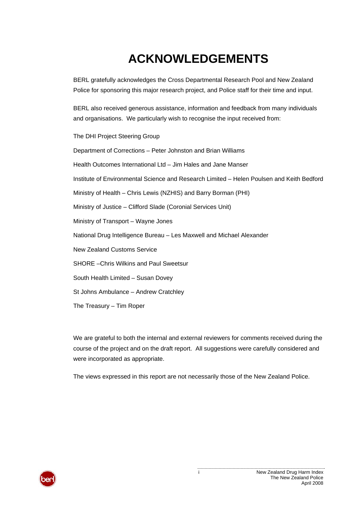# **ACKNOWLEDGEMENTS**

BERL gratefully acknowledges the Cross Departmental Research Pool and New Zealand Police for sponsoring this major research project, and Police staff for their time and input.

BERL also received generous assistance, information and feedback from many individuals and organisations. We particularly wish to recognise the input received from:

The DHI Project Steering Group

Department of Corrections – Peter Johnston and Brian Williams Health Outcomes International Ltd – Jim Hales and Jane Manser Institute of Environmental Science and Research Limited – Helen Poulsen and Keith Bedford Ministry of Health – Chris Lewis (NZHIS) and Barry Borman (PHI) Ministry of Justice – Clifford Slade (Coronial Services Unit) Ministry of Transport – Wayne Jones National Drug Intelligence Bureau – Les Maxwell and Michael Alexander New Zealand Customs Service SHORE –Chris Wilkins and Paul Sweetsur South Health Limited – Susan Dovey St Johns Ambulance – Andrew Cratchley The Treasury – Tim Roper

We are grateful to both the internal and external reviewers for comments received during the course of the project and on the draft report. All suggestions were carefully considered and were incorporated as appropriate.

The views expressed in this report are not necessarily those of the New Zealand Police.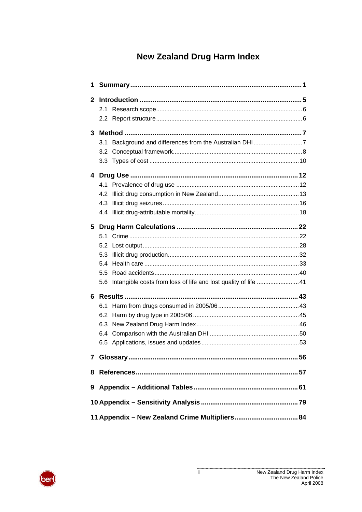# **New Zealand Drug Harm Index**

| $\mathbf{2}$<br>3<br>3.1<br>3.2 |  |
|---------------------------------|--|
|                                 |  |
|                                 |  |
|                                 |  |
|                                 |  |
|                                 |  |
|                                 |  |
|                                 |  |
|                                 |  |
|                                 |  |
|                                 |  |
|                                 |  |
| 4.3                             |  |
|                                 |  |
| 5                               |  |
|                                 |  |
|                                 |  |
| 5.3                             |  |
| 5.4                             |  |
| 5.5                             |  |
| 5.6                             |  |
| 6                               |  |
| 6.1                             |  |
| 6.2                             |  |
| 6.3                             |  |
| 6.4                             |  |
|                                 |  |
|                                 |  |
| 8                               |  |
|                                 |  |
| 9                               |  |
|                                 |  |
|                                 |  |

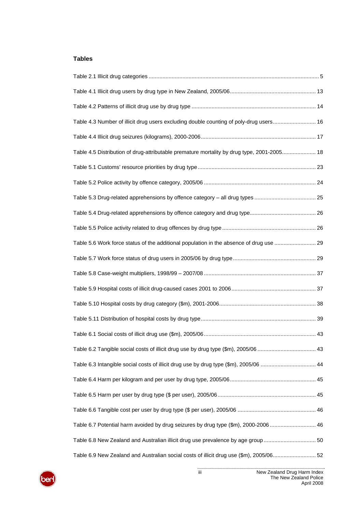### **Tables**

| Table 4.3 Number of illicit drug users excluding double counting of poly-drug users 16     |  |
|--------------------------------------------------------------------------------------------|--|
|                                                                                            |  |
| Table 4.5 Distribution of drug-attributable premature mortality by drug type, 2001-2005 18 |  |
|                                                                                            |  |
|                                                                                            |  |
|                                                                                            |  |
|                                                                                            |  |
|                                                                                            |  |
| Table 5.6 Work force status of the additional population in the absence of drug use  29    |  |
|                                                                                            |  |
|                                                                                            |  |
|                                                                                            |  |
|                                                                                            |  |
|                                                                                            |  |
|                                                                                            |  |
| Table 6.2 Tangible social costs of illicit drug use by drug type (\$m), 2005/06  43        |  |
| Table 6.3 Intangible social costs of illicit drug use by drug type (\$m), 2005/06  44      |  |
|                                                                                            |  |
|                                                                                            |  |
|                                                                                            |  |
| Table 6.7 Potential harm avoided by drug seizures by drug type (\$m), 2000-2006 46         |  |
| Table 6.8 New Zealand and Australian illicit drug use prevalence by age group  50          |  |
| Table 6.9 New Zealand and Australian social costs of illicit drug use (\$m), 2005/06 52    |  |

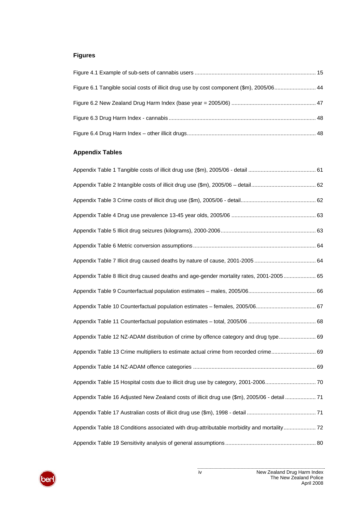# **Figures**

| Figure 6.1 Tangible social costs of illicit drug use by cost component (\$m), 2005/06 44 |  |
|------------------------------------------------------------------------------------------|--|
|                                                                                          |  |
|                                                                                          |  |
|                                                                                          |  |

# **Appendix Tables**

| Appendix Table 8 Illicit drug caused deaths and age-gender mortality rates, 2001-2005 65        |  |
|-------------------------------------------------------------------------------------------------|--|
|                                                                                                 |  |
|                                                                                                 |  |
|                                                                                                 |  |
| Appendix Table 12 NZ-ADAM distribution of crime by offence category and drug type 69            |  |
| Appendix Table 13 Crime multipliers to estimate actual crime from recorded crime 69             |  |
|                                                                                                 |  |
| Appendix Table 15 Hospital costs due to illicit drug use by category, 2001-2006 70              |  |
| 71 Appendix Table 16 Adjusted New Zealand costs of illicit drug use (\$m), 2005/06 - detail  71 |  |
|                                                                                                 |  |
| Appendix Table 18 Conditions associated with drug-attributable morbidity and mortality 72       |  |
|                                                                                                 |  |

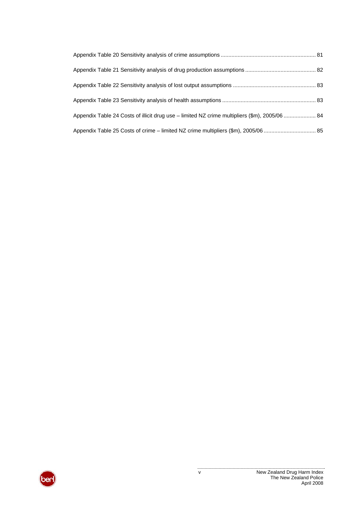| Appendix Table 24 Costs of illicit drug use - limited NZ crime multipliers (\$m), 2005/06  84 |  |
|-----------------------------------------------------------------------------------------------|--|
| Appendix Table 25 Costs of crime - limited NZ crime multipliers (\$m), 2005/06  85            |  |

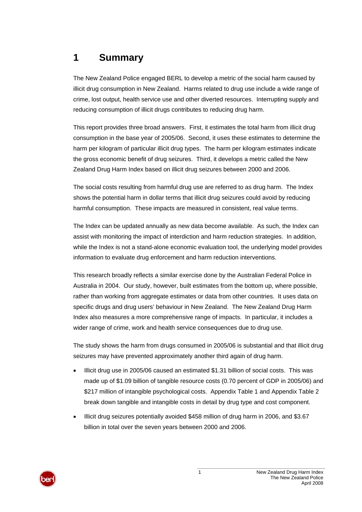# **1 Summary**

The New Zealand Police engaged BERL to develop a metric of the social harm caused by illicit drug consumption in New Zealand. Harms related to drug use include a wide range of crime, lost output, health service use and other diverted resources. Interrupting supply and reducing consumption of illicit drugs contributes to reducing drug harm.

This report provides three broad answers. First, it estimates the total harm from illicit drug consumption in the base year of 2005/06. Second, it uses these estimates to determine the harm per kilogram of particular illicit drug types. The harm per kilogram estimates indicate the gross economic benefit of drug seizures. Third, it develops a metric called the New Zealand Drug Harm Index based on illicit drug seizures between 2000 and 2006.

The social costs resulting from harmful drug use are referred to as drug harm. The Index shows the potential harm in dollar terms that illicit drug seizures could avoid by reducing harmful consumption. These impacts are measured in consistent, real value terms.

The Index can be updated annually as new data become available. As such, the Index can assist with monitoring the impact of interdiction and harm reduction strategies. In addition, while the Index is not a stand-alone economic evaluation tool, the underlying model provides information to evaluate drug enforcement and harm reduction interventions.

This research broadly reflects a similar exercise done by the Australian Federal Police in Australia in 2004. Our study, however, built estimates from the bottom up, where possible, rather than working from aggregate estimates or data from other countries. It uses data on specific drugs and drug users' behaviour in New Zealand. The New Zealand Drug Harm Index also measures a more comprehensive range of impacts. In particular, it includes a wider range of crime, work and health service consequences due to drug use.

The study shows the harm from drugs consumed in 2005/06 is substantial and that illicit drug seizures may have prevented approximately another third again of drug harm.

- Illicit drug use in 2005/06 caused an estimated \$1.31 billion of social costs. This was made up of \$1.09 billion of tangible resource costs (0.70 percent of GDP in 2005/06) and \$217 million of intangible psychological costs. [Appendix Table 1](#page-66-0) and [Appendix Table 2](#page-67-0) break down tangible and intangible costs in detail by drug type and cost component.
- Illicit drug seizures potentially avoided \$458 million of drug harm in 2006, and \$3.67 billion in total over the seven years between 2000 and 2006.

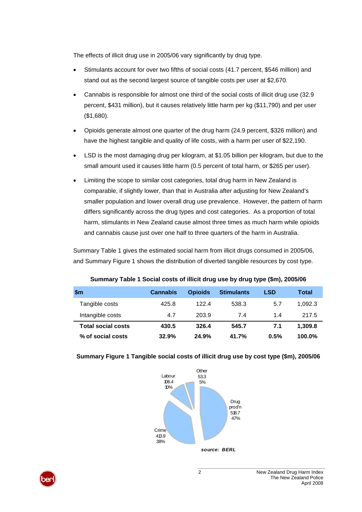The effects of illicit drug use in 2005/06 vary significantly by drug type.

- Stimulants account for over two fifths of social costs (41.7 percent, \$546 million) and stand out as the second largest source of tangible costs per user at \$2,670.
- Cannabis is responsible for almost one third of the social costs of illicit drug use (32.9 percent, \$431 million), but it causes relatively little harm per kg (\$11,790) and per user (\$1,680).
- Opioids generate almost one quarter of the drug harm (24.9 percent, \$326 million) and have the highest tangible and quality of life costs, with a harm per user of \$22,190.
- LSD is the most damaging drug per kilogram, at \$1.05 billion per kilogram, but due to the small amount used it causes little harm (0.5 percent of total harm, or \$265 per user).
- Limiting the scope to similar cost categories, total drug harm in New Zealand is comparable, if slightly lower, than that in Australia after adjusting for New Zealand's smaller population and lower overall drug use prevalence. However, the pattern of harm differs significantly across the drug types and cost categories. As a proportion of total harm, stimulants in New Zealand cause almost three times as much harm while opioids and cannabis cause just over one half to three quarters of the harm in Australia.

[Summary Table 1](#page-7-0) gives the estimated social harm from illicit drugs consumed in 2005/06, and [Summary Figure 1](#page-7-1) shows the distribution of diverted tangible resources by cost type.

<span id="page-7-0"></span>

| \$m                       | <b>Cannabis</b> | <b>Opioids</b> | <b>Stimulants</b> | <b>LSD</b> | Total     |
|---------------------------|-----------------|----------------|-------------------|------------|-----------|
| Tangible costs            | 425.8           | 122.4          | 538.3             | 5.7        | 1.092.3   |
| Intangible costs          | 4.7             | 203.9          | 7.4               | 1.4        | 217.5     |
| <b>Total social costs</b> | 430.5           | 326.4          | 545.7             | 7.1        | 1.309.8   |
| % of social costs         | 32.9%           | 24.9%          | 41.7%             | 0.5%       | $100.0\%$ |

#### **Summary Table 1 Social costs of illicit drug use by drug type (\$m), 2005/06**



#### <span id="page-7-1"></span>**Summary Figure 1 Tangible social costs of illicit drug use by cost type (\$m), 2005/06**

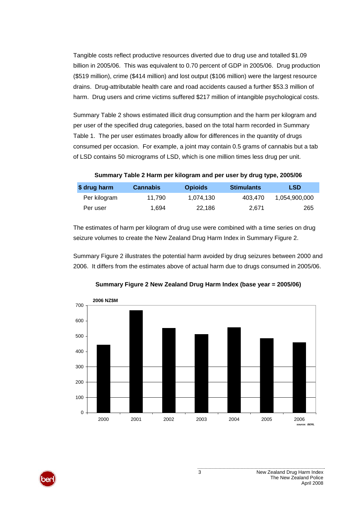Tangible costs reflect productive resources diverted due to drug use and totalled \$1.09 billion in 2005/06. This was equivalent to 0.70 percent of GDP in 2005/06. Drug production (\$519 million), crime (\$414 million) and lost output (\$106 million) were the largest resource drains. Drug-attributable health care and road accidents caused a further \$53.3 million of harm. Drug users and crime victims suffered \$217 million of intangible psychological costs.

[Summary Table 2](#page-8-0) shows estimated illicit drug consumption and the harm per kilogram and per user of the specified drug categories, based on the total harm recorded in [Summary](#page-7-0)  [Table 1.](#page-7-0) The per user estimates broadly allow for differences in the quantity of drugs consumed per occasion. For example, a joint may contain 0.5 grams of cannabis but a tab of LSD contains 50 micrograms of LSD, which is one million times less drug per unit.

**Summary Table 2 Harm per kilogram and per user by drug type, 2005/06** 

<span id="page-8-0"></span>

| \$ drug harm | <b>Cannabis</b> | <b>Opioids</b> | <b>Stimulants</b> | <b>LSD</b>    |
|--------------|-----------------|----------------|-------------------|---------------|
| Per kilogram | 11.790          | 1.074.130      | 403.470           | 1.054.900.000 |
| Per user     | 1.694           | 22.186         | 2.671             | 265           |

The estimates of harm per kilogram of drug use were combined with a time series on drug seizure volumes to create the New Zealand Drug Harm Index in [Summary Figure 2](#page-8-1).

[Summary Figure 2](#page-8-1) illustrates the potential harm avoided by drug seizures between 2000 and 2006. It differs from the estimates above of actual harm due to drugs consumed in 2005/06.

<span id="page-8-1"></span>

**Summary Figure 2 New Zealand Drug Harm Index (base year = 2005/06)**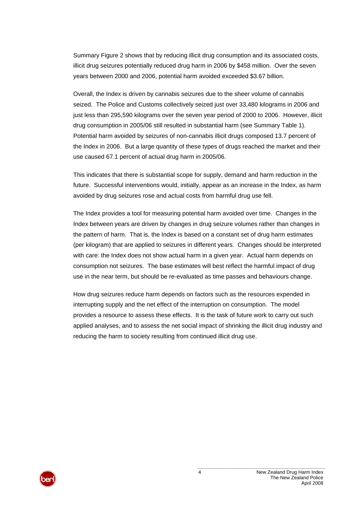[Summary Figure 2](#page-8-1) shows that by reducing illicit drug consumption and its associated costs, illicit drug seizures potentially reduced drug harm in 2006 by \$458 million. Over the seven years between 2000 and 2006, potential harm avoided exceeded \$3.67 billion.

Overall, the Index is driven by cannabis seizures due to the sheer volume of cannabis seized. The Police and Customs collectively seized just over 33,480 kilograms in 2006 and just less than 295,590 kilograms over the seven year period of 2000 to 2006. However, illicit drug consumption in 2005/06 still resulted in substantial harm (see [Summary Table 1](#page-7-0)). Potential harm avoided by seizures of non-cannabis illicit drugs composed 13.7 percent of the Index in 2006. But a large quantity of these types of drugs reached the market and their use caused 67.1 percent of actual drug harm in 2005/06.

This indicates that there is substantial scope for supply, demand and harm reduction in the future. Successful interventions would, initially, appear as an increase in the Index, as harm avoided by drug seizures rose and actual costs from harmful drug use fell.

The Index provides a tool for measuring potential harm avoided over time. Changes in the Index between years are driven by changes in drug seizure volumes rather than changes in the pattern of harm. That is, the Index is based on a constant set of drug harm estimates (per kilogram) that are applied to seizures in different years. Changes should be interpreted with care: the Index does not show actual harm in a given year. Actual harm depends on consumption not seizures. The base estimates will best reflect the harmful impact of drug use in the near term, but should be re-evaluated as time passes and behaviours change.

How drug seizures reduce harm depends on factors such as the resources expended in interrupting supply and the net effect of the interruption on consumption. The model provides a resource to assess these effects. It is the task of future work to carry out such applied analyses, and to assess the net social impact of shrinking the illicit drug industry and reducing the harm to society resulting from continued illicit drug use.

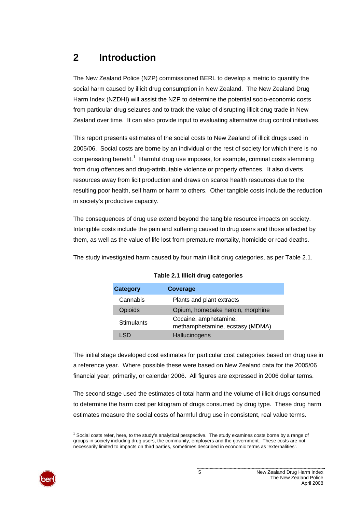# <span id="page-10-0"></span>**2 Introduction**

The New Zealand Police (NZP) commissioned BERL to develop a metric to quantify the social harm caused by illicit drug consumption in New Zealand. The New Zealand Drug Harm Index (NZDHI) will assist the NZP to determine the potential socio-economic costs from particular drug seizures and to track the value of disrupting illicit drug trade in New Zealand over time. It can also provide input to evaluating alternative drug control initiatives.

This report presents estimates of the social costs to New Zealand of illicit drugs used in 2005/06. Social costs are borne by an individual or the rest of society for which there is no compensating benefit.<sup>[1](#page-10-0)</sup> Harmful drug use imposes, for example, criminal costs stemming from drug offences and drug-attributable violence or property offences. It also diverts resources away from licit production and draws on scarce health resources due to the resulting poor health, self harm or harm to others. Other tangible costs include the reduction in society's productive capacity.

The consequences of drug use extend beyond the tangible resource impacts on society. Intangible costs include the pain and suffering caused to drug users and those affected by them, as well as the value of life lost from premature mortality, homicide or road deaths.

<span id="page-10-1"></span>The study investigated harm caused by four main illicit drug categories, as per [Table 2.1.](#page-10-1)

| Category          | Coverage                                                 |
|-------------------|----------------------------------------------------------|
| Cannabis          | Plants and plant extracts                                |
| Opioids           | Opium, homebake heroin, morphine                         |
| <b>Stimulants</b> | Cocaine, amphetamine,<br>methamphetamine, ecstasy (MDMA) |
|                   | Hallucinogens                                            |

| Table 2.1 Illicit drug categories |  |  |
|-----------------------------------|--|--|
|-----------------------------------|--|--|

The initial stage developed cost estimates for particular cost categories based on drug use in a reference year. Where possible these were based on New Zealand data for the 2005/06 financial year, primarily, or calendar 2006. All figures are expressed in 2006 dollar terms.

The second stage used the estimates of total harm and the volume of illicit drugs consumed to determine the harm cost per kilogram of drugs consumed by drug type. These drug harm estimates measure the social costs of harmful drug use in consistent, real value terms.

l <sup>1</sup> Social costs refer, here, to the study's analytical perspective. The study examines costs borne by a range of groups in society including drug users, the community, employers and the government. These costs are not necessarily limited to impacts on third parties, sometimes described in economic terms as 'externalities'.

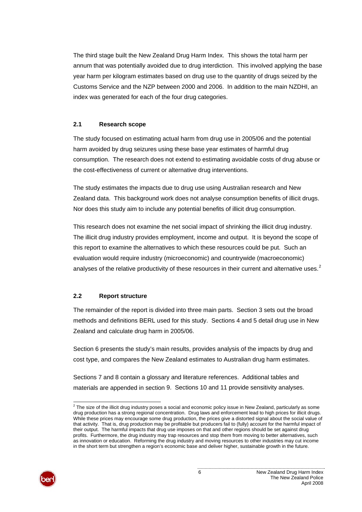<span id="page-11-0"></span>The third stage built the New Zealand Drug Harm Index. This shows the total harm per annum that was potentially avoided due to drug interdiction. This involved applying the base year harm per kilogram estimates based on drug use to the quantity of drugs seized by the Customs Service and the NZP between 2000 and 2006. In addition to the main NZDHI, an index was generated for each of the four drug categories.

#### **2.1 Research scope**

The study focused on estimating actual harm from drug use in 2005/06 and the potential harm avoided by drug seizures using these base year estimates of harmful drug consumption. The research does not extend to estimating avoidable costs of drug abuse or the cost-effectiveness of current or alternative drug interventions.

The study estimates the impacts due to drug use using Australian research and New Zealand data. This background work does not analyse consumption benefits of illicit drugs. Nor does this study aim to include any potential benefits of illicit drug consumption.

This research does not examine the net social impact of shrinking the illicit drug industry. The illicit drug industry provides employment, income and output. It is beyond the scope of this report to examine the alternatives to which these resources could be put. Such an evaluation would require industry (microeconomic) and countrywide (macroeconomic) analyses of the relative productivity of these resources in their current and alternative uses. $2$ 

#### **2.2 Report structure**

The remainder of the report is divided into three main parts. Section [3](#page-12-0) sets out the broad methods and definitions BERL used for this study. Sections [4](#page-27-0) and [5](#page-27-0) detail drug use in New Zealand and calculate drug harm in 2005/06.

Section [6](#page-48-0) presents the study's main results, provides analysis of the impacts by drug and cost type, and compares the New Zealand estimates to Australian drug harm estimates.

Sections [7](#page-62-0) and [8](#page-62-0) contain a glossary and literature references. Additional tables and materials are appended in section [9](#page-66-1). Sections [10](#page-84-0) and [11](#page-89-0) provide sensitivity analyses.

l  $^2$  The size of the illicit drug industry poses a social and economic policy issue in New Zealand, particularly as some drug production has a strong regional concentration. Drug laws and enforcement lead to high prices for illicit drugs. While these prices may encourage some drug production, the prices give a distorted signal about the social value of that activity. That is, drug production may be profitable but producers fail to (fully) account for the harmful impact of their output. The harmful impacts that drug use imposes on that and other regions should be set against drug profits. Furthermore, the drug industry may trap resources and stop them from moving to better alternatives, such as innovation or education. Reforming the drug industry and moving resources to other industries may cut income in the short term but strengthen a region's economic base and deliver higher, sustainable growth in the future.

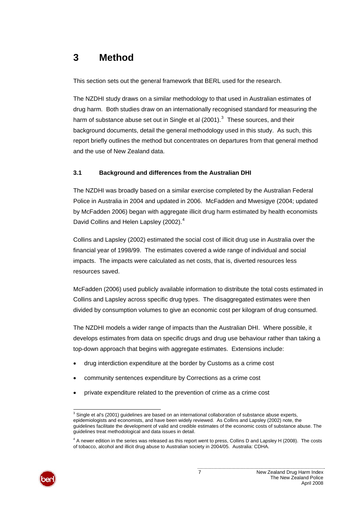# <span id="page-12-1"></span><span id="page-12-0"></span>**3 Method**

This section sets out the general framework that BERL used for the research.

The NZDHI study draws on a similar methodology to that used in Australian estimates of drug harm. Both studies draw on an internationally recognised standard for measuring the harm of substance abuse set out in Single et al (2001).<sup>[3](#page-12-1)</sup> These sources, and their background documents, detail the general methodology used in this study. As such, this report briefly outlines the method but concentrates on departures from that general method and the use of New Zealand data.

### **3.1 Background and differences from the Australian DHI**

The NZDHI was broadly based on a similar exercise completed by the Australian Federal Police in Australia in 2004 and updated in 2006. McFadden and Mwesigye (2004; updated by McFadden 2006) began with aggregate illicit drug harm estimated by health economists David Collins and Helen Lapsley (2002).<sup>[4](#page-12-1)</sup>

Collins and Lapsley (2002) estimated the social cost of illicit drug use in Australia over the financial year of 1998/99. The estimates covered a wide range of individual and social impacts. The impacts were calculated as net costs, that is, diverted resources less resources saved.

McFadden (2006) used publicly available information to distribute the total costs estimated in Collins and Lapsley across specific drug types. The disaggregated estimates were then divided by consumption volumes to give an economic cost per kilogram of drug consumed.

The NZDHI models a wider range of impacts than the Australian DHI. Where possible, it develops estimates from data on specific drugs and drug use behaviour rather than taking a top-down approach that begins with aggregate estimates. Extensions include:

- drug interdiction expenditure at the border by Customs as a crime cost
- community sentences expenditure by Corrections as a crime cost
- private expenditure related to the prevention of crime as a crime cost

<sup>&</sup>lt;sup>4</sup> A newer edition in the series was released as this report went to press, Collins D and Lapsley H (2008). The costs of tobacco, alcohol and illicit drug abuse to Australian society in 2004/05. Australia: CDHA.



 3 Single et al's (2001) guidelines are based on an international collaboration of substance abuse experts, epidemiologists and economists, and have been widely reviewed. As Collins and Lapsley (2002) note, the guidelines facilitate the development of valid and credible estimates of the economic costs of substance abuse. The guidelines treat methodological and data issues in detail.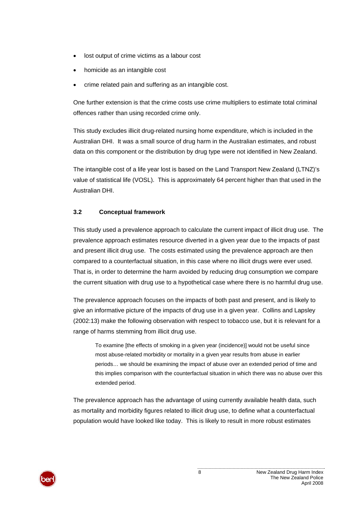- lost output of crime victims as a labour cost
- homicide as an intangible cost
- crime related pain and suffering as an intangible cost.

One further extension is that the crime costs use crime multipliers to estimate total criminal offences rather than using recorded crime only.

This study excludes illicit drug-related nursing home expenditure, which is included in the Australian DHI. It was a small source of drug harm in the Australian estimates, and robust data on this component or the distribution by drug type were not identified in New Zealand.

The intangible cost of a life year lost is based on the Land Transport New Zealand (LTNZ)'s value of statistical life (VOSL). This is approximately 64 percent higher than that used in the Australian DHI.

#### **3.2 Conceptual framework**

This study used a prevalence approach to calculate the current impact of illicit drug use. The prevalence approach estimates resource diverted in a given year due to the impacts of past and present illicit drug use. The costs estimated using the prevalence approach are then compared to a counterfactual situation, in this case where no illicit drugs were ever used. That is, in order to determine the harm avoided by reducing drug consumption we compare the current situation with drug use to a hypothetical case where there is no harmful drug use.

The prevalence approach focuses on the impacts of both past and present, and is likely to give an informative picture of the impacts of drug use in a given year. Collins and Lapsley (2002:13) make the following observation with respect to tobacco use, but it is relevant for a range of harms stemming from illicit drug use.

To examine [the effects of smoking in a given year (incidence)] would not be useful since most abuse-related morbidity or mortality in a given year results from abuse in earlier periods… we should be examining the impact of abuse over an extended period of time and this implies comparison with the counterfactual situation in which there was no abuse over this extended period.

The prevalence approach has the advantage of using currently available health data, such as mortality and morbidity figures related to illicit drug use, to define what a counterfactual population would have looked like today. This is likely to result in more robust estimates

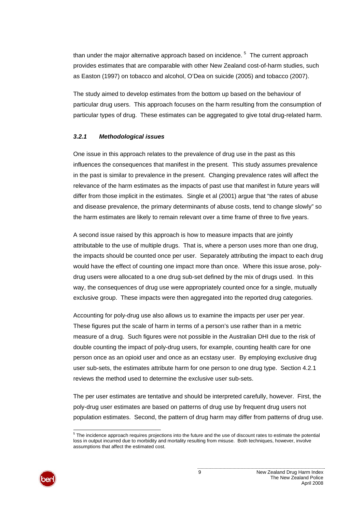<span id="page-14-0"></span>than under the major alternative approach based on incidence.<sup>[5](#page-14-0)</sup> The current approach provides estimates that are comparable with other New Zealand cost-of-harm studies, such as Easton (1997) on tobacco and alcohol, O'Dea on suicide (2005) and tobacco (2007).

The study aimed to develop estimates from the bottom up based on the behaviour of particular drug users. This approach focuses on the harm resulting from the consumption of particular types of drug. These estimates can be aggregated to give total drug-related harm.

#### *3.2.1 Methodological issues*

One issue in this approach relates to the prevalence of drug use in the past as this influences the consequences that manifest in the present. This study assumes prevalence in the past is similar to prevalence in the present. Changing prevalence rates will affect the relevance of the harm estimates as the impacts of past use that manifest in future years will differ from those implicit in the estimates. Single et al (2001) argue that "the rates of abuse and disease prevalence, the primary determinants of abuse costs, tend to change slowly" so the harm estimates are likely to remain relevant over a time frame of three to five years.

A second issue raised by this approach is how to measure impacts that are jointly attributable to the use of multiple drugs. That is, where a person uses more than one drug, the impacts should be counted once per user. Separately attributing the impact to each drug would have the effect of counting one impact more than once. Where this issue arose, polydrug users were allocated to a one drug sub-set defined by the mix of drugs used. In this way, the consequences of drug use were appropriately counted once for a single, mutually exclusive group. These impacts were then aggregated into the reported drug categories.

Accounting for poly-drug use also allows us to examine the impacts per user per year. These figures put the scale of harm in terms of a person's use rather than in a metric measure of a drug. Such figures were not possible in the Australian DHI due to the risk of double counting the impact of poly-drug users, for example, counting health care for one person once as an opioid user and once as an ecstasy user. By employing exclusive drug user sub-sets, the estimates attribute harm for one person to one drug type. Section [4.2.1](#page-19-0) reviews the method used to determine the exclusive user sub-sets.

The per user estimates are tentative and should be interpreted carefully, however. First, the poly-drug user estimates are based on patterns of drug use by frequent drug users not population estimates. Second, the pattern of drug harm may differ from patterns of drug use.



l  $5$  The incidence approach requires projections into the future and the use of discount rates to estimate the potential loss in output incurred due to morbidity and mortality resulting from misuse. Both techniques, however, involve assumptions that affect the estimated cost.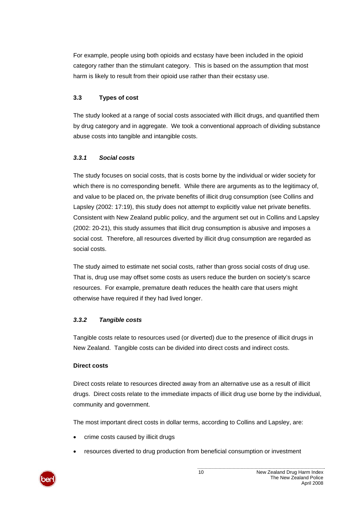For example, people using both opioids and ecstasy have been included in the opioid category rather than the stimulant category. This is based on the assumption that most harm is likely to result from their opioid use rather than their ecstasy use.

# **3.3 Types of cost**

The study looked at a range of social costs associated with illicit drugs, and quantified them by drug category and in aggregate. We took a conventional approach of dividing substance abuse costs into tangible and intangible costs.

### *3.3.1 Social costs*

The study focuses on social costs, that is costs borne by the individual or wider society for which there is no corresponding benefit. While there are arguments as to the legitimacy of, and value to be placed on, the private benefits of illicit drug consumption (see Collins and Lapsley (2002: 17:19), this study does not attempt to explicitly value net private benefits. Consistent with New Zealand public policy, and the argument set out in Collins and Lapsley (2002: 20-21), this study assumes that illicit drug consumption is abusive and imposes a social cost. Therefore, all resources diverted by illicit drug consumption are regarded as social costs.

The study aimed to estimate net social costs, rather than gross social costs of drug use. That is, drug use may offset some costs as users reduce the burden on society's scarce resources. For example, premature death reduces the health care that users might otherwise have required if they had lived longer.

# *3.3.2 Tangible costs*

Tangible costs relate to resources used (or diverted) due to the presence of illicit drugs in New Zealand. Tangible costs can be divided into direct costs and indirect costs.

#### **Direct costs**

Direct costs relate to resources directed away from an alternative use as a result of illicit drugs. Direct costs relate to the immediate impacts of illicit drug use borne by the individual, community and government.

The most important direct costs in dollar terms, according to Collins and Lapsley, are:

- crime costs caused by illicit drugs
- resources diverted to drug production from beneficial consumption or investment

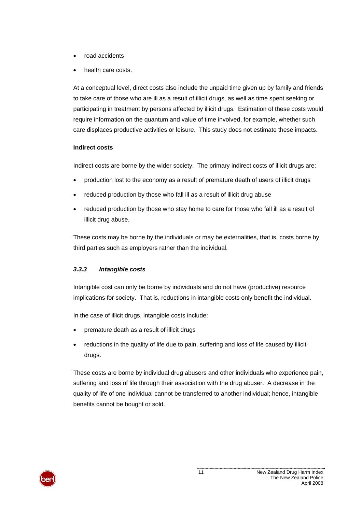- road accidents
- health care costs.

At a conceptual level, direct costs also include the unpaid time given up by family and friends to take care of those who are ill as a result of illicit drugs, as well as time spent seeking or participating in treatment by persons affected by illicit drugs. Estimation of these costs would require information on the quantum and value of time involved, for example, whether such care displaces productive activities or leisure. This study does not estimate these impacts.

#### **Indirect costs**

Indirect costs are borne by the wider society. The primary indirect costs of illicit drugs are:

- production lost to the economy as a result of premature death of users of illicit drugs
- reduced production by those who fall ill as a result of illicit drug abuse
- reduced production by those who stay home to care for those who fall ill as a result of illicit drug abuse.

These costs may be borne by the individuals or may be externalities, that is, costs borne by third parties such as employers rather than the individual.

#### *3.3.3 Intangible costs*

Intangible cost can only be borne by individuals and do not have (productive) resource implications for society. That is, reductions in intangible costs only benefit the individual.

In the case of illicit drugs, intangible costs include:

- premature death as a result of illicit drugs
- reductions in the quality of life due to pain, suffering and loss of life caused by illicit drugs.

These costs are borne by individual drug abusers and other individuals who experience pain, suffering and loss of life through their association with the drug abuser. A decrease in the quality of life of one individual cannot be transferred to another individual; hence, intangible benefits cannot be bought or sold.

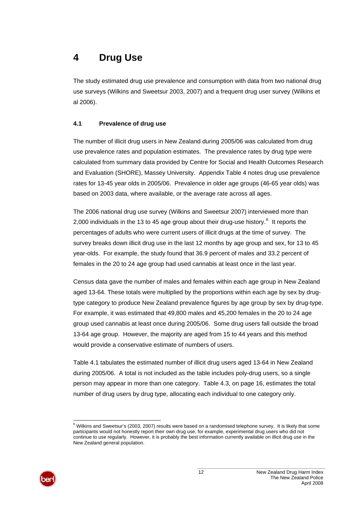# <span id="page-17-0"></span>**4 Drug Use**

The study estimated drug use prevalence and consumption with data from two national drug use surveys (Wilkins and Sweetsur 2003, 2007) and a frequent drug user survey (Wilkins et al 2006).

## **4.1 Prevalence of drug use**

The number of illicit drug users in New Zealand during 2005/06 was calculated from drug use prevalence rates and population estimates. The prevalence rates by drug type were calculated from summary data provided by Centre for Social and Health Outcomes Research and Evaluation (SHORE), Massey University. [Appendix Table 4](#page-68-0) notes drug use prevalence rates for 13-45 year olds in 2005/06. Prevalence in older age groups (46-65 year olds) was based on 2003 data, where available, or the average rate across all ages.

The 2006 national drug use survey (Wilkins and Sweetsur 2007) interviewed more than 2,000 individuals in the 13 to 45 age group about their drug-use history.<sup>[6](#page-17-0)</sup> It reports the percentages of adults who were current users of illicit drugs at the time of survey. The survey breaks down illicit drug use in the last 12 months by age group and sex, for 13 to 45 year-olds. For example, the study found that 36.9 percent of males and 33.2 percent of females in the 20 to 24 age group had used cannabis at least once in the last year.

Census data gave the number of males and females within each age group in New Zealand aged 13-64. These totals were multiplied by the proportions within each age by sex by drugtype category to produce New Zealand prevalence figures by age group by sex by drug-type. For example, it was estimated that 49,800 males and 45,200 females in the 20 to 24 age group used cannabis at least once during 2005/06. Some drug users fall outside the broad 13-64 age group. However, the majority are aged from 15 to 44 years and this method would provide a conservative estimate of numbers of users.

[Table 4.1](#page-18-0) tabulates the estimated number of illicit drug users aged 13-64 in New Zealand during 2005/06. A total is not included as the table includes poly-drug users, so a single person may appear in more than one category. [Table 4.3](#page-21-0), on page [16,](#page-21-0) estimates the total number of drug users by drug type, allocating each individual to one category only.



 6 Wilkins and Sweetsur's (2003, 2007) results were based on a randomised telephone survey. It is likely that some participants would not honestly report their own drug use, for example, experimental drug users who did not continue to use regularly. However, it is probably the best information currently available on illicit drug use in the New Zealand general population.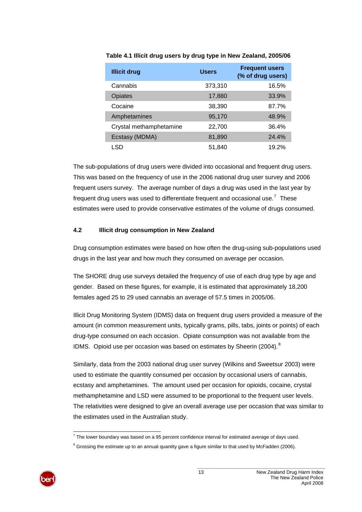| <b>Illicit drug</b>     | <b>Users</b> | <b>Frequent users</b><br>(% of drug users) |
|-------------------------|--------------|--------------------------------------------|
| Cannabis                | 373,310      | 16.5%                                      |
| Opiates                 | 17,880       | 33.9%                                      |
| Cocaine                 | 38,390       | 87.7%                                      |
| Amphetamines            | 95,170       | 48.9%                                      |
| Crystal methamphetamine | 22,700       | 36.4%                                      |
| Ecstasy (MDMA)          | 81,890       | 24.4%                                      |
| LSD                     | 51,840       | 19.2%                                      |

<span id="page-18-1"></span><span id="page-18-0"></span>**Table 4.1 Illicit drug users by drug type in New Zealand, 2005/06** 

The sub-populations of drug users were divided into occasional and frequent drug users. This was based on the frequency of use in the 2006 national drug user survey and 2006 frequent users survey. The average number of days a drug was used in the last year by frequent drug users was used to differentiate frequent and occasional use.<sup>[7](#page-18-1)</sup> These estimates were used to provide conservative estimates of the volume of drugs consumed.

#### **4.2 Illicit drug consumption in New Zealand**

Drug consumption estimates were based on how often the drug-using sub-populations used drugs in the last year and how much they consumed on average per occasion.

The SHORE drug use surveys detailed the frequency of use of each drug type by age and gender. Based on these figures, for example, it is estimated that approximately 18,200 females aged 25 to 29 used cannabis an average of 57.5 times in 2005/06.

Illicit Drug Monitoring System (IDMS) data on frequent drug users provided a measure of the amount (in common measurement units, typically grams, pills, tabs, joints or points) of each drug-type consumed on each occasion. Opiate consumption was not available from the IDMS. Opioid use per occasion was based on estimates by Sheerin (2004).<sup>[8](#page-18-1)</sup>

Similarly, data from the 2003 national drug user survey (Wilkins and Sweetsur 2003) were used to estimate the quantity consumed per occasion by occasional users of cannabis, ecstasy and amphetamines. The amount used per occasion for opioids, cocaine, crystal methamphetamine and LSD were assumed to be proportional to the frequent user levels. The relativities were designed to give an overall average use per occasion that was similar to the estimates used in the Australian study.

 $8$  Grossing the estimate up to an annual quantity gave a figure similar to that used by McFadden (2006).



 7 The lower boundary was based on a 95 percent confidence interval for estimated average of days used.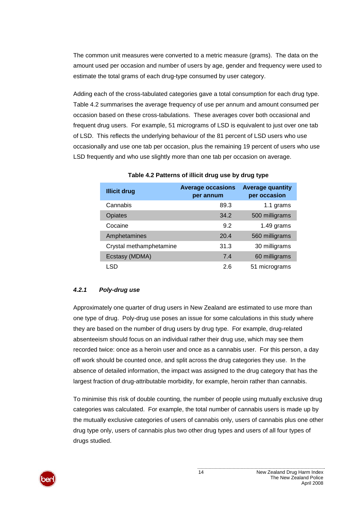The common unit measures were converted to a metric measure (grams). The data on the amount used per occasion and number of users by age, gender and frequency were used to estimate the total grams of each drug-type consumed by user category.

Adding each of the cross-tabulated categories gave a total consumption for each drug type. [Table 4.2](#page-19-1) summarises the average frequency of use per annum and amount consumed per occasion based on these cross-tabulations. These averages cover both occasional and frequent drug users. For example, 51 micrograms of LSD is equivalent to just over one tab of LSD. This reflects the underlying behaviour of the 81 percent of LSD users who use occasionally and use one tab per occasion, plus the remaining 19 percent of users who use LSD frequently and who use slightly more than one tab per occasion on average.

<span id="page-19-1"></span>

| <b>Illicit drug</b>     | <b>Average occasions</b><br>per annum | <b>Average quantity</b><br>per occasion |
|-------------------------|---------------------------------------|-----------------------------------------|
| Cannabis                | 89.3                                  | 1.1 grams                               |
| <b>Opiates</b>          | 34.2                                  | 500 milligrams                          |
| Cocaine                 | 9.2                                   | 1.49 grams                              |
| Amphetamines            | 20.4                                  | 560 milligrams                          |
| Crystal methamphetamine | 31.3                                  | 30 milligrams                           |
| Ecstasy (MDMA)          | 7.4                                   | 60 milligrams                           |
| LSD                     | 2.6                                   | 51 micrograms                           |

#### **Table 4.2 Patterns of illicit drug use by drug type**

#### <span id="page-19-0"></span>*4.2.1 Poly-drug use*

Approximately one quarter of drug users in New Zealand are estimated to use more than one type of drug. Poly-drug use poses an issue for some calculations in this study where they are based on the number of drug users by drug type. For example, drug-related absenteeism should focus on an individual rather their drug use, which may see them recorded twice: once as a heroin user and once as a cannabis user. For this person, a day off work should be counted once, and split across the drug categories they use. In the absence of detailed information, the impact was assigned to the drug category that has the largest fraction of drug-attributable morbidity, for example, heroin rather than cannabis.

To minimise this risk of double counting, the number of people using mutually exclusive drug categories was calculated. For example, the total number of cannabis users is made up by the mutually exclusive categories of users of cannabis only, users of cannabis plus one other drug type only, users of cannabis plus two other drug types and users of all four types of drugs studied.

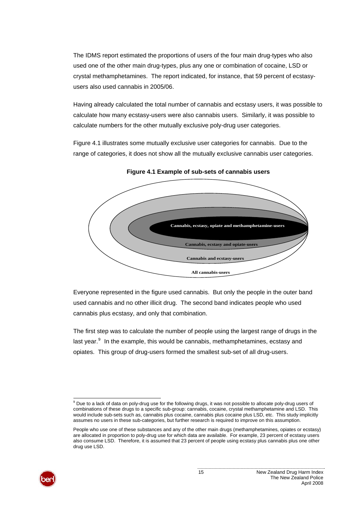<span id="page-20-1"></span>The IDMS report estimated the proportions of users of the four main drug-types who also used one of the other main drug-types, plus any one or combination of cocaine, LSD or crystal methamphetamines. The report indicated, for instance, that 59 percent of ecstasyusers also used cannabis in 2005/06.

Having already calculated the total number of cannabis and ecstasy users, it was possible to calculate how many ecstasy-users were also cannabis users. Similarly, it was possible to calculate numbers for the other mutually exclusive poly-drug user categories.

<span id="page-20-0"></span>[Figure 4.1](#page-20-0) illustrates some mutually exclusive user categories for cannabis. Due to the range of categories, it does not show all the mutually exclusive cannabis user categories.



**Figure 4.1 Example of sub-sets of cannabis users** 

Everyone represented in the figure used cannabis. But only the people in the outer band used cannabis and no other illicit drug. The second band indicates people who used cannabis plus ecstasy, and only that combination.

The first step was to calculate the number of people using the largest range of drugs in the last year.<sup>[9](#page-20-1)</sup> In the example, this would be cannabis, methamphetamines, ecstasy and opiates. This group of drug-users formed the smallest sub-set of all drug-users.

People who use one of these substances and any of the other main drugs (methamphetamines, opiates or ecstasy) are allocated in proportion to poly-drug use for which data are available. For example, 23 percent of ecstasy users also consume LSD. Therefore, it is assumed that 23 percent of people using ecstasy plus cannabis plus one other drug use LSD.



 9 Due to a lack of data on poly-drug use for the following drugs, it was not possible to allocate poly-drug users of combinations of these drugs to a specific sub-group: cannabis, cocaine, crystal methamphetamine and LSD. This would include sub-sets such as, cannabis plus cocaine, cannabis plus cocaine plus LSD, etc. This study implicitly assumes no users in these sub-categories, but further research is required to improve on this assumption.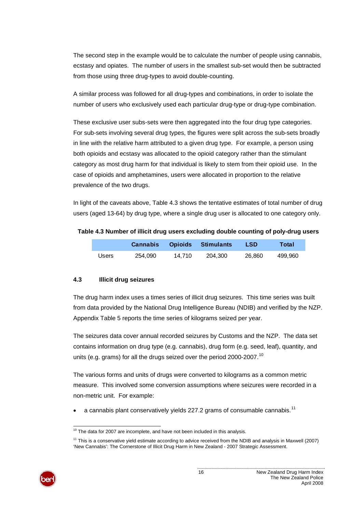<span id="page-21-1"></span>The second step in the example would be to calculate the number of people using cannabis, ecstasy and opiates. The number of users in the smallest sub-set would then be subtracted from those using three drug-types to avoid double-counting.

A similar process was followed for all drug-types and combinations, in order to isolate the number of users who exclusively used each particular drug-type or drug-type combination.

These exclusive user subs-sets were then aggregated into the four drug type categories. For sub-sets involving several drug types, the figures were split across the sub-sets broadly in line with the relative harm attributed to a given drug type. For example, a person using both opioids and ecstasy was allocated to the opioid category rather than the stimulant category as most drug harm for that individual is likely to stem from their opioid use. In the case of opioids and amphetamines, users were allocated in proportion to the relative prevalence of the two drugs.

In light of the caveats above, [Table 4.3](#page-21-0) shows the tentative estimates of total number of drug users (aged 13-64) by drug type, where a single drug user is allocated to one category only.

#### <span id="page-21-0"></span>**Table 4.3 Number of illicit drug users excluding double counting of poly-drug users**

|       | Cannabis |        | <b>Opioids</b> Stimulants | <b>LSD</b> | Total   |
|-------|----------|--------|---------------------------|------------|---------|
| Users | 254.090  | 14.710 | 204.300                   | 26.860     | 499.960 |

#### **4.3 Illicit drug seizures**

The drug harm index uses a times series of illicit drug seizures. This time series was built from data provided by the National Drug Intelligence Bureau (NDIB) and verified by the NZP. [Appendix Table 5](#page-68-1) reports the time series of kilograms seized per year.

The seizures data cover annual recorded seizures by Customs and the NZP. The data set contains information on drug type (e.g. cannabis), drug form (e.g. seed, leaf), quantity, and units (e.g. grams) for all the drugs seized over the period 2000-2007.<sup>[10](#page-21-1)</sup>

The various forms and units of drugs were converted to kilograms as a common metric measure. This involved some conversion assumptions where seizures were recorded in a non-metric unit. For example:

• a cannabis plant conservatively yields 227.2 grams of consumable cannabis.<sup>[11](#page-21-1)</sup>

 $11$  This is a conservative yield estimate according to advice received from the NDIB and analysis in Maxwell (2007) 'New Cannabis': The Cornerstone of Illicit Drug Harm in New Zealand - 2007 Strategic Assessment.



l  $10$  The data for 2007 are incomplete, and have not been included in this analysis.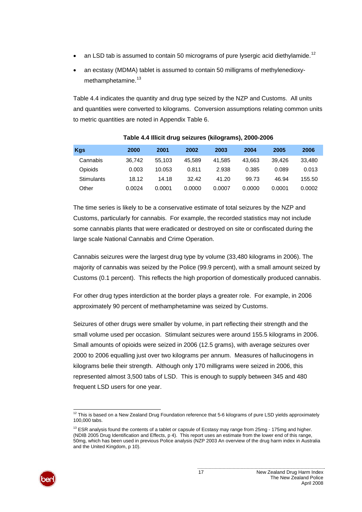- <span id="page-22-0"></span>• an LSD tab is assumed to contain 50 micrograms of pure lysergic acid diethylamide.<sup>[12](#page-22-0)</sup>
- an ecstasy (MDMA) tablet is assumed to contain 50 milligrams of methylenedioxy-methamphetamine.<sup>[13](#page-22-0)</sup>

[Table 4.4](#page-22-1) indicates the quantity and drug type seized by the NZP and Customs. All units and quantities were converted to kilograms. Conversion assumptions relating common units to metric quantities are noted in [Appendix Table 6.](#page-69-0)

<span id="page-22-1"></span>

| <b>Kgs</b>     | 2000   | 2001   | 2002   | 2003   | 2004   | 2005   | 2006   |
|----------------|--------|--------|--------|--------|--------|--------|--------|
| Cannabis       | 36.742 | 55.103 | 45.589 | 41.585 | 43.663 | 39.426 | 33.480 |
| <b>Opioids</b> | 0.003  | 10.053 | 0.811  | 2.938  | 0.385  | 0.089  | 0.013  |
| Stimulants     | 18.12  | 14.18  | 32.42  | 41.20  | 99.73  | 46.94  | 155.50 |
| Other          | 0.0024 | 0.0001 | 0.0000 | 0.0007 | 0.0000 | 0.0001 | 0.0002 |

#### **Table 4.4 Illicit drug seizures (kilograms), 2000-2006**

The time series is likely to be a conservative estimate of total seizures by the NZP and Customs, particularly for cannabis. For example, the recorded statistics may not include some cannabis plants that were eradicated or destroyed on site or confiscated during the large scale National Cannabis and Crime Operation.

Cannabis seizures were the largest drug type by volume (33,480 kilograms in 2006). The majority of cannabis was seized by the Police (99.9 percent), with a small amount seized by Customs (0.1 percent). This reflects the high proportion of domestically produced cannabis.

For other drug types interdiction at the border plays a greater role. For example, in 2006 approximately 90 percent of methamphetamine was seized by Customs.

Seizures of other drugs were smaller by volume, in part reflecting their strength and the small volume used per occasion. Stimulant seizures were around 155.5 kilograms in 2006. Small amounts of opioids were seized in 2006 (12.5 grams), with average seizures over 2000 to 2006 equalling just over two kilograms per annum. Measures of hallucinogens in kilograms belie their strength. Although only 170 milligrams were seized in 2006, this represented almost 3,500 tabs of LSD. This is enough to supply between 345 and 480 frequent LSD users for one year.

<sup>&</sup>lt;sup>13</sup> ESR analysis found the contents of a tablet or capsule of Ecstasy may range from 25mg - 175mg and higher. (NDIB 2005 Drug Identification and Effects, p 4). This report uses an estimate from the lower end of this range, 50mg, which has been used in previous Police analysis (NZP 2003 An overview of the drug harm index in Australia and the United Kingdom, p 10).



l  $12$  This is based on a New Zealand Drug Foundation reference that 5-6 kilograms of pure LSD yields approximately 100,000 tabs.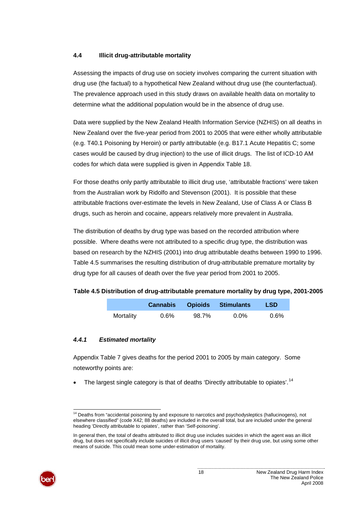#### <span id="page-23-1"></span>**4.4 Illicit drug-attributable mortality**

Assessing the impacts of drug use on society involves comparing the current situation with drug use (the factual) to a hypothetical New Zealand without drug use (the counterfactual). The prevalence approach used in this study draws on available health data on mortality to determine what the additional population would be in the absence of drug use.

Data were supplied by the New Zealand Health Information Service (NZHIS) on all deaths in New Zealand over the five-year period from 2001 to 2005 that were either wholly attributable (e.g. T40.1 Poisoning by Heroin) or partly attributable (e.g. B17.1 Acute Hepatitis C; some cases would be caused by drug injection) to the use of illicit drugs. The list of ICD-10 AM codes for which data were supplied is given in [Appendix Table 18.](#page-77-0)

For those deaths only partly attributable to illicit drug use, 'attributable fractions' were taken from the Australian work by Ridolfo and Stevenson (2001). It is possible that these attributable fractions over-estimate the levels in New Zealand, Use of Class A or Class B drugs, such as heroin and cocaine, appears relatively more prevalent in Australia.

The distribution of deaths by drug type was based on the recorded attribution where possible. Where deaths were not attributed to a specific drug type, the distribution was based on research by the NZHIS (2001) into drug attributable deaths between 1990 to 1996. [Table 4.5](#page-23-0) summarises the resulting distribution of drug-attributable premature mortality by drug type for all causes of death over the five year period from 2001 to 2005.

#### <span id="page-23-0"></span>**Table 4.5 Distribution of drug-attributable premature mortality by drug type, 2001-2005**

|           | <b>Cannabis</b> |       | <b>Opioids</b> Stimulants | <b>LSD</b> |
|-----------|-----------------|-------|---------------------------|------------|
| Mortality | $0.6\%$         | 98.7% | $0.0\%$                   | $0.6\%$    |

#### *4.4.1 Estimated mortality*

[Appendix Table 7](#page-69-1) gives deaths for the period 2001 to 2005 by main category. Some noteworthy points are:

• The largest single category is that of deaths 'Directly attributable to opiates'.<sup>[14](#page-23-1)</sup>

In general then, the total of deaths attributed to illicit drug use includes suicides in which the agent was an illicit drug, but does not specifically include suicides of illicit drug users 'caused' by their drug use, but using some other means of suicide. This could mean some under-estimation of mortality.



l <sup>14</sup> Deaths from "accidental poisoning by and exposure to narcotics and psychodysleptics (hallucinogens), not elsewhere classified" (code X42; 88 deaths) are included in the overall total, but are included under the general heading 'Directly attributable to opiates', rather than 'Self-poisoning'.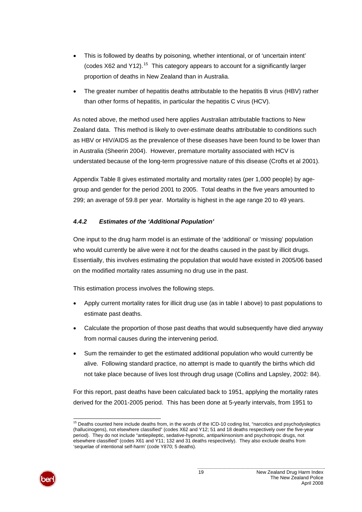- <span id="page-24-0"></span>• This is followed by deaths by poisoning, whether intentional, or of 'uncertain intent' (codes  $X62$  and  $Y12$ ).<sup>[15](#page-24-0)</sup> This category appears to account for a significantly larger proportion of deaths in New Zealand than in Australia.
- The greater number of hepatitis deaths attributable to the hepatitis B virus (HBV) rather than other forms of hepatitis, in particular the hepatitis C virus (HCV).

As noted above, the method used here applies Australian attributable fractions to New Zealand data. This method is likely to over-estimate deaths attributable to conditions such as HBV or HIV/AIDS as the prevalence of these diseases have been found to be lower than in Australia (Sheerin 2004). However, premature mortality associated with HCV is understated because of the long-term progressive nature of this disease (Crofts et al 2001).

[Appendix Table 8](#page-70-0) gives estimated mortality and mortality rates (per 1,000 people) by agegroup and gender for the period 2001 to 2005. Total deaths in the five years amounted to 299; an average of 59.8 per year. Mortality is highest in the age range 20 to 49 years.

### *4.4.2 Estimates of the 'Additional Population'*

One input to the drug harm model is an estimate of the 'additional' or 'missing' population who would currently be alive were it not for the deaths caused in the past by illicit drugs. Essentially, this involves estimating the population that would have existed in 2005/06 based on the modified mortality rates assuming no drug use in the past.

This estimation process involves the following steps.

- Apply current mortality rates for illicit drug use (as in table I above) to past populations to estimate past deaths.
- Calculate the proportion of those past deaths that would subsequently have died anyway from normal causes during the intervening period.
- Sum the remainder to get the estimated additional population who would currently be alive. Following standard practice, no attempt is made to quantify the births which did not take place because of lives lost through drug usage (Collins and Lapsley, 2002: 84).

For this report, past deaths have been calculated back to 1951, applying the mortality rates derived for the 2001-2005 period. This has been done at 5-yearly intervals, from 1951 to

 $15$  Deaths counted here include deaths from, in the words of the ICD-10 coding list, "narcotics and psychodysleptics (hallucinogens), not elsewhere classified" (codes X62 and Y12; 51 and 18 deaths respectively over the five-year period). They do not include "antiepileptic, sedative-hypnotic, antiparkinsonism and psychotropic drugs, not elsewhere classified" (codes X61 and Y11; 132 and 31 deaths respectively). They also exclude deaths from 'sequelae of intentional self-harm' (code Y870; 5 deaths).



l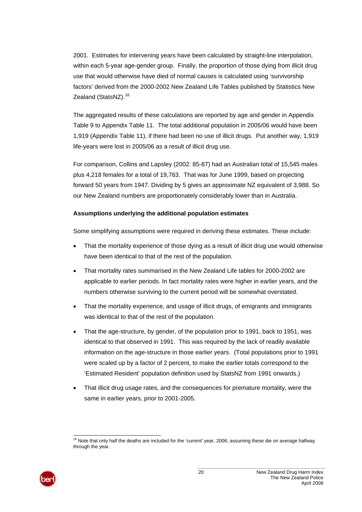<span id="page-25-0"></span>2001. Estimates for intervening years have been calculated by straight-line interpolation, within each 5-year age-gender group. Finally, the proportion of those dying from illicit drug use that would otherwise have died of normal causes is calculated using 'survivorship factors' derived from the 2000-2002 New Zealand Life Tables published by Statistics New Zealand (StatsNZ).<sup>[16](#page-25-0)</sup>

The aggregated results of these calculations are reported by age and gender in [Appendix](#page-71-0)  [Table 9](#page-71-0) to [Appendix Table 11](#page-73-0). The total additional population in 2005/06 would have been 1,919 ([Appendix Table 11](#page-73-0)), if there had been no use of illicit drugs. Put another way, 1,919 life-years were lost in 2005/06 as a result of illicit drug use.

For comparison, Collins and Lapsley (2002: 85-87) had an Australian total of 15,545 males plus 4,218 females for a total of 19,763. That was for June 1999, based on projecting forward 50 years from 1947. Dividing by 5 gives an approximate NZ equivalent of 3,988. So our New Zealand numbers are proportionately considerably lower than in Australia.

#### **Assumptions underlying the additional population estimates**

Some simplifying assumptions were required in deriving these estimates. These include:

- That the mortality experience of those dying as a result of illicit drug use would otherwise have been identical to that of the rest of the population.
- That mortality rates summarised in the New Zealand Life tables for 2000-2002 are applicable to earlier periods. In fact mortality rates were higher in earlier years, and the numbers otherwise surviving to the current period will be somewhat overstated.
- That the mortality experience, and usage of illicit drugs, of emigrants and immigrants was identical to that of the rest of the population.
- That the age-structure, by gender, of the population prior to 1991, back to 1951, was identical to that observed in 1991. This was required by the lack of readily available information on the age-structure in those earlier years. (Total populations prior to 1991 were scaled up by a factor of 2 percent, to make the earlier totals correspond to the 'Estimated Resident' population definition used by StatsNZ from 1991 onwards.)
- That illicit drug usage rates, and the consequences for premature mortality, were the same in earlier years, prior to 2001-2005.

l  $16$  Note that only half the deaths are included for the 'current' year, 2006; assuming these die on average halfway through the year.

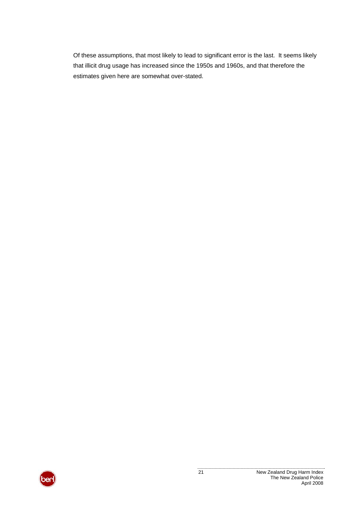Of these assumptions, that most likely to lead to significant error is the last. It seems likely that illicit drug usage has increased since the 1950s and 1960s, and that therefore the estimates given here are somewhat over-stated.

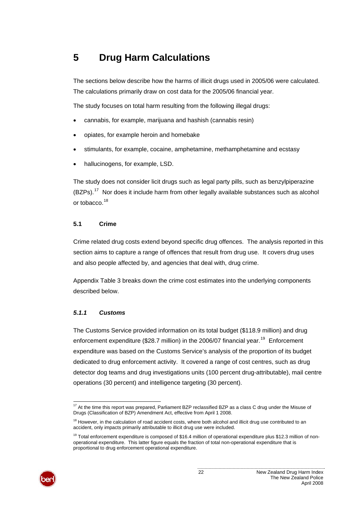# <span id="page-27-1"></span><span id="page-27-0"></span>**5 Drug Harm Calculations**

The sections below describe how the harms of illicit drugs used in 2005/06 were calculated. The calculations primarily draw on cost data for the 2005/06 financial year.

The study focuses on total harm resulting from the following illegal drugs:

- cannabis, for example, marijuana and hashish (cannabis resin)
- opiates, for example heroin and homebake
- stimulants, for example, cocaine, amphetamine, methamphetamine and ecstasy
- hallucinogens, for example, LSD.

The study does not consider licit drugs such as legal party pills, such as benzylpiperazine  $(BZPs).<sup>17</sup>$  $(BZPs).<sup>17</sup>$  $(BZPs).<sup>17</sup>$  Nor does it include harm from other legally available substances such as alcohol or tobacco.<sup>[18](#page-27-1)</sup>

#### **5.1 Crime**

Crime related drug costs extend beyond specific drug offences. The analysis reported in this section aims to capture a range of offences that result from drug use. It covers drug uses and also people affected by, and agencies that deal with, drug crime.

[Appendix Table 3](#page-67-1) breaks down the crime cost estimates into the underlying components described below.

#### *5.1.1 Customs*

The Customs Service provided information on its total budget (\$118.9 million) and drug enforcement expenditure (\$28.7 million) in the 2006/07 financial year.<sup>[19](#page-27-1)</sup> Enforcement expenditure was based on the Customs Service's analysis of the proportion of its budget dedicated to drug enforcement activity. It covered a range of cost centres, such as drug detector dog teams and drug investigations units (100 percent drug-attributable), mail centre operations (30 percent) and intelligence targeting (30 percent).

<sup>&</sup>lt;sup>19</sup> Total enforcement expenditure is composed of \$16.4 million of operational expenditure plus \$12.3 million of nonoperational expenditure. This latter figure equals the fraction of total non-operational expenditure that is proportional to drug enforcement operational expenditure.



l  $17$  At the time this report was prepared, Parliament BZP reclassified BZP as a class C drug under the Misuse of Drugs (Classification of BZP) Amendment Act, effective from April 1 2008.

 $18$  However, in the calculation of road accident costs, where both alcohol and illicit drug use contributed to an accident, only impacts primarily attributable to illicit drug use were included.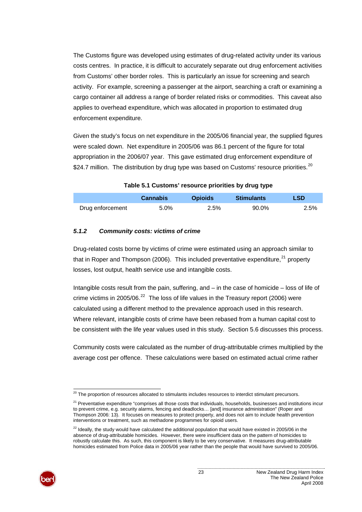<span id="page-28-0"></span>The Customs figure was developed using estimates of drug-related activity under its various costs centres. In practice, it is difficult to accurately separate out drug enforcement activities from Customs' other border roles. This is particularly an issue for screening and search activity. For example, screening a passenger at the airport, searching a craft or examining a cargo container all address a range of border related risks or commodities. This caveat also applies to overhead expenditure, which was allocated in proportion to estimated drug enforcement expenditure.

Given the study's focus on net expenditure in the 2005/06 financial year, the supplied figures were scaled down. Net expenditure in 2005/06 was 86.1 percent of the figure for total appropriation in the 2006/07 year. This gave estimated drug enforcement expenditure of \$24.7 million. The distribution by drug type was based on Customs' resource priorities.<sup>[20](#page-28-0)</sup>

|                  | <b>Cannabis</b> | <b>Opioids</b> | <b>Stimulants</b> | LSD  |
|------------------|-----------------|----------------|-------------------|------|
| Drug enforcement | 5.0%            | 2.5%           | 90.0%             | 2.5% |

#### **Table 5.1 Customs' resource priorities by drug type**

#### *5.1.2 Community costs: victims of crime*

Drug-related costs borne by victims of crime were estimated using an approach similar to that in Roper and Thompson (2006). This included preventative expenditure, $^{21}$  $^{21}$  $^{21}$  property losses, lost output, health service use and intangible costs.

Intangible costs result from the pain, suffering, and – in the case of homicide – loss of life of crime victims in 2005/06. $^{22}$  $^{22}$  $^{22}$  The loss of life values in the Treasury report (2006) were calculated using a different method to the prevalence approach used in this research. Where relevant, intangible costs of crime have been rebased from a human capital cost to be consistent with the life year values used in this study. Section [5.6](#page-46-0) discusses this process.

Community costs were calculated as the number of drug-attributable crimes multiplied by the average cost per offence. These calculations were based on estimated actual crime rather

<sup>&</sup>lt;sup>22</sup> Ideally, the study would have calculated the additional population that would have existed in 2005/06 in the absence of drug-attributable homicides. However, there were insufficient data on the pattern of homicides to robustly calculate this. As such, this component is likely to be very conservative. It measures drug-attributable homicides estimated from Police data in 2005/06 year rather than the people that would have survived to 2005/06.



l

 $^{20}$  The proportion of resources allocated to stimulants includes resources to interdict stimulant precursors.

<sup>&</sup>lt;sup>21</sup> Preventative expenditure "comprises all those costs that individuals, households, businesses and institutions incur to prevent crime, e.g. security alarms, fencing and deadlocks… [and] insurance administration" (Roper and Thompson 2006: 13). It focuses on measures to protect property, and does not aim to include health prevention interventions or treatment, such as methadone programmes for opioid users.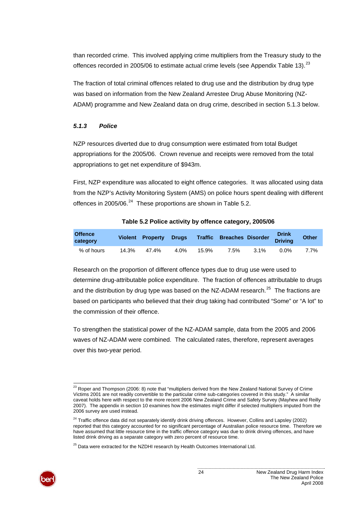<span id="page-29-0"></span>than recorded crime. This involved applying crime multipliers from the Treasury study to the offences recorded in 2005/06 to estimate actual crime levels (see [Appendix Table 13\)](#page-74-0). $^{23}$  $^{23}$  $^{23}$ 

The fraction of total criminal offences related to drug use and the distribution by drug type was based on information from the New Zealand Arrestee Drug Abuse Monitoring (NZ-ADAM) programme and New Zealand data on drug crime, described in section [5.1.3](#page-29-1) [below.](#page-29-1)

### <span id="page-29-1"></span>*5.1.3 Police*

NZP resources diverted due to drug consumption were estimated from total Budget appropriations for the 2005/06. Crown revenue and receipts were removed from the total appropriations to get net expenditure of \$943m.

First, NZP expenditure was allocated to eight offence categories. It was allocated using data from the NZP's Activity Monitoring System (AMS) on police hours spent dealing with different offences in 2005/06. $^{24}$  $^{24}$  $^{24}$  These proportions are shown in [Table 5.2.](#page-29-2)

<span id="page-29-2"></span>

| <b>Offence</b><br>category |       | <b>Violent Property Drugs</b> |      |       | Traffic Breaches Disorder |         | <b>Drink</b><br><b>Driving</b> | <b>Other</b> |
|----------------------------|-------|-------------------------------|------|-------|---------------------------|---------|--------------------------------|--------------|
| % of hours                 | 14.3% | 47.4%                         | 4.0% | 15.9% | 7.5%                      | $3.1\%$ | $0.0\%$                        | 7.7%         |

#### **Table 5.2 Police activity by offence category, 2005/06**

Research on the proportion of different offence types due to drug use were used to determine drug-attributable police expenditure. The fraction of offences attributable to drugs and the distribution by drug type was based on the NZ-ADAM research.<sup>[25](#page-29-0)</sup> The fractions are based on participants who believed that their drug taking had contributed "Some" or "A lot" to the commission of their offence.

To strengthen the statistical power of the NZ-ADAM sample, data from the 2005 and 2006 waves of NZ-ADAM were combined. The calculated rates, therefore, represent averages over this two-year period.

 $25$  Data were extracted for the NZDHI research by Health Outcomes International Ltd.



l  $^{23}$  Roper and Thompson (2006: 8) note that "multipliers derived from the New Zealand National Survey of Crime Victims 2001 are not readily convertible to the particular crime sub-categories covered in this study." A similar caveat holds here with respect to the more recent 2006 New Zealand Crime and Safety Survey (Mayhew and Reilly 2007). The appendix in section 10 examines how the estimates might differ if selected multipliers imputed from the 2006 survey are used instead.

<sup>&</sup>lt;sup>24</sup> Traffic offence data did not separately identify drink driving offences. However, Collins and Lapsley (2002) reported that this category accounted for no significant percentage of Australian police resource time. Therefore we have assumed that little resource time in the traffic offence category was due to drink driving offences, and have listed drink driving as a separate category with zero percent of resource time.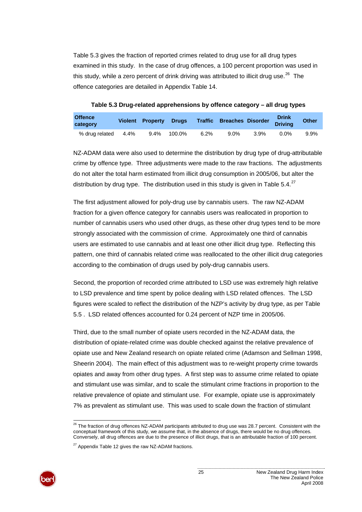<span id="page-30-0"></span>[Table 5.3](#page-30-1) gives the fraction of reported crimes related to drug use for all drug types examined in this study. In the case of drug offences, a 100 percent proportion was used in this study, while a zero percent of drink driving was attributed to illicit drug use.<sup>[26](#page-30-0)</sup> The offence categories are detailed in [Appendix Table 14](#page-74-1).

**Table 5.3 Drug-related apprehensions by offence category – all drug types** 

<span id="page-30-1"></span>

| <b>Offence</b><br>category |      | Violent Property Drugs |        |      | <b>Traffic Breaches Disorder</b> |      | <b>Drink</b><br><b>Driving</b> | <b>Other</b> |
|----------------------------|------|------------------------|--------|------|----------------------------------|------|--------------------------------|--------------|
| % drug related             | 4.4% | $9.4\%$                | 100.0% | 6.2% | $9.0\%$                          | 3.9% | 0.0%                           | 9.9%         |

NZ-ADAM data were also used to determine the distribution by drug type of drug-attributable crime by offence type. Three adjustments were made to the raw fractions. The adjustments do not alter the total harm estimated from illicit drug consumption in 2005/06, but alter the distribution by drug type. The distribution used in this study is given in [Table 5.4.](#page-31-0) $^{27}$  $^{27}$  $^{27}$ 

The first adjustment allowed for poly-drug use by cannabis users. The raw NZ-ADAM fraction for a given offence category for cannabis users was reallocated in proportion to number of cannabis users who used other drugs, as these other drug types tend to be more strongly associated with the commission of crime. Approximately one third of cannabis users are estimated to use cannabis and at least one other illicit drug type. Reflecting this pattern, one third of cannabis related crime was reallocated to the other illicit drug categories according to the combination of drugs used by poly-drug cannabis users.

Second, the proportion of recorded crime attributed to LSD use was extremely high relative to LSD prevalence and time spent by police dealing with LSD related offences. The LSD figures were scaled to reflect the distribution of the NZP's activity by drug type, as per [Table](#page-31-1)  [5.5](#page-31-1) . LSD related offences accounted for 0.24 percent of NZP time in 2005/06.

Third, due to the small number of opiate users recorded in the NZ-ADAM data, the distribution of opiate-related crime was double checked against the relative prevalence of opiate use and New Zealand research on opiate related crime (Adamson and Sellman 1998, Sheerin 2004). The main effect of this adjustment was to re-weight property crime towards opiates and away from other drug types. A first step was to assume crime related to opiate and stimulant use was similar, and to scale the stimulant crime fractions in proportion to the relative prevalence of opiate and stimulant use. For example, opiate use is approximately 7% as prevalent as stimulant use. This was used to scale down the fraction of stimulant

 $27$  Appendix Table 12 gives the raw NZ-ADAM fractions.



l  $^{26}$  The fraction of drug offences NZ-ADAM participants attributed to drug use was 28.7 percent. Consistent with the conceptual framework of this study, we assume that, in the absence of drugs, there would be no drug offences. Conversely, all drug offences are due to the presence of illicit drugs, that is an attributable fraction of 100 percent.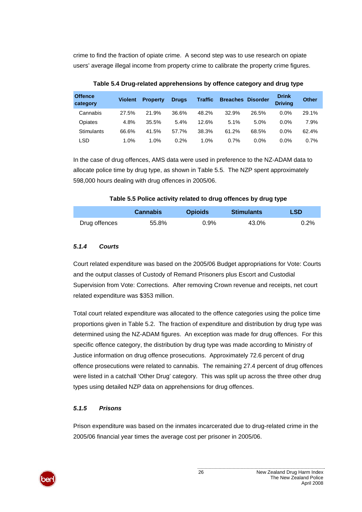crime to find the fraction of opiate crime. A second step was to use research on opiate users' average illegal income from property crime to calibrate the property crime figures.

<span id="page-31-0"></span>

| <b>Offence</b><br>category | <b>Violent</b> | <b>Property</b> | <b>Drugs</b> | <b>Traffic</b> | <b>Breaches</b> | <b>Disorder</b> | <b>Drink</b><br><b>Driving</b> | <b>Other</b> |
|----------------------------|----------------|-----------------|--------------|----------------|-----------------|-----------------|--------------------------------|--------------|
| Cannabis                   | 27.5%          | 21.9%           | 36.6%        | 48.2%          | 32.9%           | 26.5%           | 0.0%                           | 29.1%        |
| Opiates                    | 4.8%           | 35.5%           | 5.4%         | 12.6%          | 5.1%            | 5.0%            | $0.0\%$                        | 7.9%         |
| <b>Stimulants</b>          | 66.6%          | 41.5%           | 57.7%        | 38.3%          | 61.2%           | 68.5%           | 0.0%                           | 62.4%        |
| LSD                        | 1.0%           | 1.0%            | 0.2%         | 1.0%           | 0.7%            | $0.0\%$         | 0.0%                           | 0.7%         |

**Table 5.4 Drug-related apprehensions by offence category and drug type** 

In the case of drug offences, AMS data were used in preference to the NZ-ADAM data to allocate police time by drug type, as shown in [Table 5.5.](#page-31-1) The NZP spent approximately 598,000 hours dealing with drug offences in 2005/06.

#### **Table 5.5 Police activity related to drug offences by drug type**

<span id="page-31-1"></span>

|               | <b>Cannabis</b> | <b>Opioids</b> | <b>Stimulants</b> | <b>LSD</b> |
|---------------|-----------------|----------------|-------------------|------------|
| Drug offences | 55.8%           | 0.9%           | 43.0%             | $0.2\%$    |

### *5.1.4 Courts*

Court related expenditure was based on the 2005/06 Budget appropriations for Vote: Courts and the output classes of Custody of Remand Prisoners plus Escort and Custodial Supervision from Vote: Corrections. After removing Crown revenue and receipts, net court related expenditure was \$353 million.

Total court related expenditure was allocated to the offence categories using the police time proportions given in [Table 5.2](#page-29-2). The fraction of expenditure and distribution by drug type was determined using the NZ-ADAM figures. An exception was made for drug offences. For this specific offence category, the distribution by drug type was made according to Ministry of Justice information on drug offence prosecutions. Approximately 72.6 percent of drug offence prosecutions were related to cannabis. The remaining 27.4 percent of drug offences were listed in a catchall 'Other Drug' category. This was split up across the three other drug types using detailed NZP data on apprehensions for drug offences.

# *5.1.5 Prisons*

Prison expenditure was based on the inmates incarcerated due to drug-related crime in the 2005/06 financial year times the average cost per prisoner in 2005/06.

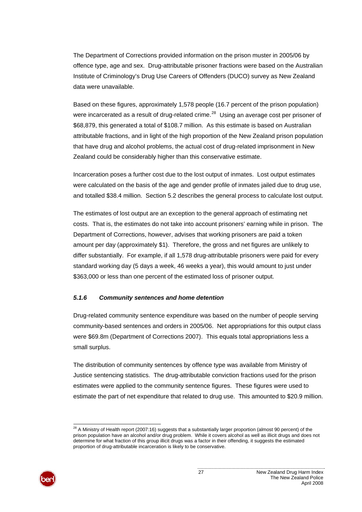<span id="page-32-0"></span>The Department of Corrections provided information on the prison muster in 2005/06 by offence type, age and sex. Drug-attributable prisoner fractions were based on the Australian Institute of Criminology's Drug Use Careers of Offenders (DUCO) survey as New Zealand data were unavailable.

Based on these figures, approximately 1,578 people (16.7 percent of the prison population) were incarcerated as a result of drug-related crime.<sup>[28](#page-32-0)</sup> Using an average cost per prisoner of \$68,879, this generated a total of \$108.7 million. As this estimate is based on Australian attributable fractions, and in light of the high proportion of the New Zealand prison population that have drug and alcohol problems, the actual cost of drug-related imprisonment in New Zealand could be considerably higher than this conservative estimate.

Incarceration poses a further cost due to the lost output of inmates. Lost output estimates were calculated on the basis of the age and gender profile of inmates jailed due to drug use, and totalled \$38.4 million. Section [5.2](#page-33-0) describes the general process to calculate lost output.

The estimates of lost output are an exception to the general approach of estimating net costs. That is, the estimates do not take into account prisoners' earning while in prison. The Department of Corrections, however, advises that working prisoners are paid a token amount per day (approximately \$1). Therefore, the gross and net figures are unlikely to differ substantially. For example, if all 1,578 drug-attributable prisoners were paid for every standard working day (5 days a week, 46 weeks a year), this would amount to just under \$363,000 or less than one percent of the estimated loss of prisoner output.

#### *5.1.6 Community sentences and home detention*

Drug-related community sentence expenditure was based on the number of people serving community-based sentences and orders in 2005/06. Net appropriations for this output class were \$69.8m (Department of Corrections 2007). This equals total appropriations less a small surplus.

The distribution of community sentences by offence type was available from Ministry of Justice sentencing statistics. The drug-attributable conviction fractions used for the prison estimates were applied to the community sentence figures. These figures were used to estimate the part of net expenditure that related to drug use. This amounted to \$20.9 million.

l  $^{28}$  A Ministry of Health report (2007:16) suggests that a substantially larger proportion (almost 90 percent) of the prison population have an alcohol and/or drug problem. While it covers alcohol as well as illicit drugs and does not determine for what fraction of this group illicit drugs was a factor in their offending, it suggests the estimated proportion of drug-attributable incarceration is likely to be conservative.

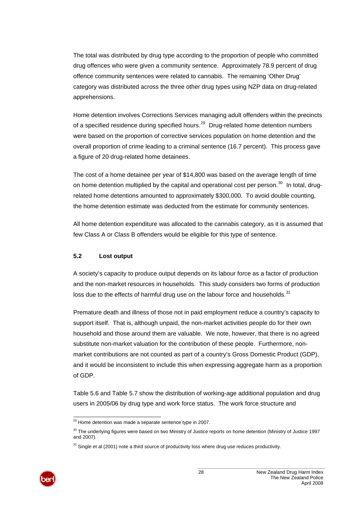<span id="page-33-1"></span>The total was distributed by drug type according to the proportion of people who committed drug offences who were given a community sentence. Approximately 78.9 percent of drug offence community sentences were related to cannabis. The remaining 'Other Drug' category was distributed across the three other drug types using NZP data on drug-related apprehensions.

Home detention involves Corrections Services managing adult offenders within the precincts of a specified residence during specified hours.<sup>[29](#page-33-1)</sup> Drug-related home detention numbers were based on the proportion of corrective services population on home detention and the overall proportion of crime leading to a criminal sentence (16.7 percent). This process gave a figure of 20 drug-related home detainees.

The cost of a home detainee per year of \$14,800 was based on the average length of time on home detention multiplied by the capital and operational cost per person.<sup>[30](#page-33-1)</sup> In total, drugrelated home detentions amounted to approximately \$300,000. To avoid double counting, the home detention estimate was deducted from the estimate for community sentences.

All home detention expenditure was allocated to the cannabis category, as it is assumed that few Class A or Class B offenders would be eligible for this type of sentence.

#### <span id="page-33-0"></span>**5.2 Lost output**

A society's capacity to produce output depends on its labour force as a factor of production and the non-market resources in households. This study considers two forms of production loss due to the effects of harmful drug use on the labour force and households. $31$ 

Premature death and illness of those not in paid employment reduce a country's capacity to support itself. That is, although unpaid, the non-market activities people do for their own household and those around them are valuable. We note, however, that there is no agreed substitute non-market valuation for the contribution of these people. Furthermore, nonmarket contributions are not counted as part of a country's Gross Domestic Product (GDP), and it would be inconsistent to include this when expressing aggregate harm as a proportion of GDP.

[Table 5.6](#page-34-0) and [Table 5.7](#page-34-1) show the distribution of working-age additional population and drug users in 2005/06 by drug type and work force status. The work force structure and

 $31$  Single et al (2001) note a third source of productivity loss where drug use reduces productivity.



l  $29$  Home detention was made a separate sentence type in 2007.

 $30$  The underlying figures were based on two Ministry of Justice reports on home detention (Ministry of Justice 1997 and 2007).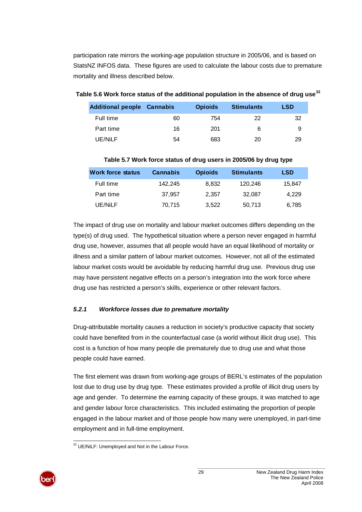<span id="page-34-2"></span>participation rate mirrors the working-age population structure in 2005/06, and is based on StatsNZ INFOS data. These figures are used to calculate the labour costs due to premature mortality and illness described below.

| <b>Additional people Cannabis</b> |    | <b>Opioids</b> | Stimulants | LSD |
|-----------------------------------|----|----------------|------------|-----|
| Full time                         | 60 | 754            |            |     |

Part time  $16$  201 6 9 UE/NiLF 54 683 20 29

#### <span id="page-34-0"></span>**[32](#page-34-2) Table 5.6 Work force status of the additional population in the absence of drug use**

<span id="page-34-1"></span>

|                          |                 |                | $1000$ of their follow status of analy doctor in 2000/00 by analy type |        |
|--------------------------|-----------------|----------------|------------------------------------------------------------------------|--------|
| <b>Work force status</b> | <b>Cannabis</b> | <b>Opioids</b> | <b>Stimulants</b>                                                      | LSD    |
| Full time                | 142.245         | 8,832          | 120.246                                                                | 15,847 |
| Part time                | 37,957          | 2.357          | 32.087                                                                 | 4,229  |
| UE/NiLF                  | 70,715          | 3,522          | 50,713                                                                 | 6,785  |

#### **Table 5.7 Work force status of drug users in 2005/06 by drug type**

The impact of drug use on mortality and labour market outcomes differs depending on the type(s) of drug used. The hypothetical situation where a person never engaged in harmful drug use, however, assumes that all people would have an equal likelihood of mortality or illness and a similar pattern of labour market outcomes. However, not all of the estimated labour market costs would be avoidable by reducing harmful drug use. Previous drug use may have persistent negative effects on a person's integration into the work force where drug use has restricted a person's skills, experience or other relevant factors.

#### <span id="page-34-3"></span>*5.2.1 Workforce losses due to premature mortality*

Drug-attributable mortality causes a reduction in society's productive capacity that society could have benefited from in the counterfactual case (a world without illicit drug use). This cost is a function of how many people die prematurely due to drug use and what those people could have earned.

The first element was drawn from working-age groups of BERL's estimates of the population lost due to drug use by drug type. These estimates provided a profile of illicit drug users by age and gender. To determine the earning capacity of these groups, it was matched to age and gender labour force characteristics. This included estimating the proportion of people engaged in the labour market and of those people how many were unemployed, in part-time employment and in full-time employment.

l  $32$  UE/NiLF: Unemployed and Not in the Labour Force.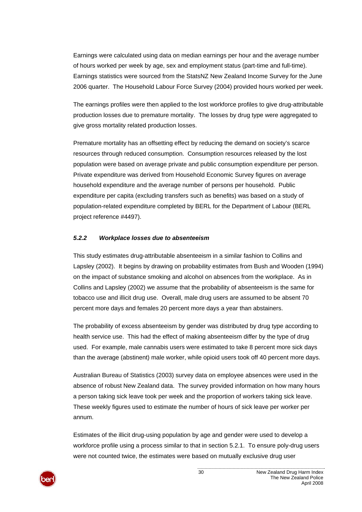Earnings were calculated using data on median earnings per hour and the average number of hours worked per week by age, sex and employment status (part-time and full-time). Earnings statistics were sourced from the StatsNZ New Zealand Income Survey for the June 2006 quarter. The Household Labour Force Survey (2004) provided hours worked per week.

The earnings profiles were then applied to the lost workforce profiles to give drug-attributable production losses due to premature mortality. The losses by drug type were aggregated to give gross mortality related production losses.

Premature mortality has an offsetting effect by reducing the demand on society's scarce resources through reduced consumption. Consumption resources released by the lost population were based on average private and public consumption expenditure per person. Private expenditure was derived from Household Economic Survey figures on average household expenditure and the average number of persons per household. Public expenditure per capita (excluding transfers such as benefits) was based on a study of population-related expenditure completed by BERL for the Department of Labour (BERL project reference #4497).

#### *5.2.2 Workplace losses due to absenteeism*

This study estimates drug-attributable absenteeism in a similar fashion to Collins and Lapsley (2002). It begins by drawing on probability estimates from Bush and Wooden (1994) on the impact of substance smoking and alcohol on absences from the workplace. As in Collins and Lapsley (2002) we assume that the probability of absenteeism is the same for tobacco use and illicit drug use. Overall, male drug users are assumed to be absent 70 percent more days and females 20 percent more days a year than abstainers.

The probability of excess absenteeism by gender was distributed by drug type according to health service use. This had the effect of making absenteeism differ by the type of drug used. For example, male cannabis users were estimated to take 8 percent more sick days than the average (abstinent) male worker, while opioid users took off 40 percent more days.

Australian Bureau of Statistics (2003) survey data on employee absences were used in the absence of robust New Zealand data. The survey provided information on how many hours a person taking sick leave took per week and the proportion of workers taking sick leave. These weekly figures used to estimate the number of hours of sick leave per worker per annum.

Estimates of the illicit drug-using population by age and gender were used to develop a workforce profile using a process similar to that in section [5.2.1.](#page-34-3) To ensure poly-drug users were not counted twice, the estimates were based on mutually exclusive drug user

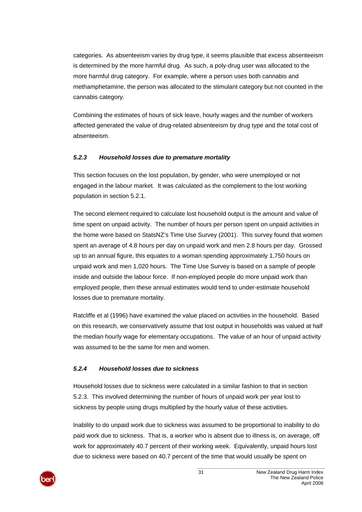categories. As absenteeism varies by drug type, it seems plausible that excess absenteeism is determined by the more harmful drug. As such, a poly-drug user was allocated to the more harmful drug category. For example, where a person uses both cannabis and methamphetamine, the person was allocated to the stimulant category but not counted in the cannabis category.

Combining the estimates of hours of sick leave, hourly wages and the number of workers affected generated the value of drug-related absenteeism by drug type and the total cost of absenteeism.

## <span id="page-36-0"></span>*5.2.3 Household losses due to premature mortality*

This section focuses on the lost population, by gender, who were unemployed or not engaged in the labour market. It was calculated as the complement to the lost working population in section [5.2.1.](#page-34-0)

The second element required to calculate lost household output is the amount and value of time spent on unpaid activity. The number of hours per person spent on unpaid activities in the home were based on StatsNZ's Time Use Survey (2001). This survey found that women spent an average of 4.8 hours per day on unpaid work and men 2.8 hours per day. Grossed up to an annual figure, this equates to a woman spending approximately 1,750 hours on unpaid work and men 1,020 hours. The Time Use Survey is based on a sample of people inside and outside the labour force. If non-employed people do more unpaid work than employed people, then these annual estimates would tend to under-estimate household losses due to premature mortality.

Ratcliffe et al (1996) have examined the value placed on activities in the household. Based on this research, we conservatively assume that lost output in households was valued at half the median hourly wage for elementary occupations. The value of an hour of unpaid activity was assumed to be the same for men and women.

## *5.2.4 Household losses due to sickness*

Household losses due to sickness were calculated in a similar fashion to that in section [5.2.3.](#page-36-0) This involved determining the number of hours of unpaid work per year lost to sickness by people using drugs multiplied by the hourly value of these activities.

Inability to do unpaid work due to sickness was assumed to be proportional to inability to do paid work due to sickness. That is, a worker who is absent due to illness is, on average, off work for approximately 40.7 percent of their working week. Equivalently, unpaid hours lost due to sickness were based on 40.7 percent of the time that would usually be spent on

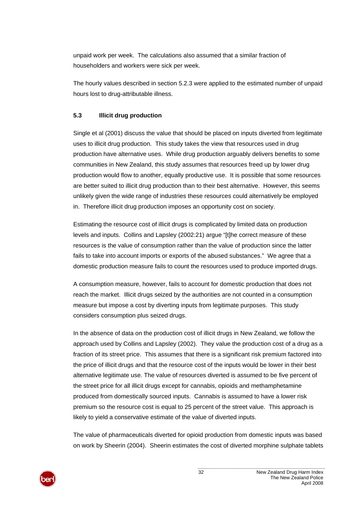unpaid work per week. The calculations also assumed that a similar fraction of householders and workers were sick per week.

The hourly values described in section [5.2.3](#page-36-0) were applied to the estimated number of unpaid hours lost to drug-attributable illness.

## <span id="page-37-0"></span>**5.3 Illicit drug production**

Single et al (2001) discuss the value that should be placed on inputs diverted from legitimate uses to illicit drug production. This study takes the view that resources used in drug production have alternative uses. While drug production arguably delivers benefits to some communities in New Zealand, this study assumes that resources freed up by lower drug production would flow to another, equally productive use. It is possible that some resources are better suited to illicit drug production than to their best alternative. However, this seems unlikely given the wide range of industries these resources could alternatively be employed in. Therefore illicit drug production imposes an opportunity cost on society.

Estimating the resource cost of illicit drugs is complicated by limited data on production levels and inputs. Collins and Lapsley (2002:21) argue "[t]he correct measure of these resources is the value of consumption rather than the value of production since the latter fails to take into account imports or exports of the abused substances." We agree that a domestic production measure fails to count the resources used to produce imported drugs.

A consumption measure, however, fails to account for domestic production that does not reach the market. Illicit drugs seized by the authorities are not counted in a consumption measure but impose a cost by diverting inputs from legitimate purposes. This study considers consumption plus seized drugs.

In the absence of data on the production cost of illicit drugs in New Zealand, we follow the approach used by Collins and Lapsley (2002). They value the production cost of a drug as a fraction of its street price. This assumes that there is a significant risk premium factored into the price of illicit drugs and that the resource cost of the inputs would be lower in their best alternative legitimate use. The value of resources diverted is assumed to be five percent of the street price for all illicit drugs except for cannabis, opioids and methamphetamine produced from domestically sourced inputs. Cannabis is assumed to have a lower risk premium so the resource cost is equal to 25 percent of the street value. This approach is likely to yield a conservative estimate of the value of diverted inputs.

The value of pharmaceuticals diverted for opioid production from domestic inputs was based on work by Sheerin (2004). Sheerin estimates the cost of diverted morphine sulphate tablets

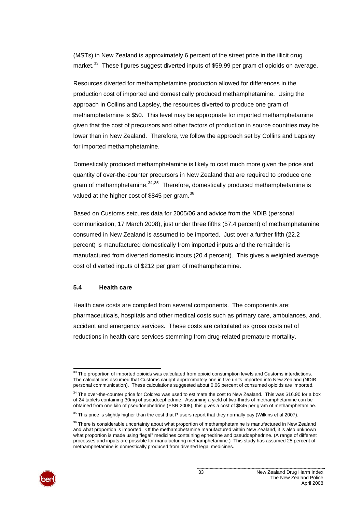<span id="page-38-0"></span>(MSTs) in New Zealand is approximately 6 percent of the street price in the illicit drug market.<sup>[33](#page-38-0)</sup> These figures suggest diverted inputs of \$59.99 per gram of opioids on average.

Resources diverted for methamphetamine production allowed for differences in the production cost of imported and domestically produced methamphetamine. Using the approach in Collins and Lapsley, the resources diverted to produce one gram of methamphetamine is \$50. This level may be appropriate for imported methamphetamine given that the cost of precursors and other factors of production in source countries may be lower than in New Zealand. Therefore, we follow the approach set by Collins and Lapsley for imported methamphetamine.

Domestically produced methamphetamine is likely to cost much more given the price and quantity of over-the-counter precursors in New Zealand that are required to produce one gram of methamphetamine.  $34,35$  $34,35$  $34,35$  Therefore, domestically produced methamphetamine is valued at the higher cost of \$845 per gram.<sup>[36](#page-38-0)</sup>

Based on Customs seizures data for 2005/06 and advice from the NDIB (personal communication, 17 March 2008), just under three fifths (57.4 percent) of methamphetamine consumed in New Zealand is assumed to be imported. Just over a further fifth (22.2 percent) is manufactured domestically from imported inputs and the remainder is manufactured from diverted domestic inputs (20.4 percent). This gives a weighted average cost of diverted inputs of \$212 per gram of methamphetamine.

#### **5.4 Health care**

Health care costs are compiled from several components. The components are: pharmaceuticals, hospitals and other medical costs such as primary care, ambulances, and, accident and emergency services. These costs are calculated as gross costs net of reductions in health care services stemming from drug-related premature mortality.

<sup>&</sup>lt;sup>36</sup> There is considerable uncertainty about what proportion of methamphetamine is manufactured in New Zealand and what proportion is imported. Of the methamphetamine manufactured within New Zealand, it is also unknown what proportion is made using "legal" medicines containing ephedrine and pseudoephedrine. (A range of different processes and inputs are possible for manufacturing methamphetamine.) This study has assumed 25 percent of methamphetamine is domestically produced from diverted legal medicines.



l  $33$  The proportion of imported opioids was calculated from opioid consumption levels and Customs interdictions. The calculations assumed that Customs caught approximately one in five units imported into New Zealand (NDIB personal communication). These calculations suggested about 0.06 percent of consumed opioids are imported.

<sup>&</sup>lt;sup>34</sup> The over-the-counter price for Coldrex was used to estimate the cost to New Zealand. This was \$16.90 for a box of 24 tablets containing 30mg of pseudoephedrine. Assuming a yield of two-thirds of methamphetamine can be obtained from one kilo of pseudoephedrine (ESR 2008), this gives a cost of \$845 per gram of methamphetamine.

 $35$  This price is slightly higher than the cost that P users report that they normally pay (Wilkins et al 2007).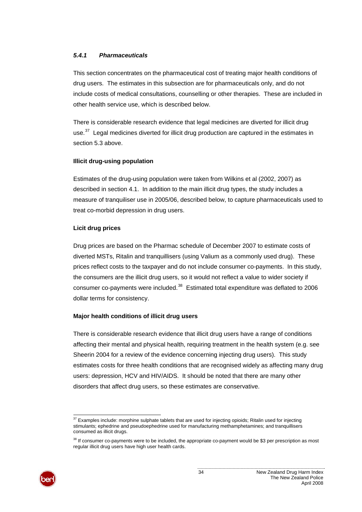#### <span id="page-39-0"></span>*5.4.1 Pharmaceuticals*

This section concentrates on the pharmaceutical cost of treating major health conditions of drug users. The estimates in this subsection are for pharmaceuticals only, and do not include costs of medical consultations, counselling or other therapies. These are included in other health service use, which is described below.

There is considerable research evidence that legal medicines are diverted for illicit drug use.<sup>[37](#page-39-0)</sup> Legal medicines diverted for illicit drug production are captured in the estimates in section [5.3 above](#page-37-0).

#### **Illicit drug-using population**

Estimates of the drug-using population were taken from Wilkins et al (2002, 2007) as described in section [4.1.](#page-17-0) In addition to the main illicit drug types, the study includes a measure of tranquiliser use in 2005/06, described below, to capture pharmaceuticals used to treat co-morbid depression in drug users.

#### **Licit drug prices**

Drug prices are based on the Pharmac schedule of December 2007 to estimate costs of diverted MSTs, Ritalin and tranquillisers (using Valium as a commonly used drug). These prices reflect costs to the taxpayer and do not include consumer co-payments. In this study, the consumers are the illicit drug users, so it would not reflect a value to wider society if consumer co-payments were included.<sup>[38](#page-39-0)</sup> Estimated total expenditure was deflated to 2006 dollar terms for consistency.

## **Major health conditions of illicit drug users**

There is considerable research evidence that illicit drug users have a range of conditions affecting their mental and physical health, requiring treatment in the health system (e.g. see Sheerin 2004 for a review of the evidence concerning injecting drug users). This study estimates costs for three health conditions that are recognised widely as affecting many drug users: depression, HCV and HIV/AIDS. It should be noted that there are many other disorders that affect drug users, so these estimates are conservative.



l

 $37$  Examples include: morphine sulphate tablets that are used for injecting opioids; Ritalin used for injecting stimulants; ephedrine and pseudoephedrine used for manufacturing methamphetamines; and tranquillisers consumed as illicit drugs.

<sup>&</sup>lt;sup>38</sup> If consumer co-payments were to be included, the appropriate co-payment would be \$3 per prescription as most regular illicit drug users have high user health cards.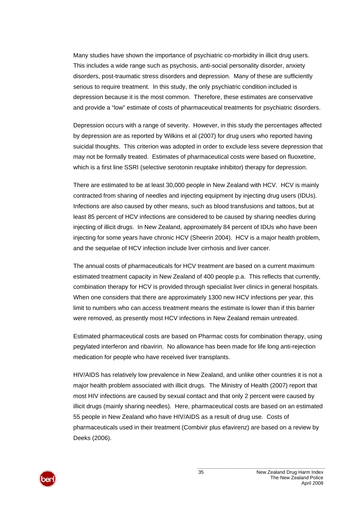Many studies have shown the importance of psychiatric co-morbidity in illicit drug users. This includes a wide range such as psychosis, anti-social personality disorder, anxiety disorders, post-traumatic stress disorders and depression. Many of these are sufficiently serious to require treatment. In this study, the only psychiatric condition included is depression because it is the most common. Therefore, these estimates are conservative and provide a "low" estimate of costs of pharmaceutical treatments for psychiatric disorders.

Depression occurs with a range of severity. However, in this study the percentages affected by depression are as reported by Wilkins et al (2007) for drug users who reported having suicidal thoughts. This criterion was adopted in order to exclude less severe depression that may not be formally treated. Estimates of pharmaceutical costs were based on fluoxetine, which is a first line SSRI (selective serotonin reuptake inhibitor) therapy for depression.

There are estimated to be at least 30,000 people in New Zealand with HCV. HCV is mainly contracted from sharing of needles and injecting equipment by injecting drug users (IDUs). Infections are also caused by other means, such as blood transfusions and tattoos, but at least 85 percent of HCV infections are considered to be caused by sharing needles during injecting of illicit drugs. In New Zealand, approximately 84 percent of IDUs who have been injecting for some years have chronic HCV (Sheerin 2004). HCV is a major health problem, and the sequelae of HCV infection include liver cirrhosis and liver cancer.

The annual costs of pharmaceuticals for HCV treatment are based on a current maximum estimated treatment capacity in New Zealand of 400 people p.a. This reflects that currently, combination therapy for HCV is provided through specialist liver clinics in general hospitals. When one considers that there are approximately 1300 new HCV infections per year, this limit to numbers who can access treatment means the estimate is lower than if this barrier were removed, as presently most HCV infections in New Zealand remain untreated.

Estimated pharmaceutical costs are based on Pharmac costs for combination therapy, using pegylated interferon and ribavirin. No allowance has been made for life long anti-rejection medication for people who have received liver transplants.

HIV/AIDS has relatively low prevalence in New Zealand, and unlike other countries it is not a major health problem associated with illicit drugs. The Ministry of Health (2007) report that most HIV infections are caused by sexual contact and that only 2 percent were caused by illicit drugs (mainly sharing needles). Here, pharmaceutical costs are based on an estimated 55 people in New Zealand who have HIV/AIDS as a result of drug use. Costs of pharmaceuticals used in their treatment (Combivir plus efavirenz) are based on a review by Deeks (2006).

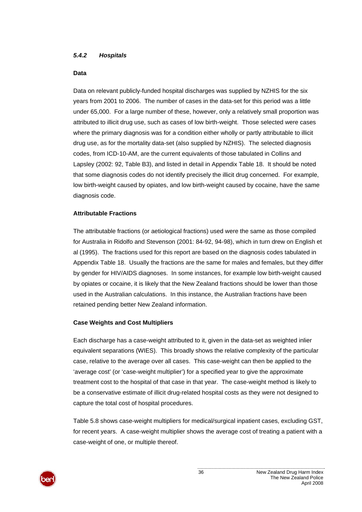#### *5.4.2 Hospitals*

#### **Data**

Data on relevant publicly-funded hospital discharges was supplied by NZHIS for the six years from 2001 to 2006. The number of cases in the data-set for this period was a little under 65,000. For a large number of these, however, only a relatively small proportion was attributed to illicit drug use, such as cases of low birth-weight. Those selected were cases where the primary diagnosis was for a condition either wholly or partly attributable to illicit drug use, as for the mortality data-set (also supplied by NZHIS). The selected diagnosis codes, from ICD-10-AM, are the current equivalents of those tabulated in Collins and Lapsley (2002: 92, Table B3), and listed in detail in [Appendix Table 18.](#page-77-0) It should be noted that some diagnosis codes do not identify precisely the illicit drug concerned. For example, low birth-weight caused by opiates, and low birth-weight caused by cocaine, have the same diagnosis code.

#### **Attributable Fractions**

The attributable fractions (or aetiological fractions) used were the same as those compiled for Australia in Ridolfo and Stevenson (2001: 84-92, 94-98), which in turn drew on English et al (1995). The fractions used for this report are based on the diagnosis codes tabulated in [Appendix Table 18](#page-77-0). Usually the fractions are the same for males and females, but they differ by gender for HIV/AIDS diagnoses. In some instances, for example low birth-weight caused by opiates or cocaine, it is likely that the New Zealand fractions should be lower than those used in the Australian calculations. In this instance, the Australian fractions have been retained pending better New Zealand information.

#### **Case Weights and Cost Multipliers**

Each discharge has a case-weight attributed to it, given in the data-set as weighted inlier equivalent separations (WIES). This broadly shows the relative complexity of the particular case, relative to the average over all cases. This case-weight can then be applied to the 'average cost' (or 'case-weight multiplier') for a specified year to give the approximate treatment cost to the hospital of that case in that year. The case-weight method is likely to be a conservative estimate of illicit drug-related hospital costs as they were not designed to capture the total cost of hospital procedures.

[Table 5.8](#page-42-0) shows case-weight multipliers for medical/surgical inpatient cases, excluding GST, for recent years. A case-weight multiplier shows the average cost of treating a patient with a case-weight of one, or multiple thereof.

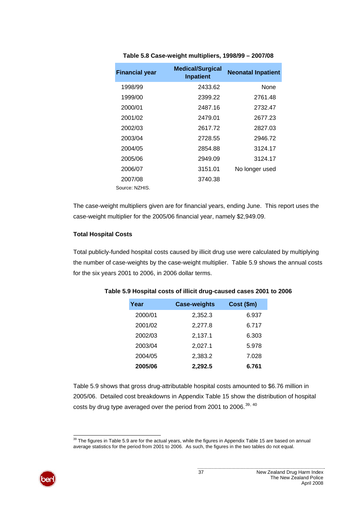<span id="page-42-2"></span><span id="page-42-0"></span>

| <b>Financial year</b> | <b>Medical/Surgical</b><br>Inpatient | <b>Neonatal Inpatient</b> |
|-----------------------|--------------------------------------|---------------------------|
| 1998/99               | 2433.62                              | <b>None</b>               |
| 1999/00               | 2399.22                              | 2761.48                   |
| 2000/01               | 2487.16                              | 2732.47                   |
| 2001/02               | 2479.01                              | 2677.23                   |
| 2002/03               | 2617.72                              | 2827.03                   |
| 2003/04               | 2728.55                              | 2946.72                   |
| 2004/05               | 2854.88                              | 3124.17                   |
| 2005/06               | 2949.09                              | 3124.17                   |
| 2006/07               | 3151.01                              | No longer used            |
| 2007/08               | 3740.38                              |                           |
| Source: NZHIS.        |                                      |                           |

**Table 5.8 Case-weight multipliers, 1998/99 – 2007/08** 

The case-weight multipliers given are for financial years, ending June. This report uses the case-weight multiplier for the 2005/06 financial year, namely \$2,949.09.

## **Total Hospital Costs**

<span id="page-42-1"></span>Total publicly-funded hospital costs caused by illicit drug use were calculated by multiplying the number of case-weights by the case-weight multiplier. [Table 5.9](#page-42-1) shows the annual costs for the six years 2001 to 2006, in 2006 dollar terms.

| Year    | <b>Case-weights</b> | Cost (\$m) |
|---------|---------------------|------------|
| 2000/01 | 2,352.3             | 6.937      |
| 2001/02 | 2,277.8             | 6.717      |
| 2002/03 | 2,137.1             | 6.303      |
| 2003/04 | 2,027.1             | 5.978      |
| 2004/05 | 2,383.2             | 7.028      |
| 2005/06 | 2,292.5             | 6.761      |

## **Table 5.9 Hospital costs of illicit drug-caused cases 2001 to 2006**

[Table 5.9](#page-42-1) shows that gross drug-attributable hospital costs amounted to \$6.76 million in 2005/06. Detailed cost breakdowns in [Appendix Table 15](#page-75-0) show the distribution of hospital costs by drug type averaged over the period from 2001 to 2006. $^{39, 40}$  $^{39, 40}$  $^{39, 40}$  $^{39, 40}$  $^{39, 40}$ 

l  $39$  The figures in Table 5.9 are for the actual years, while the figures in Appendix Table 15 are based on annual average statistics for the period from 2001 to 2006. As such, the figures in the two tables do not equal.

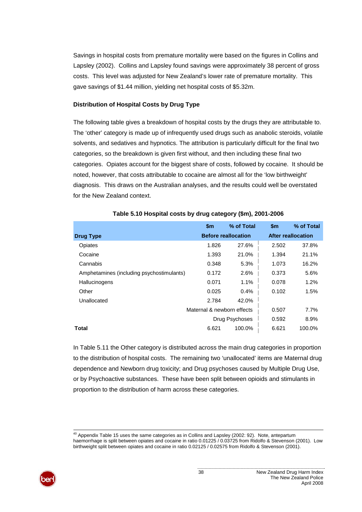Savings in hospital costs from premature mortality were based on the figures in Collins and Lapsley (2002). Collins and Lapsley found savings were approximately 38 percent of gross costs. This level was adjusted for New Zealand's lower rate of premature mortality. This gave savings of \$1.44 million, yielding net hospital costs of \$5.32m.

#### **Distribution of Hospital Costs by Drug Type**

The following table gives a breakdown of hospital costs by the drugs they are attributable to. The 'other' category is made up of infrequently used drugs such as anabolic steroids, volatile solvents, and sedatives and hypnotics. The attribution is particularly difficult for the final two categories, so the breakdown is given first without, and then including these final two categories. Opiates account for the biggest share of costs, followed by cocaine. It should be noted, however, that costs attributable to cocaine are almost all for the 'low birthweight' diagnosis. This draws on the Australian analyses, and the results could well be overstated for the New Zealand context.

|                                           | $\mathsf{sm}$              | % of Total                 | $\mathsf{sm}$ | % of Total         |
|-------------------------------------------|----------------------------|----------------------------|---------------|--------------------|
| <b>Drug Type</b>                          |                            | <b>Before reallocation</b> |               | After reallocation |
| Opiates                                   | 1.826                      | 27.6%                      | 2.502         | 37.8%              |
| Cocaine                                   | 1.393                      | 21.0%                      | 1.394         | 21.1%              |
| Cannabis                                  | 0.348                      | 5.3%                       | 1.073         | 16.2%              |
| Amphetamines (including psychostimulants) | 0.172                      | 2.6%                       | 0.373         | 5.6%               |
| Hallucinogens                             | 0.071                      | 1.1%                       | 0.078         | 1.2%               |
| Other                                     | 0.025                      | 0.4%                       | 0.102         | 1.5%               |
| Unallocated                               | 2.784                      | 42.0%                      |               |                    |
|                                           | Maternal & newborn effects |                            | 0.507         | 7.7%               |
|                                           |                            | Drug Psychoses             | 0.592         | 8.9%               |
| Total                                     | 6.621                      | 100.0%                     | 6.621         | 100.0%             |

#### **Table 5.10 Hospital costs by drug category (\$m), 2001-2006**

In [Table 5.11](#page-44-0) the Other category is distributed across the main drug categories in proportion to the distribution of hospital costs. The remaining two 'unallocated' items are Maternal drug dependence and Newborn drug toxicity; and Drug psychoses caused by Multiple Drug Use, or by Psychoactive substances. These have been split between opioids and stimulants in proportion to the distribution of harm across these categories.

l <sup>40</sup> Appendix Table 15 uses the same categories as in Collins and Lapsley (2002: 92). Note, antepartum haemorrhage is split between opiates and cocaine in ratio 0.01225 / 0.03725 from Ridolfo & Stevenson (2001). Low birthweight split between opiates and cocaine in ratio 0.02125 / 0.02575 from Ridolfo & Stevenson (2001).

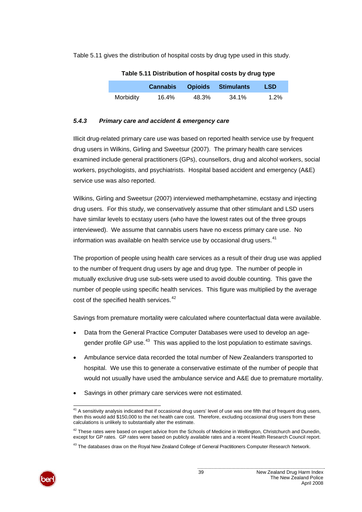<span id="page-44-1"></span><span id="page-44-0"></span>[Table 5.11](#page-44-0) gives the distribution of hospital costs by drug type used in this study.

|           |       |       | <b>Cannabis Opioids Stimulants</b> | <b>LSD</b> |
|-----------|-------|-------|------------------------------------|------------|
| Morbidity | 16.4% | 48.3% | 34.1%                              | $1.2\%$    |

**Table 5.11 Distribution of hospital costs by drug type** 

#### *5.4.3 Primary care and accident & emergency care*

Illicit drug-related primary care use was based on reported health service use by frequent drug users in Wilkins, Girling and Sweetsur (2007). The primary health care services examined include general practitioners (GPs), counsellors, drug and alcohol workers, social workers, psychologists, and psychiatrists. Hospital based accident and emergency (A&E) service use was also reported.

Wilkins, Girling and Sweetsur (2007) interviewed methamphetamine, ecstasy and injecting drug users. For this study, we conservatively assume that other stimulant and LSD users have similar levels to ecstasy users (who have the lowest rates out of the three groups interviewed). We assume that cannabis users have no excess primary care use. No information was available on health service use by occasional drug users. $41$ 

The proportion of people using health care services as a result of their drug use was applied to the number of frequent drug users by age and drug type. The number of people in mutually exclusive drug use sub-sets were used to avoid double counting. This gave the number of people using specific health services. This figure was multiplied by the average cost of the specified health services.<sup>[42](#page-44-1)</sup>

Savings from premature mortality were calculated where counterfactual data were available.

- Data from the General Practice Computer Databases were used to develop an age-gender profile GP use.<sup>[43](#page-44-1)</sup> This was applied to the lost population to estimate savings.
- Ambulance service data recorded the total number of New Zealanders transported to hospital. We use this to generate a conservative estimate of the number of people that would not usually have used the ambulance service and A&E due to premature mortality.
- Savings in other primary care services were not estimated.

<sup>&</sup>lt;sup>43</sup> The databases draw on the Royal New Zealand College of General Practitioners Computer Research Network.



l  $41$  A sensitivity analysis indicated that if occasional drug users' level of use was one fifth that of frequent drug users, then this would add \$150,000 to the net health care cost. Therefore, excluding occasional drug users from these calculations is unlikely to substantially alter the estimate.

 $42$  These rates were based on expert advice from the Schools of Medicine in Wellington, Christchurch and Dunedin, except for GP rates. GP rates were based on publicly available rates and a recent Health Research Council report.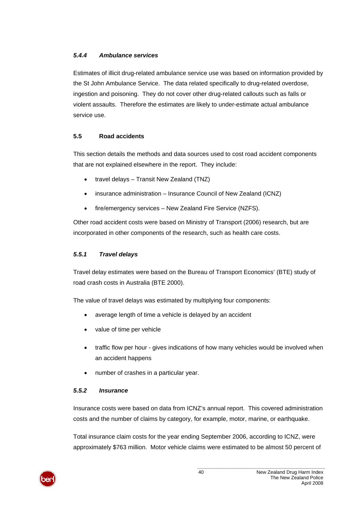## *5.4.4 Ambulance services*

Estimates of illicit drug-related ambulance service use was based on information provided by the St John Ambulance Service. The data related specifically to drug-related overdose, ingestion and poisoning. They do not cover other drug-related callouts such as falls or violent assaults. Therefore the estimates are likely to under-estimate actual ambulance service use.

## **5.5 Road accidents**

This section details the methods and data sources used to cost road accident components that are not explained elsewhere in the report. They include:

- travel delays Transit New Zealand (TNZ)
- insurance administration Insurance Council of New Zealand (ICNZ)
- fire/emergency services New Zealand Fire Service (NZFS).

Other road accident costs were based on Ministry of Transport (2006) research, but are incorporated in other components of the research, such as health care costs.

## *5.5.1 Travel delays*

Travel delay estimates were based on the Bureau of Transport Economics' (BTE) study of road crash costs in Australia (BTE 2000).

The value of travel delays was estimated by multiplying four components:

- average length of time a vehicle is delayed by an accident
- value of time per vehicle
- traffic flow per hour gives indications of how many vehicles would be involved when an accident happens
- number of crashes in a particular year.

## *5.5.2 Insurance*

Insurance costs were based on data from ICNZ's annual report. This covered administration costs and the number of claims by category, for example, motor, marine, or earthquake.

Total insurance claim costs for the year ending September 2006, according to ICNZ, were approximately \$763 million. Motor vehicle claims were estimated to be almost 50 percent of

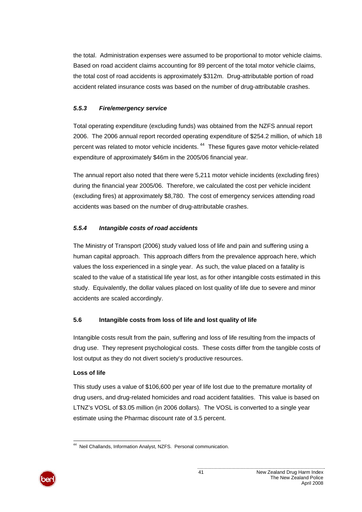<span id="page-46-0"></span>the total. Administration expenses were assumed to be proportional to motor vehicle claims. Based on road accident claims accounting for 89 percent of the total motor vehicle claims, the total cost of road accidents is approximately \$312m. Drug-attributable portion of road accident related insurance costs was based on the number of drug-attributable crashes.

## *5.5.3 Fire/emergency service*

Total operating expenditure (excluding funds) was obtained from the NZFS annual report 2006. The 2006 annual report recorded operating expenditure of \$254.2 million, of which 18 percent was related to motor vehicle incidents.<sup>[44](#page-46-0)</sup> These figures gave motor vehicle-related expenditure of approximately \$46m in the 2005/06 financial year.

The annual report also noted that there were 5,211 motor vehicle incidents (excluding fires) during the financial year 2005/06. Therefore, we calculated the cost per vehicle incident (excluding fires) at approximately \$8,780. The cost of emergency services attending road accidents was based on the number of drug-attributable crashes.

## *5.5.4 Intangible costs of road accidents*

The Ministry of Transport (2006) study valued loss of life and pain and suffering using a human capital approach. This approach differs from the prevalence approach here, which values the loss experienced in a single year. As such, the value placed on a fatality is scaled to the value of a statistical life year lost, as for other intangible costs estimated in this study. Equivalently, the dollar values placed on lost quality of life due to severe and minor accidents are scaled accordingly.

## **5.6 Intangible costs from loss of life and lost quality of life**

Intangible costs result from the pain, suffering and loss of life resulting from the impacts of drug use. They represent psychological costs. These costs differ from the tangible costs of lost output as they do not divert society's productive resources.

## **Loss of life**

This study uses a value of \$106,600 per year of life lost due to the premature mortality of drug users, and drug-related homicides and road accident fatalities. This value is based on LTNZ's VOSL of \$3.05 million (in 2006 dollars). The VOSL is converted to a single year estimate using the Pharmac discount rate of 3.5 percent.



l <sup>44</sup> Neil Challands, Information Analyst, NZFS. Personal communication.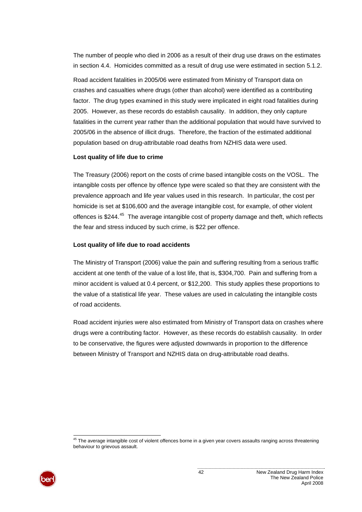<span id="page-47-0"></span>The number of people who died in 2006 as a result of their drug use draws on the estimates in section [4.4.](#page-23-0) Homicides committed as a result of drug use were estimated in section [5.1.2](#page-28-0).

Road accident fatalities in 2005/06 were estimated from Ministry of Transport data on crashes and casualties where drugs (other than alcohol) were identified as a contributing factor. The drug types examined in this study were implicated in eight road fatalities during 2005. However, as these records do establish causality. In addition, they only capture fatalities in the current year rather than the additional population that would have survived to 2005/06 in the absence of illicit drugs. Therefore, the fraction of the estimated additional population based on drug-attributable road deaths from NZHIS data were used.

#### **Lost quality of life due to crime**

The Treasury (2006) report on the costs of crime based intangible costs on the VOSL. The intangible costs per offence by offence type were scaled so that they are consistent with the prevalence approach and life year values used in this research. In particular, the cost per homicide is set at \$106,600 and the average intangible cost, for example, of other violent offences is \$244.<sup>[45](#page-47-0)</sup> The average intangible cost of property damage and theft, which reflects the fear and stress induced by such crime, is \$22 per offence.

#### **Lost quality of life due to road accidents**

The Ministry of Transport (2006) value the pain and suffering resulting from a serious traffic accident at one tenth of the value of a lost life, that is, \$304,700. Pain and suffering from a minor accident is valued at 0.4 percent, or \$12,200. This study applies these proportions to the value of a statistical life year. These values are used in calculating the intangible costs of road accidents.

Road accident injuries were also estimated from Ministry of Transport data on crashes where drugs were a contributing factor. However, as these records do establish causality. In order to be conservative, the figures were adjusted downwards in proportion to the difference between Ministry of Transport and NZHIS data on drug-attributable road deaths.

l  $45$  The average intangible cost of violent offences borne in a given year covers assaults ranging across threatening behaviour to grievous assault.

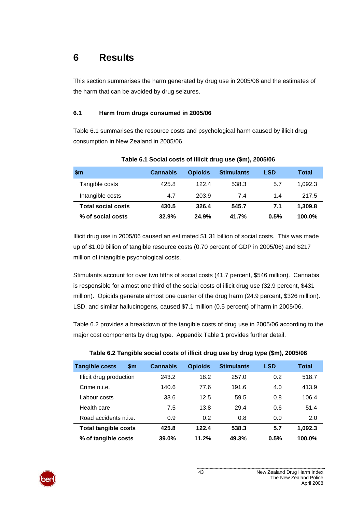## **6 Results**

This section summarises the harm generated by drug use in 2005/06 and the estimates of the harm that can be avoided by drug seizures.

## **6.1 Harm from drugs consumed in 2005/06**

[Table 6.1](#page-48-0) summarises the resource costs and psychological harm caused by illicit drug consumption in New Zealand in 2005/06.

<span id="page-48-0"></span>

| <b>Sm</b>                 | <b>Cannabis</b> | <b>Opioids</b> | <b>Stimulants</b> | <b>LSD</b> | Total   |
|---------------------------|-----------------|----------------|-------------------|------------|---------|
| Tangible costs            | 425.8           | 1224           | 538.3             | 5.7        | 1.092.3 |
| Intangible costs          | 4.7             | 203.9          | 7.4               | 14         | 217.5   |
| <b>Total social costs</b> | 430.5           | 326.4          | 545.7             | 7.1        | 1,309.8 |
| % of social costs         | 32.9%           | 24.9%          | 41.7%             | 0.5%       | 100.0%  |

## **Table 6.1 Social costs of illicit drug use (\$m), 2005/06**

Illicit drug use in 2005/06 caused an estimated \$1.31 billion of social costs. This was made up of \$1.09 billion of tangible resource costs (0.70 percent of GDP in 2005/06) and \$217 million of intangible psychological costs.

Stimulants account for over two fifths of social costs (41.7 percent, \$546 million). Cannabis is responsible for almost one third of the social costs of illicit drug use (32.9 percent, \$431 million). Opioids generate almost one quarter of the drug harm (24.9 percent, \$326 million). LSD, and similar hallucinogens, caused \$7.1 million (0.5 percent) of harm in 2005/06.

[Table 6.2](#page-48-1) provides a breakdown of the tangible costs of drug use in 2005/06 according to the major cost components by drug type. [Appendix Table 1](#page-66-0) provides further detail.

<span id="page-48-1"></span>

| <b>Tangible costs</b>       | \$m | <b>Cannabis</b> | <b>Opioids</b> | <b>Stimulants</b> | <b>LSD</b> | <b>Total</b> |
|-----------------------------|-----|-----------------|----------------|-------------------|------------|--------------|
| Illicit drug production     |     | 243.2           | 18.2           | 257.0             | 0.2        | 518.7        |
| Crime n.i.e.                |     | 140.6           | 77.6           | 191.6             | 4.0        | 413.9        |
| Labour costs                |     | 33.6            | 12.5           | 59.5              | 0.8        | 106.4        |
| Health care                 |     | 7.5             | 13.8           | 29.4              | 0.6        | 51.4         |
| Road accidents n.i.e.       |     | 0.9             | 0.2            | 0.8               | 0.0        | 2.0          |
| <b>Total tangible costs</b> |     | 425.8           | 122.4          | 538.3             | 5.7        | 1,092.3      |
| % of tangible costs         |     | 39.0%           | 11.2%          | 49.3%             | 0.5%       | 100.0%       |

#### **Table 6.2 Tangible social costs of illicit drug use by drug type (\$m), 2005/06**

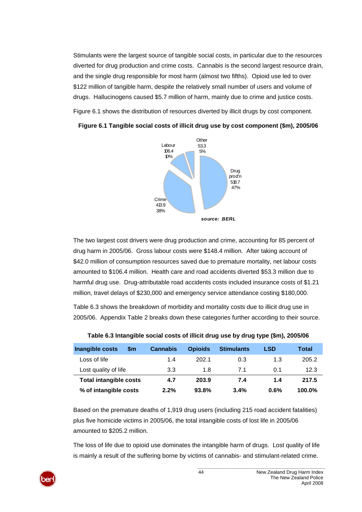Stimulants were the largest source of tangible social costs, in particular due to the resources diverted for drug production and crime costs. Cannabis is the second largest resource drain, and the single drug responsible for most harm (almost two fifths). Opioid use led to over \$122 million of tangible harm, despite the relatively small number of users and volume of drugs. Hallucinogens caused \$5.7 million of harm, mainly due to crime and justice costs.

<span id="page-49-0"></span>[Figure 6.1](#page-49-0) shows the distribution of resources diverted by illicit drugs by cost component.



**Figure 6.1 Tangible social costs of illicit drug use by cost component (\$m), 2005/06** 

The two largest cost drivers were drug production and crime, accounting for 85 percent of drug harm in 2005/06. Gross labour costs were \$148.4 million. After taking account of \$42.0 million of consumption resources saved due to premature mortality, net labour costs amounted to \$106.4 million. Health care and road accidents diverted \$53.3 million due to harmful drug use. Drug-attributable road accidents costs included insurance costs of \$1.21 million, travel delays of \$230,000 and emergency service attendance costing \$180,000.

[Table 6.3](#page-49-1) shows the breakdown of morbidity and mortality costs due to illicit drug use in 2005/06. [Appendix Table 2](#page-67-0) breaks down these categories further according to their source.

<span id="page-49-1"></span>

| Inangible costs<br>\$m        | <b>Cannabis</b> | <b>Opioids</b> | <b>Stimulants</b> | <b>LSD</b> | Total  |
|-------------------------------|-----------------|----------------|-------------------|------------|--------|
| Loss of life                  | 1.4             | 202.1          | 0.3               | 1.3        | 205.2  |
| Lost quality of life          | 3.3             | 1.8            | 71                | 0.1        | 12.3   |
| <b>Total intangible costs</b> | 4.7             | 203.9          | 7.4               | 1.4        | 217.5  |
| % of intangible costs         | 2.2%            | 93.8%          | 3.4%              | 0.6%       | 100.0% |

**Table 6.3 Intangible social costs of illicit drug use by drug type (\$m), 2005/06** 

Based on the premature deaths of 1,919 drug users (including 215 road accident fatalities) plus five homicide victims in 2005/06, the total intangible costs of lost life in 2005/06 amounted to \$205.2 million.

The loss of life due to opioid use dominates the intangible harm of drugs. Lost quality of life is mainly a result of the suffering borne by victims of cannabis- and stimulant-related crime.

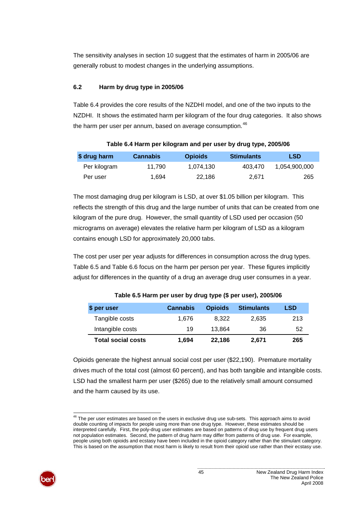<span id="page-50-0"></span>The sensitivity analyses in section [10](#page-84-0) suggest that the estimates of harm in 2005/06 are generally robust to modest changes in the underlying assumptions.

## **6.2 Harm by drug type in 2005/06**

[Table 6.4](#page-50-1) provides the core results of the NZDHI model, and one of the two inputs to the NZDHI. It shows the estimated harm per kilogram of the four drug categories. It also shows the harm per user per annum, based on average consumption. $46$ 

<span id="page-50-1"></span>

| \$ drug harm | <b>Cannabis</b> | <b>Opioids</b> | <b>Stimulants</b> | <b>LSD</b>    |
|--------------|-----------------|----------------|-------------------|---------------|
| Per kilogram | 11.790          | 1.074.130      | 403.470           | 1.054.900.000 |
| Per user     | 1.694           | 22.186         | 2.671             | 265           |

The most damaging drug per kilogram is LSD, at over \$1.05 billion per kilogram. This reflects the strength of this drug and the large number of units that can be created from one kilogram of the pure drug. However, the small quantity of LSD used per occasion (50 micrograms on average) elevates the relative harm per kilogram of LSD as a kilogram contains enough LSD for approximately 20,000 tabs.

<span id="page-50-2"></span>The cost per user per year adjusts for differences in consumption across the drug types. [Table 6.5](#page-50-2) and [Table 6.6](#page-51-0) focus on the harm per person per year. These figures implicitly adjust for differences in the quantity of a drug an average drug user consumes in a year.

| \$ per user               | <b>Cannabis</b> | <b>Opioids</b> | <b>Stimulants</b> | <b>LSD</b> |
|---------------------------|-----------------|----------------|-------------------|------------|
| Tangible costs            | 1.676           | 8.322          | 2.635             | 213        |
| Intangible costs          | 19              | 13.864         | 36                | 52         |
| <b>Total social costs</b> | 1.694           | 22.186         | 2,671             | 265        |

**Table 6.5 Harm per user by drug type (\$ per user), 2005/06** 

Opioids generate the highest annual social cost per user (\$22,190). Premature mortality drives much of the total cost (almost 60 percent), and has both tangible and intangible costs. LSD had the smallest harm per user (\$265) due to the relatively small amount consumed and the harm caused by its use.

l  $46$  The per user estimates are based on the users in exclusive drug use sub-sets. This approach aims to avoid double counting of impacts for people using more than one drug type. However, these estimates should be interpreted carefully. First, the poly-drug user estimates are based on patterns of drug use by frequent drug users not population estimates. Second, the pattern of drug harm may differ from patterns of drug use. For example, people using both opioids and ecstasy have been included in the opioid category rather than the stimulant category. This is based on the assumption that most harm is likely to result from their opioid use rather than their ecstasy use.

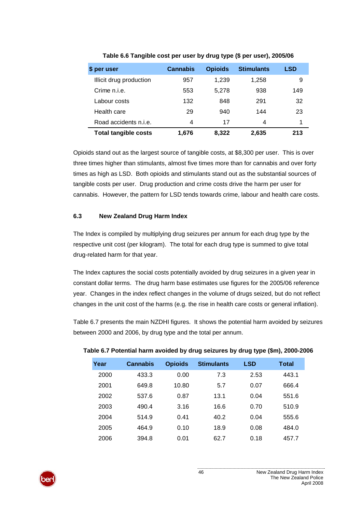<span id="page-51-0"></span>

| \$ per user                 | <b>Cannabis</b> | <b>Opioids</b> | <b>Stimulants</b> | LSD |
|-----------------------------|-----------------|----------------|-------------------|-----|
| Illicit drug production     | 957             | 1,239          | 1,258             | 9   |
| Crime n.i.e.                | 553             | 5,278          | 938               | 149 |
| Labour costs                | 132             | 848            | 291               | 32  |
| Health care                 | 29              | 940            | 144               | 23  |
| Road accidents n.i.e.       | 4               | 17             | 4                 |     |
| <b>Total tangible costs</b> | 1.676           | 8.322          | 2,635             | 213 |

**Table 6.6 Tangible cost per user by drug type (\$ per user), 2005/06** 

Opioids stand out as the largest source of tangible costs, at \$8,300 per user. This is over three times higher than stimulants, almost five times more than for cannabis and over forty times as high as LSD. Both opioids and stimulants stand out as the substantial sources of tangible costs per user. Drug production and crime costs drive the harm per user for cannabis. However, the pattern for LSD tends towards crime, labour and health care costs.

## **6.3 New Zealand Drug Harm Index**

The Index is compiled by multiplying drug seizures per annum for each drug type by the respective unit cost (per kilogram). The total for each drug type is summed to give total drug-related harm for that year.

The Index captures the social costs potentially avoided by drug seizures in a given year in constant dollar terms. The drug harm base estimates use figures for the 2005/06 reference year. Changes in the index reflect changes in the volume of drugs seized, but do not reflect changes in the unit cost of the harms (e.g. the rise in health care costs or general inflation).

<span id="page-51-1"></span>[Table 6.7](#page-51-1) presents the main NZDHI figures. It shows the potential harm avoided by seizures between 2000 and 2006, by drug type and the total per annum.

| Year | <b>Cannabis</b> | <b>Opioids</b> | <b>Stimulants</b> | LSD  | Total |
|------|-----------------|----------------|-------------------|------|-------|
| 2000 | 433.3           | 0.00           | 7.3               | 2.53 | 443.1 |
| 2001 | 649.8           | 10.80          | 5.7               | 0.07 | 666.4 |
| 2002 | 537.6           | 0.87           | 13.1              | 0.04 | 551.6 |
| 2003 | 490.4           | 3.16           | 16.6              | 0.70 | 510.9 |
| 2004 | 514.9           | 0.41           | 40.2              | 0.04 | 555.6 |
| 2005 | 464.9           | 0.10           | 18.9              | 0.08 | 484.0 |
| 2006 | 394.8           | 0.01           | 62.7              | 0.18 | 457.7 |

## **Table 6.7 Potential harm avoided by drug seizures by drug type (\$m), 2000-2006**

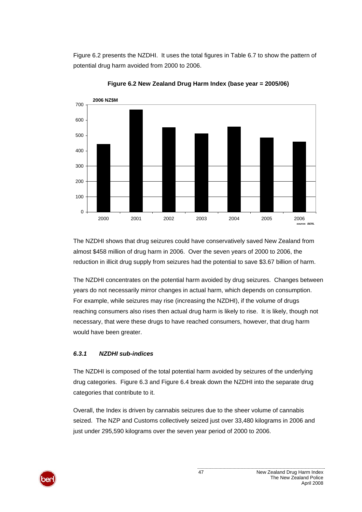[Figure 6.2](#page-52-0) presents the NZDHI. It uses the total figures in [Table 6.7](#page-51-1) to show the pattern of potential drug harm avoided from 2000 to 2006.

<span id="page-52-0"></span>

**Figure 6.2 New Zealand Drug Harm Index (base year = 2005/06)** 

The NZDHI shows that drug seizures could have conservatively saved New Zealand from almost \$458 million of drug harm in 2006. Over the seven years of 2000 to 2006, the reduction in illicit drug supply from seizures had the potential to save \$3.67 billion of harm.

The NZDHI concentrates on the potential harm avoided by drug seizures. Changes between years do not necessarily mirror changes in actual harm, which depends on consumption. For example, while seizures may rise (increasing the NZDHI), if the volume of drugs reaching consumers also rises then actual drug harm is likely to rise. It is likely, though not necessary, that were these drugs to have reached consumers, however, that drug harm would have been greater.

## *6.3.1 NZDHI sub-indices*

The NZDHI is composed of the total potential harm avoided by seizures of the underlying drug categories. [Figure 6.3](#page-53-0) and [Figure 6.4](#page-53-1) break down the NZDHI into the separate drug categories that contribute to it.

Overall, the Index is driven by cannabis seizures due to the sheer volume of cannabis seized. The NZP and Customs collectively seized just over 33,480 kilograms in 2006 and just under 295,590 kilograms over the seven year period of 2000 to 2006.

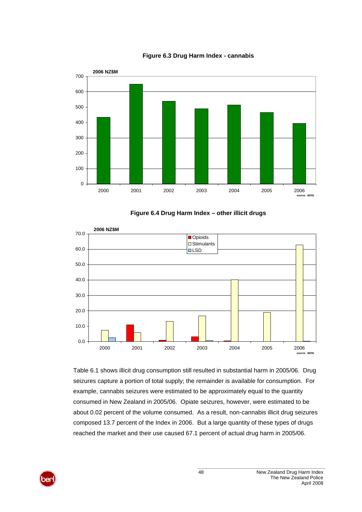<span id="page-53-0"></span>

#### **Figure 6.3 Drug Harm Index - cannabis**



<span id="page-53-1"></span>

[Table 6.1](#page-48-0) shows illicit drug consumption still resulted in substantial harm in 2005/06. Drug seizures capture a portion of total supply; the remainder is available for consumption. For example, cannabis seizures were estimated to be approximately equal to the quantity consumed in New Zealand in 2005/06. Opiate seizures, however, were estimated to be about 0.02 percent of the volume consumed. As a result, non-cannabis illicit drug seizures composed 13.7 percent of the Index in 2006. But a large quantity of these types of drugs reached the market and their use caused 67.1 percent of actual drug harm in 2005/06.

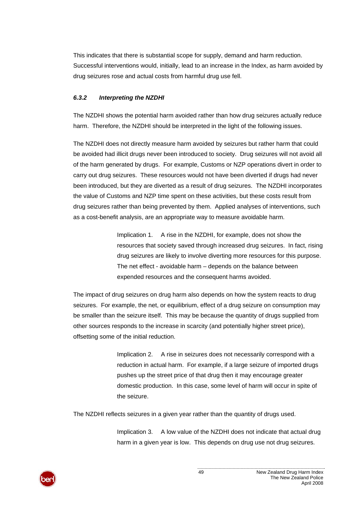This indicates that there is substantial scope for supply, demand and harm reduction. Successful interventions would, initially, lead to an increase in the Index, as harm avoided by drug seizures rose and actual costs from harmful drug use fell.

## *6.3.2 Interpreting the NZDHI*

The NZDHI shows the potential harm avoided rather than how drug seizures actually reduce harm. Therefore, the NZDHI should be interpreted in the light of the following issues.

The NZDHI does not directly measure harm avoided by seizures but rather harm that could be avoided had illicit drugs never been introduced to society. Drug seizures will not avoid all of the harm generated by drugs. For example, Customs or NZP operations divert in order to carry out drug seizures. These resources would not have been diverted if drugs had never been introduced, but they are diverted as a result of drug seizures. The NZDHI incorporates the value of Customs and NZP time spent on these activities, but these costs result from drug seizures rather than being prevented by them. Applied analyses of interventions, such as a cost-benefit analysis, are an appropriate way to measure avoidable harm.

> Implication 1. A rise in the NZDHI, for example, does not show the resources that society saved through increased drug seizures. In fact, rising drug seizures are likely to involve diverting more resources for this purpose. The net effect - avoidable harm – depends on the balance between expended resources and the consequent harms avoided.

The impact of drug seizures on drug harm also depends on how the system reacts to drug seizures. For example, the net, or equilibrium, effect of a drug seizure on consumption may be smaller than the seizure itself. This may be because the quantity of drugs supplied from other sources responds to the increase in scarcity (and potentially higher street price), offsetting some of the initial reduction.

> Implication 2. A rise in seizures does not necessarily correspond with a reduction in actual harm. For example, if a large seizure of imported drugs pushes up the street price of that drug then it may encourage greater domestic production. In this case, some level of harm will occur in spite of the seizure.

The NZDHI reflects seizures in a given year rather than the quantity of drugs used.

Implication 3. A low value of the NZDHI does not indicate that actual drug harm in a given year is low. This depends on drug use not drug seizures.

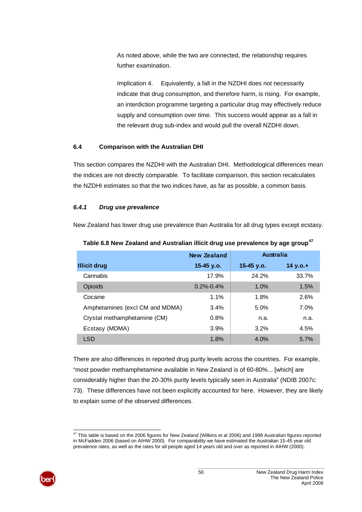<span id="page-55-0"></span>As noted above, while the two are connected, the relationship requires further examination.

Implication 4. Equivalently, a fall in the NZDHI does not necessarily indicate that drug consumption, and therefore harm, is rising. For example, an interdiction programme targeting a particular drug may effectively reduce supply and consumption over time. This success would appear as a fall in the relevant drug sub-index and would pull the overall NZDHI down.

## **6.4 Comparison with the Australian DHI**

This section compares the NZDHI with the Australian DHI. Methodological differences mean the indices are not directly comparable. To facilitate comparison, this section recalculates the NZDHI estimates so that the two indices have, as far as possible, a common basis.

## *6.4.1 Drug use prevalence*

New Zealand has lower drug use prevalence than Australia for all drug types except ecstasy.

|                                 | <b>New Zealand</b> | <b>Australia</b> |             |
|---------------------------------|--------------------|------------------|-------------|
| <b>Illicit drug</b>             | 15-45 y.o.         | 15-45 v.o.       | 14 y.o. $+$ |
| Cannabis                        | 17.9%              | 24.2%            | 33.7%       |
| <b>Opioids</b>                  | $0.2\% - 0.4\%$    | 1.0%             | 1.5%        |
| Cocaine                         | 1.1%               | 1.8%             | 2.6%        |
| Amphetamines (excl CM and MDMA) | 3.4%               | 5.0%             | 7.0%        |
| Crystal methamphetamine (CM)    | 0.8%               | n.a.             | n.a.        |
| Ecstasy (MDMA)                  | 3.9%               | 3.2%             | 4.5%        |
| <b>LSD</b>                      | 1.8%               | 4.0%             | 5.7%        |

**[47](#page-55-0) Table 6.8 New Zealand and Australian illicit drug use prevalence by age group**

There are also differences in reported drug purity levels across the countries. For example, "most powder methamphetamine available in New Zealand is of 60-80%... [which] are considerably higher than the 20-30% purity levels typically seen in Australia" (NDIB 2007c: 73). These differences have not been explicitly accounted for here. However, they are likely to explain some of the observed differences.

l  $^{47}$  This table is based on the 2006 figures for New Zealand (Wilkins et al 2006) and 1998 Australian figures reported in McFadden 2006 (based on AIHW 2000). For comparability we have estimated the Australian 15-45 year old prevalence rates, as well as the rates for all people aged 14 years old and over as reported in AIHW (2000).

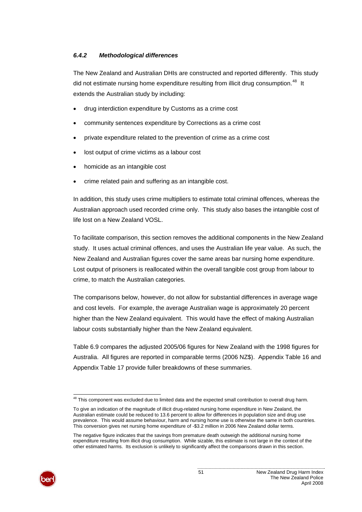## <span id="page-56-0"></span>*6.4.2 Methodological differences*

The New Zealand and Australian DHIs are constructed and reported differently. This study did not estimate nursing home expenditure resulting from illicit drug consumption.<sup>[48](#page-56-0)</sup> It extends the Australian study by including:

- drug interdiction expenditure by Customs as a crime cost
- community sentences expenditure by Corrections as a crime cost
- private expenditure related to the prevention of crime as a crime cost
- lost output of crime victims as a labour cost
- homicide as an intangible cost
- crime related pain and suffering as an intangible cost.

In addition, this study uses crime multipliers to estimate total criminal offences, whereas the Australian approach used recorded crime only. This study also bases the intangible cost of life lost on a New Zealand VOSL.

To facilitate comparison, this section removes the additional components in the New Zealand study. It uses actual criminal offences, and uses the Australian life year value. As such, the New Zealand and Australian figures cover the same areas bar nursing home expenditure. Lost output of prisoners is reallocated within the overall tangible cost group from labour to crime, to match the Australian categories.

The comparisons below, however, do not allow for substantial differences in average wage and cost levels. For example, the average Australian wage is approximately 20 percent higher than the New Zealand equivalent. This would have the effect of making Australian labour costs substantially higher than the New Zealand equivalent.

[Table 6.9](#page-57-0) compares the adjusted 2005/06 figures for New Zealand with the 1998 figures for Australia. All figures are reported in comparable terms (2006 NZ\$). [Appendix Table 16](#page-76-0) and [Appendix Table 17](#page-76-1) provide fuller breakdowns of these summaries.

The negative figure indicates that the savings from premature death outweigh the additional nursing home expenditure resulting from illicit drug consumption. While sizable, this estimate is not large in the context of the other estimated harms. Its exclusion is unlikely to significantly affect the comparisons drawn in this section.



l  $48$  This component was excluded due to limited data and the expected small contribution to overall drug harm.

To give an indication of the magnitude of illicit drug-related nursing home expenditure in New Zealand, the Australian estimate could be reduced to 13.6 percent to allow for differences in population size and drug use prevalence. This would assume behaviour, harm and nursing home use is otherwise the same in both countries. This conversion gives net nursing home expenditure of -\$3.2 million in 2006 New Zealand dollar terms.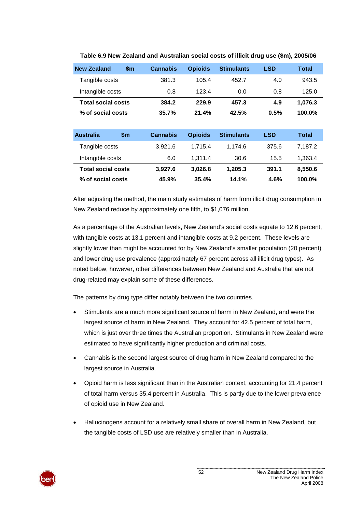<span id="page-57-0"></span>

| <b>New Zealand</b>        | $\mathsf{sm}$ | <b>Cannabis</b> | <b>Opioids</b> | <b>Stimulants</b> | <b>LSD</b> | Total        |
|---------------------------|---------------|-----------------|----------------|-------------------|------------|--------------|
| Tangible costs            |               | 381.3           | 105.4          | 452.7             | 4.0        | 943.5        |
| Intangible costs          |               | 0.8             | 123.4          | 0.0               | 0.8        | 125.0        |
| <b>Total social costs</b> |               | 384.2           | 229.9          | 457.3             | 4.9        | 1,076.3      |
| % of social costs         |               | 35.7%           | 21.4%          | 42.5%             | 0.5%       | 100.0%       |
|                           |               |                 |                |                   |            |              |
| <b>Australia</b>          | $\mathsf{sm}$ | <b>Cannabis</b> | <b>Opioids</b> | <b>Stimulants</b> | <b>LSD</b> | <b>Total</b> |
| Tangible costs            |               | 3,921.6         | 1,715.4        | 1,174.6           | 375.6      | 7,187.2      |
| Intangible costs          |               | 6.0             | 1.311.4        | 30.6              | 15.5       | 1.363.4      |
| <b>Total social costs</b> |               | 3,927.6         | 3,026.8        | 1,205.3           | 391.1      | 8,550.6      |
| % of social costs         |               | 45.9%           | 35.4%          | 14.1%             | 4.6%       | 100.0%       |

#### **Table 6.9 New Zealand and Australian social costs of illicit drug use (\$m), 2005/06**

After adjusting the method, the main study estimates of harm from illicit drug consumption in New Zealand reduce by approximately one fifth, to \$1,076 million.

As a percentage of the Australian levels, New Zealand's social costs equate to 12.6 percent, with tangible costs at 13.1 percent and intangible costs at 9.2 percent. These levels are slightly lower than might be accounted for by New Zealand's smaller population (20 percent) and lower drug use prevalence (approximately 67 percent across all illicit drug types). As noted below, however, other differences between New Zealand and Australia that are not drug-related may explain some of these differences.

The patterns by drug type differ notably between the two countries.

- Stimulants are a much more significant source of harm in New Zealand, and were the largest source of harm in New Zealand. They account for 42.5 percent of total harm, which is just over three times the Australian proportion. Stimulants in New Zealand were estimated to have significantly higher production and criminal costs.
- Cannabis is the second largest source of drug harm in New Zealand compared to the largest source in Australia.
- Opioid harm is less significant than in the Australian context, accounting for 21.4 percent of total harm versus 35.4 percent in Australia. This is partly due to the lower prevalence of opioid use in New Zealand.
- Hallucinogens account for a relatively small share of overall harm in New Zealand, but the tangible costs of LSD use are relatively smaller than in Australia.

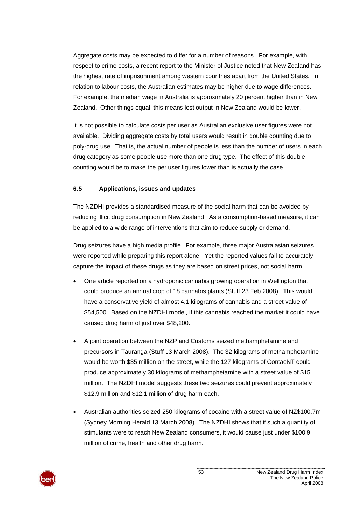Aggregate costs may be expected to differ for a number of reasons. For example, with respect to crime costs, a recent report to the Minister of Justice noted that New Zealand has the highest rate of imprisonment among western countries apart from the United States. In relation to labour costs, the Australian estimates may be higher due to wage differences. For example, the median wage in Australia is approximately 20 percent higher than in New Zealand. Other things equal, this means lost output in New Zealand would be lower.

It is not possible to calculate costs per user as Australian exclusive user figures were not available. Dividing aggregate costs by total users would result in double counting due to poly-drug use. That is, the actual number of people is less than the number of users in each drug category as some people use more than one drug type. The effect of this double counting would be to make the per user figures lower than is actually the case.

## **6.5 Applications, issues and updates**

The NZDHI provides a standardised measure of the social harm that can be avoided by reducing illicit drug consumption in New Zealand. As a consumption-based measure, it can be applied to a wide range of interventions that aim to reduce supply or demand.

Drug seizures have a high media profile. For example, three major Australasian seizures were reported while preparing this report alone. Yet the reported values fail to accurately capture the impact of these drugs as they are based on street prices, not social harm.

- One article reported on a hydroponic cannabis growing operation in Wellington that could produce an annual crop of 18 cannabis plants (Stuff 23 Feb 2008). This would have a conservative yield of almost 4.1 kilograms of cannabis and a street value of \$54,500. Based on the NZDHI model, if this cannabis reached the market it could have caused drug harm of just over \$48,200.
- A joint operation between the NZP and Customs seized methamphetamine and precursors in Tauranga (Stuff 13 March 2008). The 32 kilograms of methamphetamine would be worth \$35 million on the street, while the 127 kilograms of ContacNT could produce approximately 30 kilograms of methamphetamine with a street value of \$15 million. The NZDHI model suggests these two seizures could prevent approximately \$12.9 million and \$12.1 million of drug harm each.
- Australian authorities seized 250 kilograms of cocaine with a street value of NZ\$100.7m (Sydney Morning Herald 13 March 2008). The NZDHI shows that if such a quantity of stimulants were to reach New Zealand consumers, it would cause just under \$100.9 million of crime, health and other drug harm.

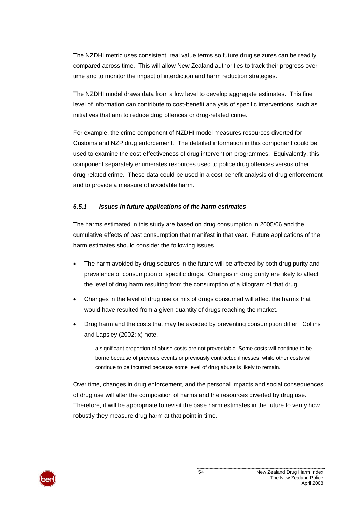The NZDHI metric uses consistent, real value terms so future drug seizures can be readily compared across time. This will allow New Zealand authorities to track their progress over time and to monitor the impact of interdiction and harm reduction strategies.

The NZDHI model draws data from a low level to develop aggregate estimates. This fine level of information can contribute to cost-benefit analysis of specific interventions, such as initiatives that aim to reduce drug offences or drug-related crime.

For example, the crime component of NZDHI model measures resources diverted for Customs and NZP drug enforcement. The detailed information in this component could be used to examine the cost-effectiveness of drug intervention programmes. Equivalently, this component separately enumerates resources used to police drug offences versus other drug-related crime. These data could be used in a cost-benefit analysis of drug enforcement and to provide a measure of avoidable harm.

#### *6.5.1 Issues in future applications of the harm estimates*

The harms estimated in this study are based on drug consumption in 2005/06 and the cumulative effects of past consumption that manifest in that year. Future applications of the harm estimates should consider the following issues.

- The harm avoided by drug seizures in the future will be affected by both drug purity and prevalence of consumption of specific drugs. Changes in drug purity are likely to affect the level of drug harm resulting from the consumption of a kilogram of that drug.
- Changes in the level of drug use or mix of drugs consumed will affect the harms that would have resulted from a given quantity of drugs reaching the market.
- Drug harm and the costs that may be avoided by preventing consumption differ. Collins and Lapsley (2002: x) note,

a significant proportion of abuse costs are not preventable. Some costs will continue to be borne because of previous events or previously contracted illnesses, while other costs will continue to be incurred because some level of drug abuse is likely to remain.

Over time, changes in drug enforcement, and the personal impacts and social consequences of drug use will alter the composition of harms and the resources diverted by drug use. Therefore, it will be appropriate to revisit the base harm estimates in the future to verify how robustly they measure drug harm at that point in time.

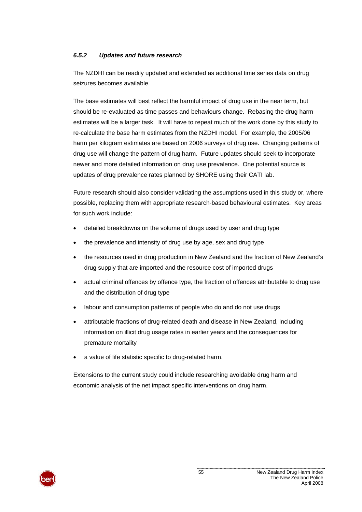#### *6.5.2 Updates and future research*

The NZDHI can be readily updated and extended as additional time series data on drug seizures becomes available.

The base estimates will best reflect the harmful impact of drug use in the near term, but should be re-evaluated as time passes and behaviours change. Rebasing the drug harm estimates will be a larger task. It will have to repeat much of the work done by this study to re-calculate the base harm estimates from the NZDHI model. For example, the 2005/06 harm per kilogram estimates are based on 2006 surveys of drug use. Changing patterns of drug use will change the pattern of drug harm. Future updates should seek to incorporate newer and more detailed information on drug use prevalence. One potential source is updates of drug prevalence rates planned by SHORE using their CATI lab.

Future research should also consider validating the assumptions used in this study or, where possible, replacing them with appropriate research-based behavioural estimates. Key areas for such work include:

- detailed breakdowns on the volume of drugs used by user and drug type
- the prevalence and intensity of drug use by age, sex and drug type
- the resources used in drug production in New Zealand and the fraction of New Zealand's drug supply that are imported and the resource cost of imported drugs
- actual criminal offences by offence type, the fraction of offences attributable to drug use and the distribution of drug type
- labour and consumption patterns of people who do and do not use drugs
- attributable fractions of drug-related death and disease in New Zealand, including information on illicit drug usage rates in earlier years and the consequences for premature mortality
- a value of life statistic specific to drug-related harm.

Extensions to the current study could include researching avoidable drug harm and economic analysis of the net impact specific interventions on drug harm.

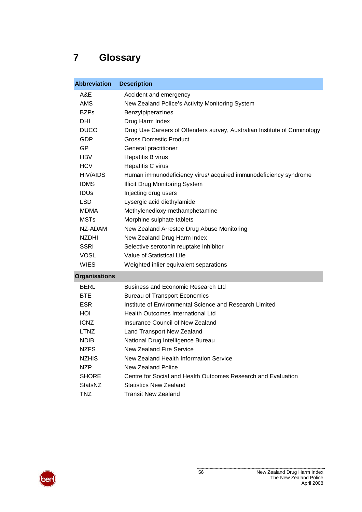# **7 Glossary**

| <b>Abbreviation</b>  | <b>Description</b>                                                        |
|----------------------|---------------------------------------------------------------------------|
| A&E                  | Accident and emergency                                                    |
| <b>AMS</b>           | New Zealand Police's Activity Monitoring System                           |
| <b>BZPs</b>          | Benzylpiperazines                                                         |
| DHI                  | Drug Harm Index                                                           |
| <b>DUCO</b>          | Drug Use Careers of Offenders survey, Australian Institute of Criminology |
| GDP                  | <b>Gross Domestic Product</b>                                             |
| GP                   | General practitioner                                                      |
| <b>HBV</b>           | Hepatitis B virus                                                         |
| <b>HCV</b>           | Hepatitis C virus                                                         |
| <b>HIV/AIDS</b>      | Human immunodeficiency virus/ acquired immunodeficiency syndrome          |
| <b>IDMS</b>          | <b>Illicit Drug Monitoring System</b>                                     |
| <b>IDUS</b>          | Injecting drug users                                                      |
| <b>LSD</b>           | Lysergic acid diethylamide                                                |
| <b>MDMA</b>          | Methylenedioxy-methamphetamine                                            |
| <b>MSTs</b>          | Morphine sulphate tablets                                                 |
| NZ-ADAM              | New Zealand Arrestee Drug Abuse Monitoring                                |
| <b>NZDHI</b>         | New Zealand Drug Harm Index                                               |
| <b>SSRI</b>          | Selective serotonin reuptake inhibitor                                    |
| <b>VOSL</b>          | Value of Statistical Life                                                 |
| <b>WIES</b>          | Weighted inlier equivalent separations                                    |
| <b>Organisations</b> |                                                                           |
| <b>BERL</b>          | <b>Business and Economic Research Ltd</b>                                 |
| <b>BTE</b>           | <b>Bureau of Transport Economics</b>                                      |
| <b>ESR</b>           | Institute of Environmental Science and Research Limited                   |
| HOI                  | Health Outcomes International Ltd                                         |
| <b>ICNZ</b>          | Insurance Council of New Zealand                                          |
| <b>LTNZ</b>          | Land Transport New Zealand                                                |
| <b>NDIB</b>          | National Drug Intelligence Bureau                                         |
| <b>NZFS</b>          | <b>New Zealand Fire Service</b>                                           |
| <b>NZHIS</b>         | New Zealand Health Information Service                                    |
| <b>NZP</b>           | New Zealand Police                                                        |
| <b>SHORE</b>         | Centre for Social and Health Outcomes Research and Evaluation             |
| StatsNZ              | <b>Statistics New Zealand</b>                                             |
| <b>TNZ</b>           | <b>Transit New Zealand</b>                                                |

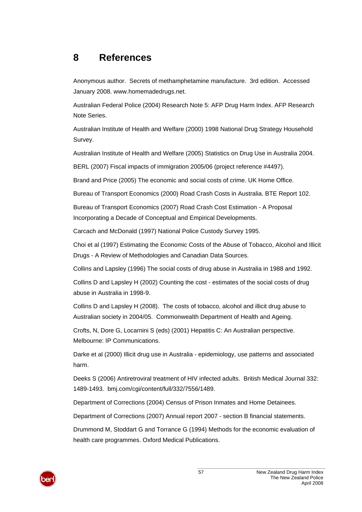## **8 References**

Anonymous author. Secrets of methamphetamine manufacture. 3rd edition. Accessed January 2008. www.homemadedrugs.net.

Australian Federal Police (2004) Research Note 5: AFP Drug Harm Index. AFP Research Note Series.

Australian Institute of Health and Welfare (2000) 1998 National Drug Strategy Household Survey.

Australian Institute of Health and Welfare (2005) Statistics on Drug Use in Australia 2004.

BERL (2007) Fiscal impacts of immigration 2005/06 (project reference #4497).

Brand and Price (2005) The economic and social costs of crime. UK Home Office.

Bureau of Transport Economics (2000) Road Crash Costs in Australia. BTE Report 102.

Bureau of Transport Economics (2007) Road Crash Cost Estimation - A Proposal Incorporating a Decade of Conceptual and Empirical Developments.

Carcach and McDonald (1997) National Police Custody Survey 1995.

Choi et al (1997) Estimating the Economic Costs of the Abuse of Tobacco, Alcohol and Illicit Drugs - A Review of Methodologies and Canadian Data Sources.

Collins and Lapsley (1996) The social costs of drug abuse in Australia in 1988 and 1992.

Collins D and Lapsley H (2002) Counting the cost - estimates of the social costs of drug abuse in Australia in 1998-9.

Collins D and Lapsley H (2008). The costs of tobacco, alcohol and illicit drug abuse to Australian society in 2004/05. Commonwealth Department of Health and Ageing.

Crofts, N, Dore G, Locarnini S (eds) (2001) Hepatitis C: An Australian perspective. Melbourne: IP Communications.

Darke et al (2000) Illicit drug use in Australia - epidemiology, use patterns and associated harm.

Deeks S (2006) Antiretroviral treatment of HIV infected adults. British Medical Journal 332: 1489-1493. bmj.com/cgi/content/full/332/7556/1489.

Department of Corrections (2004) Census of Prison Inmates and Home Detainees.

Department of Corrections (2007) Annual report 2007 - section B financial statements.

Drummond M, Stoddart G and Torrance G (1994) Methods for the economic evaluation of health care programmes. Oxford Medical Publications.

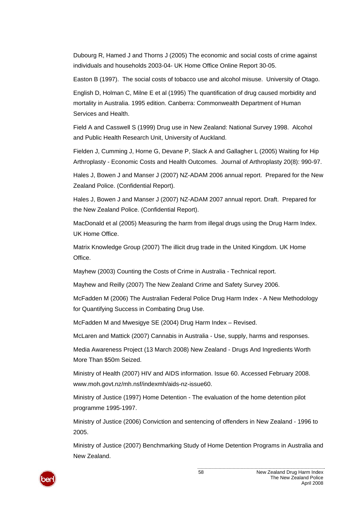Dubourg R, Hamed J and Thorns J (2005) The economic and social costs of crime against individuals and households 2003-04- UK Home Office Online Report 30-05.

Easton B (1997). The social costs of tobacco use and alcohol misuse. University of Otago.

English D, Holman C, Milne E et al (1995) The quantification of drug caused morbidity and mortality in Australia. 1995 edition. Canberra: Commonwealth Department of Human Services and Health.

Field A and Casswell S (1999) Drug use in New Zealand: National Survey 1998. Alcohol and Public Health Research Unit, University of Auckland.

Fielden J, Cumming J, Horne G, Devane P, Slack A and Gallagher L (2005) Waiting for Hip Arthroplasty - Economic Costs and Health Outcomes. Journal of Arthroplasty 20(8): 990-97.

Hales J, Bowen J and Manser J (2007) NZ-ADAM 2006 annual report. Prepared for the New Zealand Police. (Confidential Report).

Hales J, Bowen J and Manser J (2007) NZ-ADAM 2007 annual report. Draft. Prepared for the New Zealand Police. (Confidential Report).

MacDonald et al (2005) Measuring the harm from illegal drugs using the Drug Harm Index. UK Home Office.

Matrix Knowledge Group (2007) The illicit drug trade in the United Kingdom. UK Home **Office** 

Mayhew (2003) Counting the Costs of Crime in Australia - Technical report.

Mayhew and Reilly (2007) The New Zealand Crime and Safety Survey 2006.

McFadden M (2006) The Australian Federal Police Drug Harm Index - A New Methodology for Quantifying Success in Combating Drug Use.

McFadden M and Mwesigye SE (2004) Drug Harm Index – Revised.

McLaren and Mattick (2007) Cannabis in Australia - Use, supply, harms and responses.

Media Awareness Project (13 March 2008) New Zealand - Drugs And Ingredients Worth More Than \$50m Seized.

Ministry of Health (2007) HIV and AIDS information. Issue 60. Accessed February 2008. www.moh.govt.nz/mh.nsf/indexmh/aids-nz-issue60.

Ministry of Justice (1997) Home Detention - The evaluation of the home detention pilot programme 1995-1997.

Ministry of Justice (2006) Conviction and sentencing of offenders in New Zealand - 1996 to 2005.

Ministry of Justice (2007) Benchmarking Study of Home Detention Programs in Australia and New Zealand.

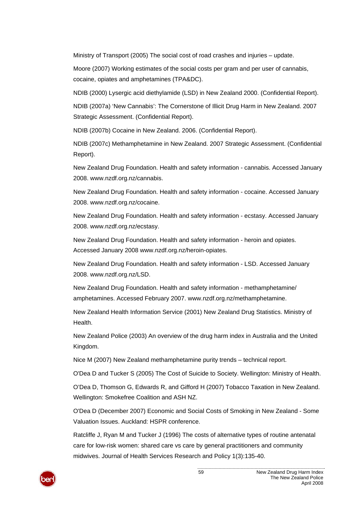Ministry of Transport (2005) The social cost of road crashes and injuries – update.

Moore (2007) Working estimates of the social costs per gram and per user of cannabis, cocaine, opiates and amphetamines (TPA&DC).

NDIB (2000) Lysergic acid diethylamide (LSD) in New Zealand 2000. (Confidential Report).

NDIB (2007a) 'New Cannabis': The Cornerstone of Illicit Drug Harm in New Zealand. 2007 Strategic Assessment. (Confidential Report).

NDIB (2007b) Cocaine in New Zealand. 2006. (Confidential Report).

NDIB (2007c) Methamphetamine in New Zealand. 2007 Strategic Assessment. (Confidential Report).

New Zealand Drug Foundation. Health and safety information - cannabis. Accessed January 2008. www.nzdf.org.nz/cannabis.

New Zealand Drug Foundation. Health and safety information - cocaine. Accessed January 2008. www.nzdf.org.nz/cocaine.

New Zealand Drug Foundation. Health and safety information - ecstasy. Accessed January 2008. www.nzdf.org.nz/ecstasy.

New Zealand Drug Foundation. Health and safety information - heroin and opiates. Accessed January 2008 www.nzdf.org.nz/heroin-opiates.

New Zealand Drug Foundation. Health and safety information - LSD. Accessed January 2008. www.nzdf.org.nz/LSD.

New Zealand Drug Foundation. Health and safety information - methamphetamine/ amphetamines. Accessed February 2007. www.nzdf.org.nz/methamphetamine.

New Zealand Health Information Service (2001) New Zealand Drug Statistics. Ministry of Health.

New Zealand Police (2003) An overview of the drug harm index in Australia and the United Kingdom.

Nice M (2007) New Zealand methamphetamine purity trends – technical report.

O'Dea D and Tucker S (2005) The Cost of Suicide to Society. Wellington: Ministry of Health.

O'Dea D, Thomson G, Edwards R, and Gifford H (2007) Tobacco Taxation in New Zealand. Wellington: Smokefree Coalition and ASH NZ.

O'Dea D (December 2007) Economic and Social Costs of Smoking in New Zealand - Some Valuation Issues. Auckland: HSPR conference.

Ratcliffe J, Ryan M and Tucker J (1996) The costs of alternative types of routine antenatal care for low-risk women: shared care vs care by general practitioners and community midwives. Journal of Health Services Research and Policy 1(3):135-40.

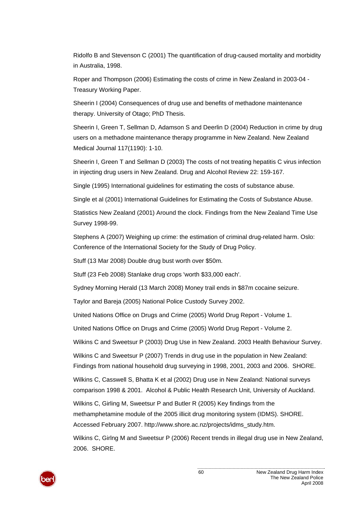Ridolfo B and Stevenson C (2001) The quantification of drug-caused mortality and morbidity in Australia, 1998.

Roper and Thompson (2006) Estimating the costs of crime in New Zealand in 2003-04 - Treasury Working Paper.

Sheerin I (2004) Consequences of drug use and benefits of methadone maintenance therapy. University of Otago; PhD Thesis.

Sheerin I, Green T, Sellman D, Adamson S and Deerlin D (2004) Reduction in crime by drug users on a methadone maintenance therapy programme in New Zealand. New Zealand Medical Journal 117(1190): 1-10.

Sheerin I, Green T and Sellman D (2003) The costs of not treating hepatitis C virus infection in injecting drug users in New Zealand. Drug and Alcohol Review 22: 159-167.

Single (1995) International guidelines for estimating the costs of substance abuse.

Single et al (2001) International Guidelines for Estimating the Costs of Substance Abuse.

Statistics New Zealand (2001) Around the clock. Findings from the New Zealand Time Use Survey 1998-99.

Stephens A (2007) Weighing up crime: the estimation of criminal drug-related harm. Oslo: Conference of the International Society for the Study of Drug Policy.

Stuff (13 Mar 2008) Double drug bust worth over \$50m.

Stuff (23 Feb 2008) Stanlake drug crops 'worth \$33,000 each'.

Sydney Morning Herald (13 March 2008) Money trail ends in \$87m cocaine seizure.

Taylor and Bareja (2005) National Police Custody Survey 2002.

United Nations Office on Drugs and Crime (2005) World Drug Report - Volume 1.

United Nations Office on Drugs and Crime (2005) World Drug Report - Volume 2.

Wilkins C and Sweetsur P (2003) Drug Use in New Zealand. 2003 Health Behaviour Survey.

Wilkins C and Sweetsur P (2007) Trends in drug use in the population in New Zealand: Findings from national household drug surveying in 1998, 2001, 2003 and 2006. SHORE.

Wilkins C, Casswell S, Bhatta K et al (2002) Drug use in New Zealand: National surveys comparison 1998 & 2001. Alcohol & Public Health Research Unit, University of Auckland.

Wilkins C, Girling M, Sweetsur P and Butler R (2005) Key findings from the methamphetamine module of the 2005 illicit drug monitoring system (IDMS). SHORE. Accessed February 2007. http://www.shore.ac.nz/projects/idms\_study.htm.

Wilkins C, Girlng M and Sweetsur P (2006) Recent trends in illegal drug use in New Zealand, 2006. SHORE.

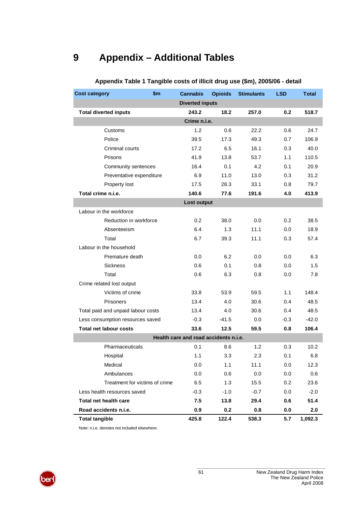## **9 Appendix – Additional Tables**

<span id="page-66-0"></span>

| <b>Cost category</b>               | \$m\$        | <b>Cannabis</b>                       | <b>Opioids</b> | <b>Stimulants</b> | <b>LSD</b> | <b>Total</b> |  |
|------------------------------------|--------------|---------------------------------------|----------------|-------------------|------------|--------------|--|
|                                    |              | <b>Diverted inputs</b>                |                |                   |            |              |  |
| <b>Total diverted inputs</b>       |              | 243.2                                 | 18.2           | 257.0             | 0.2        | 518.7        |  |
|                                    | Crime n.i.e. |                                       |                |                   |            |              |  |
| Customs                            |              | 1.2                                   | 0.6            | 22.2              | 0.6        | 24.7         |  |
| Police                             |              | 39.5                                  | 17.3           | 49.3              | 0.7        | 106.9        |  |
| Criminal courts                    |              | 17.2                                  | 6.5            | 16.1              | 0.3        | 40.0         |  |
| Prisons                            |              | 41.9                                  | 13.8           | 53.7              | 1.1        | 110.5        |  |
| Community sentences                |              | 16.4                                  | 0.1            | 4.2               | 0.1        | 20.9         |  |
| Preventative expenditure           |              | 6.9                                   | 11.0           | 13.0              | 0.3        | 31.2         |  |
| Property lost                      |              | 17.5                                  | 28.3           | 33.1              | 0.8        | 79.7         |  |
| Total crime n.i.e.                 |              | 140.6                                 | 77.6           | 191.6             | 4.0        | 413.9        |  |
|                                    |              | Lost output                           |                |                   |            |              |  |
| Labour in the workforce            |              |                                       |                |                   |            |              |  |
| Reduction in workforce             |              | 0.2                                   | 38.0           | 0.0               | 0.2        | 38.5         |  |
| Absenteeism                        |              | 6.4                                   | 1.3            | 11.1              | 0.0        | 18.9         |  |
| Total                              |              | 6.7                                   | 39.3           | 11.1              | 0.3        | 57.4         |  |
| Labour in the household            |              |                                       |                |                   |            |              |  |
| Premature death                    |              | 0.0                                   | 6.2            | 0.0               | 0.0        | 6.3          |  |
| <b>Sickness</b>                    |              | 0.6                                   | 0.1            | 0.8               | 0.0        | 1.5          |  |
| Total                              |              | 0.6                                   | 6.3            | 0.8               | 0.0        | 7.8          |  |
| Crime related lost output          |              |                                       |                |                   |            |              |  |
| Victims of crime                   |              | 33.8                                  | 53.9           | 59.5              | 1.1        | 148.4        |  |
| Prisoners                          |              | 13.4                                  | 4.0            | 30.6              | 0.4        | 48.5         |  |
| Total paid and unpaid labour costs |              | 13.4                                  | 4.0            | 30.6              | 0.4        | 48.5         |  |
| Less consumption resources saved   |              | $-0.3$                                | $-41.5$        | 0.0               | $-0.3$     | $-42.0$      |  |
| <b>Total net labour costs</b>      |              | 33.6                                  | 12.5           | 59.5              | 0.8        | 106.4        |  |
|                                    |              | Health care and road accidents n.i.e. |                |                   |            |              |  |
| Pharmaceuticals                    |              | 0.1                                   | 8.6            | 1.2               | 0.3        | 10.2         |  |
| Hospital                           |              | 1.1                                   | 3.3            | 2.3               | 0.1        | 6.8          |  |
| Medical                            |              | 0.0                                   | 1.1            | 11.1              | 0.0        | 12.3         |  |
| Ambulances                         |              | 0.0                                   | 0.6            | 0.0               | 0.0        | 0.6          |  |
| Treatment for victims of crime     |              | 6.5                                   | 1.3            | 15.5              | 0.2        | 23.6         |  |
| Less health resources saved        |              | $-0.3$                                | $-1.0$         | $-0.7$            | 0.0        | $-2.0$       |  |
| Total net health care              |              | 7.5                                   | 13.8           | 29.4              | 0.6        | 51.4         |  |
| Road accidents n.i.e.              |              | 0.9                                   | 0.2            | 0.8               | 0.0        | 2.0          |  |
| <b>Total tangible</b>              |              | 425.8                                 | 122.4          | 538.3             | 5.7        | 1,092.3      |  |

## **Appendix Table 1 Tangible costs of illicit drug use (\$m), 2005/06 - detail**

Note: n.i.e. denotes not included elsewhere.

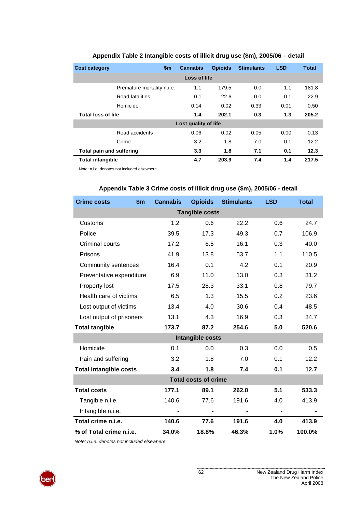<span id="page-67-0"></span>

| <b>Cost category</b>            | \$m                        | <b>Cannabis</b>      | <b>Opioids</b> | <b>Stimulants</b> | <b>LSD</b> | <b>Total</b> |
|---------------------------------|----------------------------|----------------------|----------------|-------------------|------------|--------------|
|                                 |                            | Loss of life         |                |                   |            |              |
|                                 | Premature mortality n.i.e. | 1.1                  | 179.5          | 0.0               | 1.1        | 181.8        |
|                                 | Road fatalities            | 0.1                  | 22.6           | 0.0               | 0.1        | 22.9         |
|                                 | Homicide                   | 0.14                 | 0.02           | 0.33              | 0.01       | 0.50         |
| Total loss of life              |                            | 1.4                  | 202.1          | 0.3               | 1.3        | 205.2        |
|                                 |                            | Lost quality of life |                |                   |            |              |
|                                 | Road accidents             | 0.06                 | 0.02           | 0.05              | 0.00       | 0.13         |
|                                 | Crime                      | 3.2                  | 1.8            | 7.0               | 0.1        | 12.2         |
| <b>Total pain and suffering</b> |                            | 3.3                  | 1.8            | 7.1               | 0.1        | 12.3         |
| <b>Total intangible</b>         |                            | 4.7                  | 203.9          | 7.4               | 1.4        | 217.5        |

## **Appendix Table 2 Intangible costs of illicit drug use (\$m), 2005/06 – detail**

Note: n.i.e. denotes not included elsewhere.

| <b>Crime costs</b>            | <b>Cannabis</b><br>$\mathbf{\$m}$ | <b>Opioids</b>              | <b>Stimulants</b> | <b>LSD</b>     | <b>Total</b> |  |  |  |
|-------------------------------|-----------------------------------|-----------------------------|-------------------|----------------|--------------|--|--|--|
|                               | <b>Tangible costs</b>             |                             |                   |                |              |  |  |  |
| Customs                       | 1.2                               | 0.6                         | 22.2              | 0.6            | 24.7         |  |  |  |
| Police                        | 39.5                              | 17.3                        | 49.3              | 0.7            | 106.9        |  |  |  |
| Criminal courts               | 17.2                              | 6.5                         | 16.1              | 0.3            | 40.0         |  |  |  |
| Prisons                       | 41.9                              | 13.8                        | 53.7              | 1.1            | 110.5        |  |  |  |
| Community sentences           | 16.4                              | 0.1                         | 4.2               | 0.1            | 20.9         |  |  |  |
| Preventative expenditure      | 6.9                               | 11.0                        | 13.0              | 0.3            | 31.2         |  |  |  |
| Property lost                 | 17.5                              | 28.3                        | 33.1              | 0.8            | 79.7         |  |  |  |
| Health care of victims        | 6.5                               | 1.3                         | 15.5              | 0.2            | 23.6         |  |  |  |
| Lost output of victims        | 13.4                              | 4.0                         | 30.6              | 0.4            | 48.5         |  |  |  |
| Lost output of prisoners      | 13.1                              | 4.3                         | 16.9              | 0.3            | 34.7         |  |  |  |
| <b>Total tangible</b>         | 173.7                             | 87.2                        | 254.6             | 5.0            | 520.6        |  |  |  |
|                               |                                   | <b>Intangible costs</b>     |                   |                |              |  |  |  |
| Homicide                      | 0.1                               | 0.0                         | 0.3               | 0.0            | 0.5          |  |  |  |
| Pain and suffering            | 3.2                               | 1.8                         | 7.0               | 0.1            | 12.2         |  |  |  |
| <b>Total intangible costs</b> | 3.4                               | 1.8                         | 7.4               | 0.1            | 12.7         |  |  |  |
|                               |                                   | <b>Total costs of crime</b> |                   |                |              |  |  |  |
| <b>Total costs</b>            | 177.1                             | 89.1                        | 262.0             | 5.1            | 533.3        |  |  |  |
| Tangible n.i.e.               | 140.6                             | 77.6                        | 191.6             | 4.0            | 413.9        |  |  |  |
| Intangible n.i.e.             |                                   |                             |                   | $\blacksquare$ |              |  |  |  |
| Total crime n.i.e.            | 140.6                             | 77.6                        | 191.6             | 4.0            | 413.9        |  |  |  |
| % of Total crime n.i.e.       | 34.0%                             | 18.8%                       | 46.3%             | 1.0%           | 100.0%       |  |  |  |

## **Appendix Table 3 Crime costs of illicit drug use (\$m), 2005/06 - detail**

*Note: n.i.e. denotes not included elsewhere.*

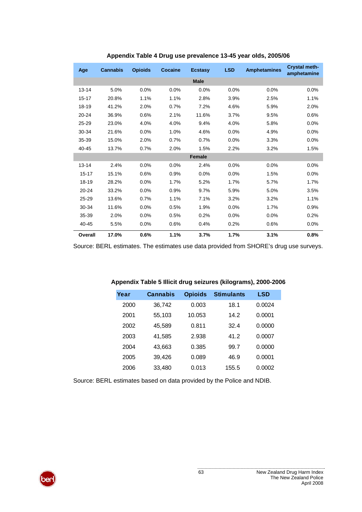| Age       | <b>Cannabis</b> | <b>Opioids</b> | <b>Cocaine</b> | <b>Ecstasy</b> | <b>LSD</b> | <b>Amphetamines</b> | Crystal meth-<br>amphetamine |
|-----------|-----------------|----------------|----------------|----------------|------------|---------------------|------------------------------|
|           |                 |                |                | <b>Male</b>    |            |                     |                              |
| $13 - 14$ | 5.0%            | 0.0%           | 0.0%           | 0.0%           | 0.0%       | 0.0%                | 0.0%                         |
| $15 - 17$ | 20.8%           | 1.1%           | 1.1%           | 2.8%           | 3.9%       | 2.5%                | 1.1%                         |
| 18-19     | 41.2%           | 2.0%           | 0.7%           | 7.2%           | 4.6%       | 5.9%                | 2.0%                         |
| $20 - 24$ | 36.9%           | 0.6%           | 2.1%           | 11.6%          | 3.7%       | 9.5%                | 0.6%                         |
| $25 - 29$ | 23.0%           | 4.0%           | 4.0%           | 9.4%           | 4.0%       | 5.8%                | 0.0%                         |
| 30-34     | 21.6%           | 0.0%           | 1.0%           | 4.6%           | 0.0%       | 4.9%                | 0.0%                         |
| 35-39     | 15.0%           | 2.0%           | 0.7%           | 0.7%           | 0.0%       | 3.3%                | 0.0%                         |
| 40-45     | 13.7%           | 0.7%           | 2.0%           | 1.5%           | 2.2%       | 3.2%                | 1.5%                         |
|           |                 |                |                | <b>Female</b>  |            |                     |                              |
| $13 - 14$ | 2.4%            | 0.0%           | 0.0%           | 2.4%           | 0.0%       | 0.0%                | 0.0%                         |
| $15 - 17$ | 15.1%           | 0.6%           | 0.9%           | 0.0%           | 0.0%       | 1.5%                | 0.0%                         |
| 18-19     | 28.2%           | 0.0%           | 1.7%           | 5.2%           | 1.7%       | 5.7%                | 1.7%                         |
| $20 - 24$ | 33.2%           | 0.0%           | 0.9%           | 9.7%           | 5.9%       | 5.0%                | 3.5%                         |
| 25-29     | 13.6%           | 0.7%           | 1.1%           | 7.1%           | 3.2%       | 3.2%                | 1.1%                         |
| 30-34     | 11.6%           | 0.0%           | 0.5%           | 1.9%           | 0.0%       | 1.7%                | 0.9%                         |
| 35-39     | 2.0%            | 0.0%           | 0.5%           | 0.2%           | 0.0%       | 0.0%                | 0.2%                         |
| 40-45     | 5.5%            | 0.0%           | 0.6%           | 0.4%           | 0.2%       | 0.6%                | 0.0%                         |
| Overall   | 17.0%           | 0.6%           | 1.1%           | 3.7%           | 1.7%       | 3.1%                | 0.8%                         |

#### **Appendix Table 4 Drug use prevalence 13-45 year olds, 2005/06**

Source: BERL estimates. The estimates use data provided from SHORE's drug use surveys.

| Year | <b>Cannabis</b> | <b>Opioids</b> | <b>Stimulants</b> | <b>LSD</b> |
|------|-----------------|----------------|-------------------|------------|
| 2000 | 36,742          | 0.003          | 18.1              | 0.0024     |
| 2001 | 55,103          | 10.053         | 14.2              | 0.0001     |
| 2002 | 45,589          | 0.811          | 32.4              | 0.0000     |
| 2003 | 41,585          | 2.938          | 41 2              | 0.0007     |
| 2004 | 43,663          | 0.385          | 99.7              | 0.0000     |
| 2005 | 39,426          | 0.089          | 46.9              | 0.0001     |
| 2006 | 33,480          | 0.013          | 155.5             | 0.0002     |

#### **Appendix Table 5 Illicit drug seizures (kilograms), 2000-2006**

Source: BERL estimates based on data provided by the Police and NDIB.

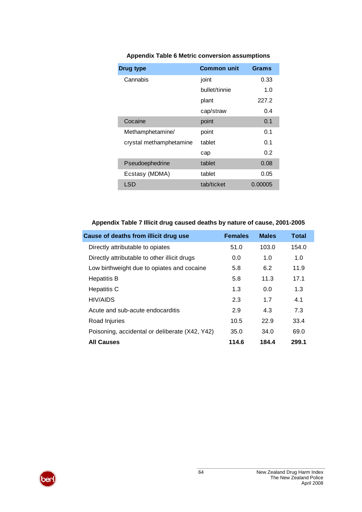| <b>Drug type</b>        | <b>Common unit</b> | Grams       |
|-------------------------|--------------------|-------------|
| Cannabis                | joint              | 0.33        |
|                         | bullet/tinnie      | 1. $\Omega$ |
|                         | plant              | 227.2       |
|                         | cap/straw          | 0.4         |
| Cocaine                 | point              | 0.1         |
| Methamphetamine/        | point              | 0.1         |
| crystal methamphetamine | tablet             | 0.1         |
|                         | cap                | 0.2         |
| Pseudoephedrine         | tablet             | 0.08        |
| Ecstasy (MDMA)          | tablet             | 0.05        |
| LSD                     | tab/ticket         | 0.00005     |

## **Appendix Table 6 Metric conversion assumptions**

## **Appendix Table 7 Illicit drug caused deaths by nature of cause, 2001-2005**

| Cause of deaths from illicit drug use          | <b>Females</b> | <b>Males</b> | <b>Total</b> |
|------------------------------------------------|----------------|--------------|--------------|
| Directly attributable to opiates               | 51.0           | 103.0        | 154.0        |
| Directly attributable to other illicit drugs   | 0.0            | 1.0          | 1.0          |
| Low birthweight due to opiates and cocaine     | 5.8            | 6.2          | 11.9         |
| <b>Hepatitis B</b>                             | 5.8            | 11.3         | 17.1         |
| Hepatitis C                                    | 1.3            | 0.0          | 1.3          |
| <b>HIV/AIDS</b>                                | 2.3            | 1.7          | 4.1          |
| Acute and sub-acute endocarditis               | 2.9            | 4.3          | 7.3          |
| Road Injuries                                  | 10.5           | 22.9         | 33.4         |
| Poisoning, accidental or deliberate (X42, Y42) | 35.0           | 34.0         | 69.0         |
| <b>All Causes</b>                              | 114.6          | 184.4        | 299.1        |

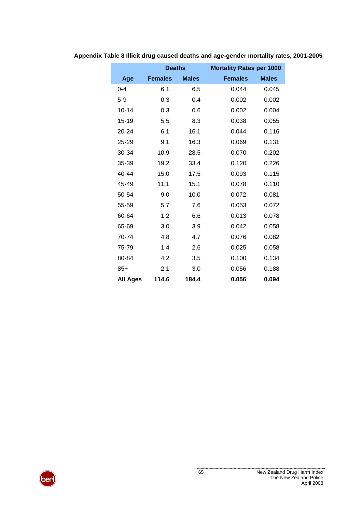|                 | <b>Deaths</b>  |              | <b>Mortality Rates per 1000</b> |              |
|-----------------|----------------|--------------|---------------------------------|--------------|
| Age             | <b>Females</b> | <b>Males</b> | <b>Females</b>                  | <b>Males</b> |
| $0 - 4$         | 6.1            | 6.5          | 0.044                           | 0.045        |
| $5 - 9$         | 0.3            | 0.4          | 0.002                           | 0.002        |
| $10 - 14$       | 0.3            | 0.6          | 0.002                           | 0.004        |
| $15 - 19$       | 5.5            | 8.3          | 0.038                           | 0.055        |
| 20-24           | 6.1            | 16.1         | 0.044                           | 0.116        |
| 25-29           | 9.1            | 16.3         | 0.069                           | 0.131        |
| 30-34           | 10.9           | 28.5         | 0.070                           | 0.202        |
| 35-39           | 19.2           | 33.4         | 0.120                           | 0.226        |
| 40-44           | 15.0           | 17.5         | 0.093                           | 0.115        |
| 45-49           | 11.1           | 15.1         | 0.078                           | 0.110        |
| 50-54           | 9.0            | 10.0         | 0.072                           | 0.081        |
| 55-59           | 5.7            | 7.6          | 0.053                           | 0.072        |
| 60-64           | 1.2            | 6.6          | 0.013                           | 0.078        |
| 65-69           | 3.0            | 3.9          | 0.042                           | 0.058        |
| 70-74           | 4.8            | 4.7          | 0.076                           | 0.082        |
| 75-79           | 1.4            | 2.6          | 0.025                           | 0.058        |
| 80-84           | 4.2            | 3.5          | 0.100                           | 0.134        |
| $85+$           | 2.1            | 3.0          | 0.056                           | 0.188        |
| <b>All Ages</b> | 114.6          | 184.4        | 0.056                           | 0.094        |

**Appendix Table 8 Illicit drug caused deaths and age-gender mortality rates, 2001-2005**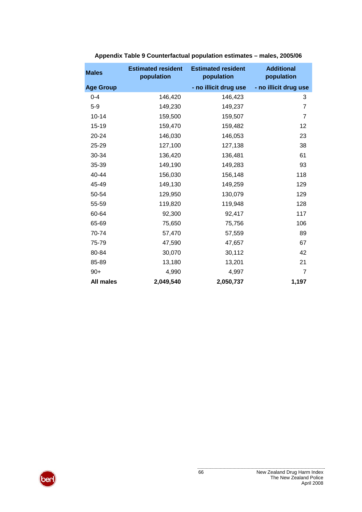| <b>Males</b>     | <b>Estimated resident</b><br>population | <b>Estimated resident</b><br>population | <b>Additional</b><br>population |
|------------------|-----------------------------------------|-----------------------------------------|---------------------------------|
| <b>Age Group</b> |                                         | - no illicit drug use                   | - no illicit drug use           |
| $0 - 4$          | 146,420                                 | 146,423                                 | 3                               |
| $5-9$            | 149,230                                 | 149,237                                 | 7                               |
| $10 - 14$        | 159,500                                 | 159,507                                 | $\overline{7}$                  |
| $15 - 19$        | 159,470                                 | 159,482                                 | 12                              |
| 20-24            | 146,030                                 | 146,053                                 | 23                              |
| 25-29            | 127,100                                 | 127,138                                 | 38                              |
| 30-34            | 136,420                                 | 136,481                                 | 61                              |
| 35-39            | 149,190                                 | 149,283                                 | 93                              |
| 40-44            | 156,030                                 | 156,148                                 | 118                             |
| 45-49            | 149,130                                 | 149,259                                 | 129                             |
| 50-54            | 129,950                                 | 130,079                                 | 129                             |
| 55-59            | 119,820                                 | 119,948                                 | 128                             |
| 60-64            | 92,300                                  | 92,417                                  | 117                             |
| 65-69            | 75,650                                  | 75,756                                  | 106                             |
| 70-74            | 57,470                                  | 57,559                                  | 89                              |
| 75-79            | 47,590                                  | 47,657                                  | 67                              |
| 80-84            | 30,070                                  | 30,112                                  | 42                              |
| 85-89            | 13,180                                  | 13,201                                  | 21                              |
| $90+$            | 4,990                                   | 4,997                                   | $\overline{7}$                  |
| <b>All males</b> | 2,049,540                               | 2,050,737                               | 1,197                           |

#### **Appendix Table 9 Counterfactual population estimates – males, 2005/06**

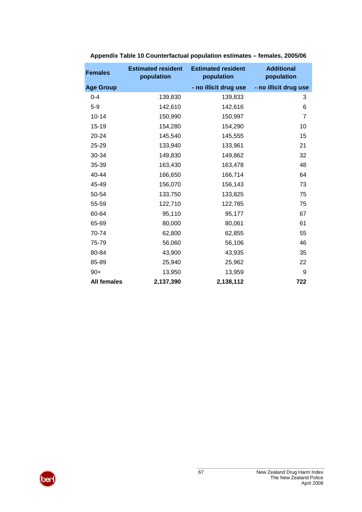| <b>Females</b>     | <b>Estimated resident</b><br>population | <b>Estimated resident</b><br>population | <b>Additional</b><br>population |
|--------------------|-----------------------------------------|-----------------------------------------|---------------------------------|
| <b>Age Group</b>   |                                         | - no illicit drug use                   | - no illicit drug use           |
| $0 - 4$            | 139,830                                 | 139,833                                 | 3                               |
| $5-9$              | 142,610                                 | 142,616                                 | 6                               |
| $10 - 14$          | 150,990                                 | 150,997                                 | $\overline{7}$                  |
| $15 - 19$          | 154,280                                 | 154,290                                 | 10                              |
| 20-24              | 145,540                                 | 145,555                                 | 15                              |
| 25-29              | 133,940                                 | 133,961                                 | 21                              |
| 30-34              | 149,830                                 | 149,862                                 | 32                              |
| 35-39              | 163,430                                 | 163,478                                 | 48                              |
| 40-44              | 166,650                                 | 166,714                                 | 64                              |
| 45-49              | 156,070                                 | 156,143                                 | 73                              |
| 50-54              | 133,750                                 | 133,825                                 | 75                              |
| 55-59              | 122,710                                 | 122,785                                 | 75                              |
| 60-64              | 95,110                                  | 95,177                                  | 67                              |
| 65-69              | 80,000                                  | 80,061                                  | 61                              |
| 70-74              | 62,800                                  | 62,855                                  | 55                              |
| 75-79              | 56,060                                  | 56,106                                  | 46                              |
| 80-84              | 43,900                                  | 43,935                                  | 35                              |
| 85-89              | 25,940                                  | 25,962                                  | 22                              |
| $90+$              | 13,950                                  | 13,959                                  | 9                               |
| <b>All females</b> | 2,137,390                               | 2,138,112                               | 722                             |

### **Appendix Table 10 Counterfactual population estimates – females, 2005/06**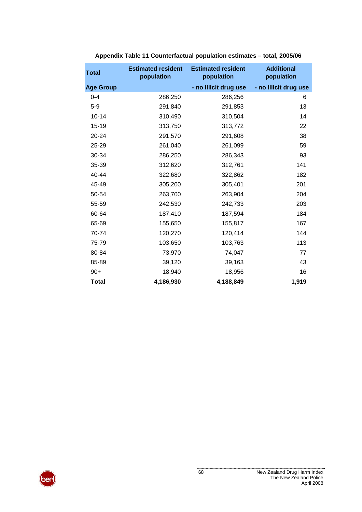| <b>Total</b>     | <b>Estimated resident</b><br>population | <b>Estimated resident</b><br>population | <b>Additional</b><br>population |
|------------------|-----------------------------------------|-----------------------------------------|---------------------------------|
| <b>Age Group</b> |                                         | - no illicit drug use                   | - no illicit drug use           |
| $0 - 4$          | 286,250                                 | 286,256                                 | 6                               |
| $5-9$            | 291,840                                 | 291,853                                 | 13                              |
| $10 - 14$        | 310,490                                 | 310,504                                 | 14                              |
| $15 - 19$        | 313,750                                 | 313,772                                 | 22                              |
| 20-24            | 291,570                                 | 291,608                                 | 38                              |
| 25-29            | 261,040                                 | 261,099                                 | 59                              |
| 30-34            | 286,250                                 | 286,343                                 | 93                              |
| 35-39            | 312,620                                 | 312,761                                 | 141                             |
| 40-44            | 322,680                                 | 322,862                                 | 182                             |
| 45-49            | 305,200                                 | 305,401                                 | 201                             |
| 50-54            | 263,700                                 | 263,904                                 | 204                             |
| 55-59            | 242,530                                 | 242,733                                 | 203                             |
| 60-64            | 187,410                                 | 187,594                                 | 184                             |
| 65-69            | 155,650                                 | 155,817                                 | 167                             |
| 70-74            | 120,270                                 | 120,414                                 | 144                             |
| 75-79            | 103,650                                 | 103,763                                 | 113                             |
| 80-84            | 73,970                                  | 74,047                                  | 77                              |
| 85-89            | 39,120                                  | 39,163                                  | 43                              |
| $90+$            | 18,940                                  | 18,956                                  | 16                              |
| <b>Total</b>     | 4,186,930                               | 4,188,849                               | 1,919                           |

## **Appendix Table 11 Counterfactual population estimates – total, 2005/06**

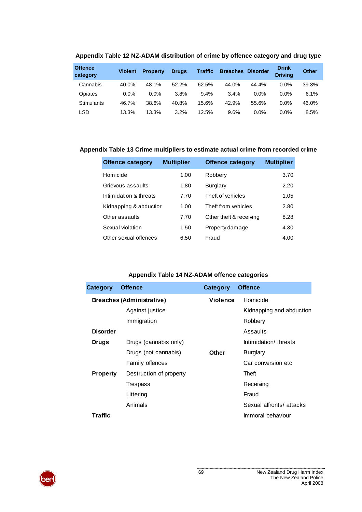| <b>Offence</b><br>category | <b>Violent</b> | <b>Property</b> | <b>Drugs</b> | <b>Traffic</b> | <b>Breaches</b> | <b>Disorder</b> | <b>Drink</b><br><b>Drivina</b> | <b>Other</b> |
|----------------------------|----------------|-----------------|--------------|----------------|-----------------|-----------------|--------------------------------|--------------|
| Cannabis                   | 40.0%          | 48.1%           | 52.2%        | 62.5%          | 44.0%           | 44.4%           | $0.0\%$                        | 39.3%        |
| Opiates                    | 0.0%           | 0.0%            | 3.8%         | 9.4%           | 3.4%            | $0.0\%$         | $0.0\%$                        | 6.1%         |
| Stimulants                 | 46.7%          | 38.6%           | 40.8%        | 15.6%          | 42.9%           | 55.6%           | 0.0%                           | 46.0%        |
| LSD                        | 13.3%          | 13.3%           | 3.2%         | 12.5%          | 9.6%            | $0.0\%$         | $0.0\%$                        | 8.5%         |

### **Appendix Table 12 NZ-ADAM distribution of crime by offence category and drug type**

### **Appendix Table 13 Crime multipliers to estimate actual crime from recorded crime**

| <b>Offence category</b> | <b>Multiplier</b> | <b>Offence category</b> | <b>Multiplier</b> |
|-------------------------|-------------------|-------------------------|-------------------|
| Homicide                | 1.00              | Robbery                 | 3.70              |
| Grievous assaults       | 1.80              | <b>Burglary</b>         | 2.20              |
| Intimidation & threats  | 7.70              | Theft of vehicles       | 1.05              |
| Kidnapping & abductior  | 1.00              | Theft from vehicles     | 2.80              |
| Other assaults          | 7.70              | Other theft & receiving | 8.28              |
| Sexual violation        | 1.50              | Property damage         | 4.30              |
| Other sexual offences   | 6.50              | Fraud                   | 4.00              |

### **Appendix Table 14 NZ-ADAM offence categories**

| Category        | <b>Offence</b>                   | Category        | <b>Offence</b>           |
|-----------------|----------------------------------|-----------------|--------------------------|
|                 | <b>Breaches (Administrative)</b> | <b>Violence</b> | Homicide                 |
|                 | Against justice                  |                 | Kidnapping and abduction |
|                 | Immigration                      |                 | Robbery                  |
| <b>Disorder</b> |                                  |                 | Assaults                 |
| <b>Drugs</b>    | Drugs (cannabis only)            |                 | Intimidation/threats     |
|                 | Drugs (not cannabis)             | Other           | <b>Burglary</b>          |
|                 | Family offences                  |                 | Car conversion etc       |
| <b>Property</b> | Destruction of property          |                 | Theft                    |
|                 | Trespass                         |                 | Receiving                |
|                 | Littering                        |                 | Fraud                    |
|                 | Animals                          |                 | Sexual affronts/attacks  |
| Traffic         |                                  |                 | Immoral behaviour        |

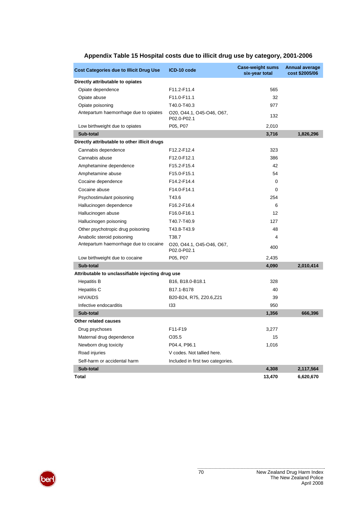| <b>Cost Categories due to Illicit Drug Use</b>    | ICD-10 code                                             | <b>Case-weight sums</b><br>six-year total | <b>Annual average</b><br>cost \$2005/06 |
|---------------------------------------------------|---------------------------------------------------------|-------------------------------------------|-----------------------------------------|
| Directly attributable to opiates                  |                                                         |                                           |                                         |
| Opiate dependence                                 | F11.2-F11.4                                             | 565                                       |                                         |
| Opiate abuse                                      | F11.0-F11.1                                             | 32                                        |                                         |
| Opiate poisoning                                  | T40.0-T40.3                                             | 977                                       |                                         |
| Antepartum haemorrhage due to opiates             | 020, 044.1, 045-046, 067,<br>P02.0-P02.1                | 132                                       |                                         |
| Low birthweight due to opiates                    | P05, P07                                                | 2,010                                     |                                         |
| Sub-total                                         |                                                         | 3,716                                     | 1,826,296                               |
| Directly attributable to other illicit drugs      |                                                         |                                           |                                         |
| Cannabis dependence                               | F12.2-F12.4                                             | 323                                       |                                         |
| Cannabis abuse                                    | F12.0-F12.1                                             | 386                                       |                                         |
| Amphetamine dependence                            | F15.2-F15.4                                             | 42                                        |                                         |
| Amphetamine abuse                                 | F15.0-F15.1                                             | 54                                        |                                         |
| Cocaine dependence                                | F14.2-F14.4                                             | 0                                         |                                         |
| Cocaine abuse                                     | F14.0-F14.1                                             | $\Omega$                                  |                                         |
| Psychostimulant poisoning                         | T43.6                                                   | 254                                       |                                         |
| Hallucinogen dependence                           | F16.2-F16.4                                             | 6                                         |                                         |
| Hallucinogen abuse                                | F16.0-F16.1                                             | 12                                        |                                         |
| Hallucinogen poisoning                            | T40.7-T40.9                                             | 127                                       |                                         |
| Other psychotropic drug poisoning                 | T43.8-T43.9                                             | 48                                        |                                         |
| Anabolic steroid poisoning                        | T38.7                                                   | 4                                         |                                         |
| Antepartum haemorrhage due to cocaine             | 020, 044.1, 045-046, 067,<br>P02.0-P02.1                | 400                                       |                                         |
| Low birthweight due to cocaine                    | P05, P07                                                | 2,435                                     |                                         |
| Sub-total                                         |                                                         | 4,090                                     | 2,010,414                               |
| Attributable to unclassifiable injecting drug use |                                                         |                                           |                                         |
| <b>Hepatitis B</b>                                | B <sub>16</sub> , B <sub>18</sub> .0-B <sub>18</sub> .1 | 328                                       |                                         |
| Hepatitis C                                       | B <sub>17.1</sub> -B <sub>178</sub>                     | 40                                        |                                         |
| HIV/AIDS                                          | B20-B24, R75, Z20.6,Z21                                 | 39                                        |                                         |
| Infective endocarditis                            | 133                                                     | 950                                       |                                         |
| Sub-total                                         |                                                         | 1,356                                     | 666,396                                 |
| Other related causes                              |                                                         |                                           |                                         |
| Drug psychoses                                    | F11-F19                                                 | 3,277                                     |                                         |
| Maternal drug dependence                          | O35.5                                                   | 15                                        |                                         |
| Newborn drug toxicity                             | P04.4, P96.1                                            | 1,016                                     |                                         |
| Road injuries                                     | V codes. Not tallied here.                              |                                           |                                         |
| Self-harm or accidental harm                      | Included in first two categories.                       |                                           |                                         |
| Sub-total                                         |                                                         | 4,308                                     | 2,117,564                               |
| Total                                             |                                                         | 13,470                                    | 6,620,670                               |

## **Appendix Table 15 Hospital costs due to illicit drug use by category, 2001-2006**

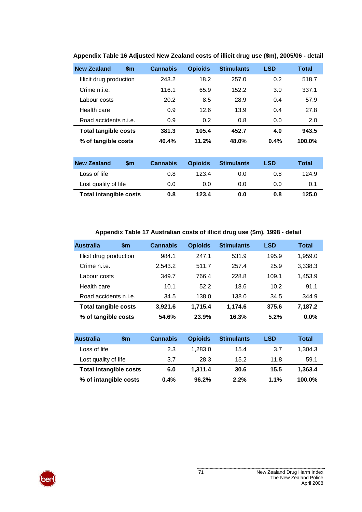| <b>New Zealand</b>          | $\mathsf{sm}$ | <b>Cannabis</b> | <b>Opioids</b> | <b>Stimulants</b> | <b>LSD</b> | <b>Total</b> |
|-----------------------------|---------------|-----------------|----------------|-------------------|------------|--------------|
| Illicit drug production     |               | 243.2           | 18.2           | 257.0             | 0.2        | 518.7        |
| Crime n.i.e.                |               | 116.1           | 65.9           | 152.2             | 3.0        | 337.1        |
| Labour costs                |               | 20.2            | 8.5            | 28.9              | 0.4        | 57.9         |
| Health care                 |               | 0.9             | 12.6           | 13.9              | 0.4        | 27.8         |
| Road accidents n.i.e.       |               | 0.9             | 0.2            | 0.8               | 0.0        | 2.0          |
| <b>Total tangible costs</b> |               | 381.3           | 105.4          | 452.7             | 4.0        | 943.5        |
| % of tangible costs         |               | 40.4%           | 11.2%          | 48.0%             | 0.4%       | 100.0%       |

## **Appendix Table 16 Adjusted New Zealand costs of illicit drug use (\$m), 2005/06 - detail**

| <b>New Zealand</b>            | \$m | <b>Cannabis</b> | <b>Opioids</b> | <b>Stimulants</b> | LSD | Total |
|-------------------------------|-----|-----------------|----------------|-------------------|-----|-------|
| Loss of life                  |     | 0.8             | 1234           | 0.0               | 0.8 | 124.9 |
| Lost quality of life          |     | 0.0             | 0.0            | 0.0               | 0.0 | 0.1   |
| <b>Total intangible costs</b> |     | 0.8             | 123.4          | 0.0               | 0.8 | 125.0 |

**Appendix Table 17 Australian costs of illicit drug use (\$m), 1998 - detail** 

| <b>Australia</b>            | $\mathsf{sm}$ | <b>Cannabis</b> | <b>Opioids</b> | <b>Stimulants</b> | <b>LSD</b> | Total   |
|-----------------------------|---------------|-----------------|----------------|-------------------|------------|---------|
| Illicit drug production     |               | 984.1           | 247.1          | 531.9             | 195.9      | 1,959.0 |
| Crime n.i.e.                |               | 2,543.2         | 511.7          | 257.4             | 25.9       | 3,338.3 |
| Labour costs                |               | 349.7           | 766.4          | 228.8             | 109.1      | 1,453.9 |
| Health care                 |               | 10.1            | 52.2           | 18.6              | 10.2       | 91.1    |
| Road accidents n.i.e.       |               | 34.5            | 138.0          | 138.0             | 34.5       | 344.9   |
| <b>Total tangible costs</b> |               | 3.921.6         | 1.715.4        | 1.174.6           | 375.6      | 7,187.2 |
| % of tangible costs         |               | 54.6%           | 23.9%          | 16.3%             | 5.2%       | $0.0\%$ |

| <b>Australia</b>              | \$m | <b>Cannabis</b> | <b>Opioids</b> | <b>Stimulants</b> | LSD  | Total   |
|-------------------------------|-----|-----------------|----------------|-------------------|------|---------|
| Loss of life                  |     | 2.3             | 1.283.0        | 15.4              | 3.7  | 1.304.3 |
| Lost quality of life          |     | 3.7             | 28.3           | 15.2              | 11.8 | 59.1    |
| <b>Total intangible costs</b> |     | 6.0             | 1.311.4        | 30.6              | 15.5 | 1.363.4 |
| % of intangible costs         |     | 0.4%            | 96.2%          | 2.2%              | 1.1% | 100.0%  |

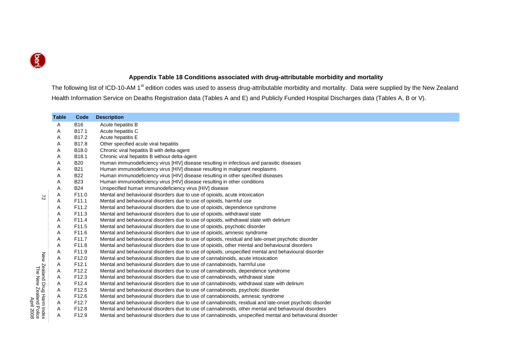

# **Appendix Table 18 Conditions associated with drug-attributable morbidity and mortality**

The following list of ICD-10-AM 1<sup>st</sup> edition codes was used to assess drug-attributable morbidity and mortality. Data were supplied by the New Zealand Health Information Service on Deaths Registration data (Tables A and E) and Publicly Funded Hospital Discharges data (Tables A, B or V).

|                                                                                 | <b>Table</b> | Code              | <b>Description</b>                                                                                       |  |  |  |  |  |  |  |  |
|---------------------------------------------------------------------------------|--------------|-------------------|----------------------------------------------------------------------------------------------------------|--|--|--|--|--|--|--|--|
|                                                                                 | A            | <b>B16</b>        | Acute hepatitis B                                                                                        |  |  |  |  |  |  |  |  |
|                                                                                 | Α            | B17.1             | Acute hepatitis C                                                                                        |  |  |  |  |  |  |  |  |
|                                                                                 | Α            | B <sub>17.2</sub> | Acute hepatitis E                                                                                        |  |  |  |  |  |  |  |  |
|                                                                                 | Α            | B17.8             | Other specified acute viral hepatitis                                                                    |  |  |  |  |  |  |  |  |
|                                                                                 | Α            | B18.0             | Chronic viral hepatitis B with delta-agent                                                               |  |  |  |  |  |  |  |  |
|                                                                                 | Α            | B18.1             | Chronic viral hepatitis B without delta-agent                                                            |  |  |  |  |  |  |  |  |
|                                                                                 | Α            | <b>B20</b>        | Human immunodeficiency virus [HIV] disease resulting in infectious and parasitic diseases                |  |  |  |  |  |  |  |  |
|                                                                                 | Α            | <b>B21</b>        | Human immunodeficiency virus [HIV] disease resulting in malignant neoplasms                              |  |  |  |  |  |  |  |  |
|                                                                                 | A            | <b>B22</b>        | Human immunodeficiency virus [HIV] disease resulting in other specified diseases                         |  |  |  |  |  |  |  |  |
|                                                                                 | Α            | <b>B23</b>        | Human immunodeficiency virus [HIV] disease resulting in other conditions                                 |  |  |  |  |  |  |  |  |
|                                                                                 | A            | <b>B24</b>        | Unspecified human immunodeficiency virus [HIV] disease                                                   |  |  |  |  |  |  |  |  |
| $\approx$                                                                       | Α            | F <sub>11.0</sub> | Mental and behavioural disorders due to use of opioids, acute intoxication                               |  |  |  |  |  |  |  |  |
|                                                                                 | Α            | F <sub>11.1</sub> | Mental and behavioural disorders due to use of opioids, harmful use                                      |  |  |  |  |  |  |  |  |
|                                                                                 | Α            | F11.2             | Mental and behavioural disorders due to use of opioids, dependence syndrome                              |  |  |  |  |  |  |  |  |
|                                                                                 | Α            | F11.3             | Mental and behavioural disorders due to use of opioids, withdrawal state                                 |  |  |  |  |  |  |  |  |
|                                                                                 | Α            | F11.4             | Mental and behavioural disorders due to use of opioids, withdrawal state with delirium                   |  |  |  |  |  |  |  |  |
|                                                                                 | Α            | F11.5             | Mental and behavioural disorders due to use of opioids, psychotic disorder                               |  |  |  |  |  |  |  |  |
|                                                                                 | Α            | F11.6             | Mental and behavioural disorders due to use of opioids, amnesic syndrome                                 |  |  |  |  |  |  |  |  |
|                                                                                 | Α            | F11.7             | Mental and behavioural disorders due to use of opioids, residual and late-onset psychotic disorder       |  |  |  |  |  |  |  |  |
|                                                                                 | A            | F11.8             | Mental and behavioural disorders due to use of opioids, other mental and behavioural disorders           |  |  |  |  |  |  |  |  |
|                                                                                 | Α            | F11.9             | Mental and behavioural disorders due to use of opioids, unspecified mental and behavioural disorder      |  |  |  |  |  |  |  |  |
|                                                                                 | А            | F <sub>12.0</sub> | Mental and behavioural disorders due to use of cannabinoids, acute intoxication                          |  |  |  |  |  |  |  |  |
|                                                                                 | A            | F12.1             | Mental and behavioural disorders due to use of cannabinoids, harmful use                                 |  |  |  |  |  |  |  |  |
|                                                                                 | A            | F <sub>12.2</sub> | Mental and behavioural disorders due to use of cannabinoids, dependence syndrome                         |  |  |  |  |  |  |  |  |
|                                                                                 | A            | F <sub>12.3</sub> | Mental and behavioural disorders due to use of cannabinoids, withdrawal state                            |  |  |  |  |  |  |  |  |
|                                                                                 | A            | F12.4             | Mental and behavioural disorders due to use of cannabinoids, withdrawal state with delirium              |  |  |  |  |  |  |  |  |
|                                                                                 | Α            | F <sub>12.5</sub> | Mental and behavioural disorders due to use of cannabinoids, psychotic disorder                          |  |  |  |  |  |  |  |  |
|                                                                                 | Α            | F12.6             | Mental and behavioural disorders due to use of cannabionoids, amnesic syndrome                           |  |  |  |  |  |  |  |  |
| New Zealand Drug Harm Index<br>The New Zealand Police<br>The New Zealand Police | Α            | F <sub>12.7</sub> | Mental and behavioural disorders due to use of cannabinoids, residual and late-onset psychotic disorder  |  |  |  |  |  |  |  |  |
|                                                                                 | A            | F <sub>12.8</sub> | Mental and behavioural disorders due to use of cannabinoids, other mental and behavioural disorders      |  |  |  |  |  |  |  |  |
|                                                                                 | Α            | F <sub>12.9</sub> | Mental and behavioural disorders due to use of cannabinoids, unspecified mental and behavioural disorder |  |  |  |  |  |  |  |  |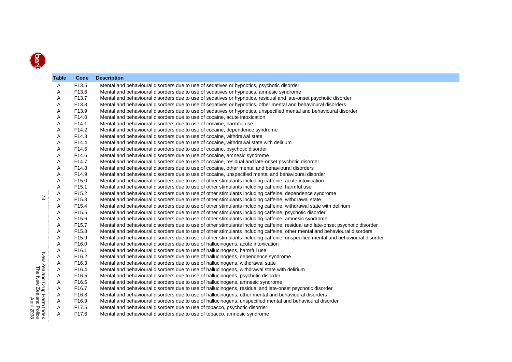|                                                                                 | Table | Code              | <b>Description</b>                                                                                                              |
|---------------------------------------------------------------------------------|-------|-------------------|---------------------------------------------------------------------------------------------------------------------------------|
|                                                                                 | Α     | F13.5             | Mental and behavioural disorders due to use of sedatives or hypnotics, psychotic disorder                                       |
|                                                                                 | Α     | F13.6             | Mental and behavioural disorders due to use of sedatives or hypnotics, amnesic syndrome                                         |
|                                                                                 | Α     | F13.7             | Mental and behavioural disorders due to use of sedatives or hypnotics, residual and late-onset psychotic disorder               |
|                                                                                 | Α     | F13.8             | Mental and behavioural disorders due to use of sedatives or hypnotics, other mental and behavioural disorders                   |
|                                                                                 | A     | F13.9             | Mental and behavioural disorders due to use of sedatives or hypnotics, unspecified mental and behavioural disorder              |
|                                                                                 | Α     | F14.0             | Mental and behavioural disorders due to use of cocaine, acute intoxication                                                      |
|                                                                                 | Α     | F <sub>14.1</sub> | Mental and behavioural disorders due to use of cocaine, harmful use                                                             |
|                                                                                 | Α     | F14.2             | Mental and behavioural disorders due to use of cocaine, dependence syndrome                                                     |
|                                                                                 | Α     | F14.3             | Mental and behavioural disorders due to use of cocaine, withdrawal state                                                        |
|                                                                                 | Α     | F14.4             | Mental and behavioural disorders due to use of cocaine, withdrawal state with delirium                                          |
|                                                                                 | Α     | F14.5             | Mental and behavioural disorders due to use of cocaine, psychotic disorder                                                      |
|                                                                                 | Α     | F14.6             | Mental and behavioural disorders due to use of cocaine, amnesic syndrome                                                        |
|                                                                                 | Α     | F14.7             | Mental and behavioural disorders due to use of cocaine, residual and late-onset psychotic disorder                              |
|                                                                                 | Α     | F14.8             | Mental and behavioural disorders due to use of cocaine, other mental and behavioural disorders                                  |
|                                                                                 | Α     | F14.9             | Mental and behavioural disorders due to use of cocaine, unspecified mental and behavioural disorder                             |
|                                                                                 | Α     | F15.0             | Mental and behavioural disorders due to use of other stimulants including caffeine, acute intoxication                          |
|                                                                                 | Α     | F <sub>15.1</sub> | Mental and behavioural disorders due to use of other stimulants including caffeine, harmful use                                 |
|                                                                                 | Α     | F15.2             | Mental and behavioural disorders due to use of other stimulants including caffeine, dependence syndrome                         |
| 2                                                                               | A     | F15.3             | Mental and behavioural disorders due to use of other stimulants including caffeine, withdrawal state                            |
|                                                                                 | Α     | F15.4             | Mental and behavioural disorders due to use of other stimulants including caffeine, withdrawal state with delirium              |
|                                                                                 | Α     | F <sub>15.5</sub> | Mental and behavioural disorders due to use of other stimulants including caffeine, psychotic disorder                          |
|                                                                                 | Α     | F15.6             | Mental and behavioural disorders due to use of other stimulants including caffeine, amnesic syndrome                            |
|                                                                                 | Α     | F15.7             | Mental and behavioural disorders due to use of other stimulants including caffeine, residual and late-onset psychotic disorder  |
|                                                                                 | Α     | F15.8             | Mental and behavioural disorders due to use of other stimulants including caffeine, other mental and behavioural disorders      |
|                                                                                 | Α     | F15.9             | Mental and behavioural disorders due to use of other stimulants including caffeine, unspecified mental and behavioural disorder |
|                                                                                 | Α     | F16.0             | Mental and behavioural disorders due to use of hallucinogens, acute intoxication                                                |
|                                                                                 | Α     | F16.1             | Mental and behavioural disorders due to use of hallucinogens, harmful use                                                       |
|                                                                                 | Α     | F16.2             | Mental and behavioural disorders due to use of hallucinogens, dependence syndrome                                               |
|                                                                                 | A     | F16.3             | Mental and behavioural disorders due to use of hallucinogens, withdrawal state                                                  |
|                                                                                 | A     | F16.4             | Mental and behavioural disorders due to use of hallucinogens, withdrawal state with delirium                                    |
|                                                                                 | A     | F16.5             | Mental and behavioural disorders due to use of hallucinogens, psychotic disorder                                                |
|                                                                                 | A     | F16.6             | Mental and behavioural disorders due to use of hallucinogens, amnesic syndrome                                                  |
|                                                                                 | A     | F16.7             | Mental and behavioural disorders due to use of hallucinogens, residual and late-onset psychotic disorder                        |
|                                                                                 | A     | F16.8             | Mental and behavioural disorders due to use of hallucinogens, other mental and behavioural disorders                            |
| New Zealand Drug Harm Index<br>The New Zealand Police<br>The New Zealand Police | A     | F16.9             | Mental and behavioural disorders due to use of hallucinogens, unspecified mental and behavioural disorder                       |
|                                                                                 | A     | F17.5             | Mental and behavioural disorders due to use of tobacco, psychotic disorder                                                      |
|                                                                                 | A     | F17.6             | Mental and behavioural disorders due to use of tobacco, amnesic syndrome                                                        |
|                                                                                 |       |                   |                                                                                                                                 |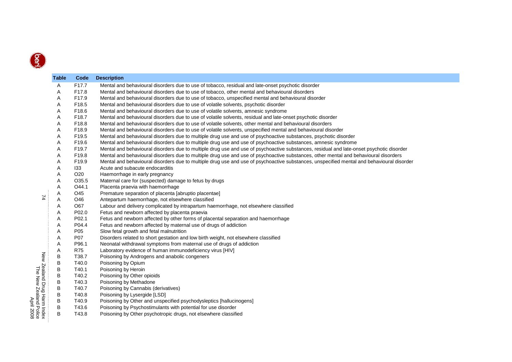|                          | <b>Table</b> | Code            | <b>Description</b>                                                                                                                        |
|--------------------------|--------------|-----------------|-------------------------------------------------------------------------------------------------------------------------------------------|
|                          | A            | F17.7           | Mental and behavioural disorders due to use of tobacco, residual and late-onset psychotic disorder                                        |
|                          | A            | F17.8           | Mental and behavioural disorders due to use of tobacco, other mental and behavioural disorders                                            |
|                          | Α            | F17.9           | Mental and behavioural disorders due to use of tobacco, unspecified mental and behavioural disorder                                       |
|                          | Α            | F18.5           | Mental and behavioural disorders due to use of volatile solvents, psychotic disorder                                                      |
|                          | Α            | F18.6           | Mental and behavioural disorders due to use of volatile solvents, amnesic syndrome                                                        |
|                          | Α            | F18.7           | Mental and behavioural disorders due to use of volatile solvents, residual and late-onset psychotic disorder                              |
|                          | Α            | F18.8           | Mental and behavioural disorders due to use of volatile solvents, other mental and behavioural disorders                                  |
|                          | Α            | F18.9           | Mental and behavioural disorders due to use of volatile solvents, unspecified mental and behavioural disorder                             |
|                          | Α            | F19.5           | Mental and behavioural disorders due to multiple drug use and use of psychoactive substances, psychotic disorder                          |
|                          | A            | F19.6           | Mental and behavioural disorders due to multiple drug use and use of psychoactive substances, amnesic syndrome                            |
|                          | Α            | F19.7           | Mental and behavioural disorders due to multiple drug use and use of psychoactive substances, residual and late-onset psychotic disorder  |
|                          | Α            | F19.8           | Mental and behavioural disorders due to multiple drug use and use of psychoactive substances, other mental and behavioural disorders      |
|                          | Α            | F19.9           | Mental and behavioural disorders due to multiple drug use and use of psychoactive substances, unspecified mental and behavioural disorder |
|                          | Α            | 133             | Acute and subacute endocarditis                                                                                                           |
|                          | Α            | O <sub>20</sub> | Haemorrhage in early pregnancy                                                                                                            |
|                          | Α            | O35.5           | Maternal care for (suspected) damage to fetus by drugs                                                                                    |
|                          | Α            | O44.1           | Placenta praevia with haemorrhage                                                                                                         |
|                          | Α            | O45             | Premature separation of placenta [abruptio placentae]                                                                                     |
| 74                       | Α            | O46             | Antepartum haemorrhage, not elsewhere classified                                                                                          |
|                          | A            | O67             | Labour and delivery complicated by intrapartum haemorrhage, not elsewhere classified                                                      |
|                          | Α            | P02.0           | Fetus and newborn affected by placenta praevia                                                                                            |
|                          | Α            | P02.1           | Fetus and newborn affected by other forms of placental separation and haemorrhage                                                         |
|                          | Α            | P04.4           | Fetus and newborn affected by maternal use of drugs of addiction                                                                          |
|                          | Α            | P <sub>05</sub> | Slow fetal growth and fetal malnutrition                                                                                                  |
|                          | Α            | <b>P07</b>      | Disorders related to short gestation and low birth weight, not elsewhere classified                                                       |
|                          | Α            | P96.1           | Neonatal withdrawal symptoms from maternal use of drugs of addiction                                                                      |
|                          | Α            | <b>R75</b>      | Laboratory evidence of human immunodeficiency virus [HIV]                                                                                 |
| New                      | В            | T38.7           | Poisoning by Androgens and anabolic congeners                                                                                             |
|                          | В            | T40.0           | Poisoning by Opium                                                                                                                        |
| 5                        | В            | T40.1           | Poisoning by Heroin                                                                                                                       |
| Zealand Drug             | В            | T40.2           | Poisoning by Other opioids                                                                                                                |
|                          | В            | T40.3           | Poisoning by Methadone                                                                                                                    |
|                          | В            | T40.7           | Poisoning by Cannabis (derivatives)                                                                                                       |
|                          | В            | T40.8           | Poisoning by Lysergide [LSD]                                                                                                              |
| Harm Index<br>Harm Index | В            | T40.9           | Poisoning by Other and unspecified psychodysleptics [hallucinogens]                                                                       |
|                          | В            | T43.6           | Poisoning by Psychostimulants with potential for use disorder                                                                             |
|                          | B            | T43.8           | Poisoning by Other psychotropic drugs, not elsewhere classified                                                                           |
|                          |              |                 |                                                                                                                                           |

The New Zealand Police New Zealand Drug Harm Index<br>The New Zealand Police<br>The New Zealand Police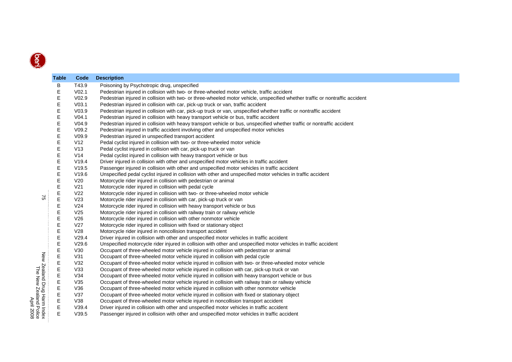| Table       | Code              | <b>Description</b>                                                                                                           |
|-------------|-------------------|------------------------------------------------------------------------------------------------------------------------------|
| В           | T43.9             | Poisoning by Psychotropic drug, unspecified                                                                                  |
| Е           | V <sub>02.1</sub> | Pedestrian injured in collision with two- or three-wheeled motor vehicle, traffic accident                                   |
| E           | V <sub>02.9</sub> | Pedestrian injured in collision with two- or three-wheeled motor vehicle, unspecified whether traffic or nontraffic accident |
| Е           | V <sub>03.1</sub> | Pedestrian injured in collision with car, pick-up truck or van, traffic accident                                             |
| E           | V <sub>03.9</sub> | Pedestrian injured in collision with car, pick-up truck or van, unspecified whether traffic or nontraffic accident           |
| Е           | V <sub>04.1</sub> | Pedestrian injured in collision with heavy transport vehicle or bus, traffic accident                                        |
| Е           | V <sub>04.9</sub> | Pedestrian injured in collision with heavy transport vehicle or bus, unspecified whether traffic or nontraffic accident      |
| Е           | V09.2             | Pedestrian injured in traffic accident involving other and unspecified motor vehicles                                        |
| E           | V09.9             | Pedestrian injured in unspecified transport accident                                                                         |
| Е           | V12               | Pedal cyclist injured in collision with two- or three-wheeled motor vehicle                                                  |
| Е           | V13               | Pedal cyclist injured in collision with car, pick-up truck or van                                                            |
| E           | V14               | Pedal cyclist injured in collision with heavy transport vehicle or bus                                                       |
| Е           | V19.4             | Driver injured in collision with other and unspecified motor vehicles in traffic accident                                    |
| E           | V19.5             | Passenger injured in collision with other and unspecified motor vehicles in traffic accident                                 |
| Ε           | V19.6             | Unspecified pedal cyclist injured in collision with other and unspecified motor vehicles in traffic accident                 |
| E           | V20               | Motorcycle rider injured in collision with pedestrian or animal                                                              |
| E           | V <sub>21</sub>   | Motorcycle rider injured in collision with pedal cycle                                                                       |
| $\mathsf E$ | V <sub>22</sub>   | Motorcycle rider injured in collision with two- or three-wheeled motor vehicle                                               |
| E           | V <sub>23</sub>   | Motorcycle rider injured in collision with car, pick-up truck or van                                                         |
| E           | V <sub>24</sub>   | Motorcycle rider injured in collision with heavy transport vehicle or bus                                                    |
| Ε           | V <sub>25</sub>   | Motorcycle rider injured in collision with railway train or railway vehicle                                                  |
| E           | V26               | Motorcycle rider injured in collision with other nonmotor vehicle                                                            |
| Е           | V <sub>27</sub>   | Motorcycle rider injured in collision with fixed or stationary object                                                        |
| E           | V28               | Motorcycle rider injured in noncollision transport accident                                                                  |
| E           | V29.4             | Driver injured in collision with other and unspecified motor vehicles in traffic accident                                    |
| Е           | V29.6             | Unspecified motorcycle rider injured in collision with other and unspecified motor vehicles in traffic accident              |
| Ε           | V30               | Occupant of three-wheeled motor vehicle injured in collision with pedestrian or animal                                       |
| E           | V31               | Occupant of three-wheeled motor vehicle injured in collision with pedal cycle                                                |
| E           | V32               | Occupant of three-wheeled motor vehicle injured in collision with two- or three-wheeled motor vehicle                        |
| E           | V33               | Occupant of three-wheeled motor vehicle injured in collision with car, pick-up truck or van                                  |
| E           | V34               | Occupant of three-wheeled motor vehicle injured in collision with heavy transport vehicle or bus                             |
| $\mathsf E$ | V35               | Occupant of three-wheeled motor vehicle injured in collision with railway train or railway vehicle                           |
| E           | V36               | Occupant of three-wheeled motor vehicle injured in collision with other nonmotor vehicle                                     |
| E           | V37               | Occupant of three-wheeled motor vehicle injured in collision with fixed or stationary object                                 |
| E           | V38               | Occupant of three-wheeled motor vehicle injured in noncollision transport accident                                           |
| E           | V39.4             | Driver injured in collision with other and unspecified motor vehicles in traffic accident                                    |
| E           | V39.5             | Passenger injured in collision with other and unspecified motor vehicles in traffic accident                                 |
|             |                   |                                                                                                                              |

 $\mathfrak{S}$ 

 75 New Zealand Drug Harm Index The New Zealand Police New Zealand Drug Harm Index<br>The New Zealand Police<br>The New Zealand Police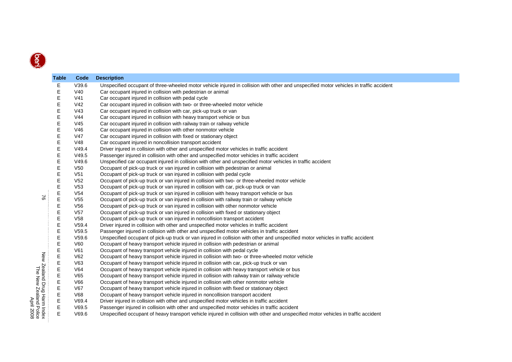| <b>Table</b> | Code            | <b>Description</b>                                                                                                                     |
|--------------|-----------------|----------------------------------------------------------------------------------------------------------------------------------------|
| Е            | V39.6           | Unspecified occupant of three-wheeled motor vehicle injured in collision with other and unspecified motor vehicles in traffic accident |
| Е            | V40             | Car occupant injured in collision with pedestrian or animal                                                                            |
| E            | V <sub>41</sub> | Car occupant injured in collision with pedal cycle                                                                                     |
| Е            | V <sub>42</sub> | Car occupant injured in collision with two- or three-wheeled motor vehicle                                                             |
| Е            | V <sub>43</sub> | Car occupant injured in collision with car, pick-up truck or van                                                                       |
| E            | V44             | Car occupant injured in collision with heavy transport vehicle or bus                                                                  |
| Е            | V <sub>45</sub> | Car occupant injured in collision with railway train or railway vehicle                                                                |
| E            | V46             | Car occupant injured in collision with other nonmotor vehicle                                                                          |
| Е            | V47             | Car occupant injured in collision with fixed or stationary object                                                                      |
| E            | V48             | Car occupant injured in noncollision transport accident                                                                                |
| E            | V49.4           | Driver injured in collision with other and unspecified motor vehicles in traffic accident                                              |
| E            | V49.5           | Passenger injured in collision with other and unspecified motor vehicles in traffic accident                                           |
| E            | V49.6           | Unspecified car occupant injured in collision with other and unspecified motor vehicles in traffic accident                            |
| Е            | V <sub>50</sub> | Occupant of pick-up truck or van injured in collision with pedestrian or animal                                                        |
| E            | V <sub>51</sub> | Occupant of pick-up truck or van injured in collision with pedal cycle                                                                 |
| Е            | V <sub>52</sub> | Occupant of pick-up truck or van injured in collision with two- or three-wheeled motor vehicle                                         |
| E            | V <sub>53</sub> | Occupant of pick-up truck or van injured in collision with car, pick-up truck or van                                                   |
| E            | V <sub>54</sub> | Occupant of pick-up truck or van injured in collision with heavy transport vehicle or bus                                              |
| E            | V <sub>55</sub> | Occupant of pick-up truck or van injured in collision with railway train or railway vehicle                                            |
| E            | V <sub>56</sub> | Occupant of pick-up truck or van injured in collision with other nonmotor vehicle                                                      |
| E            | V <sub>57</sub> | Occupant of pick-up truck or van injured in collision with fixed or stationary object                                                  |
| E            | V58             | Occupant of pick-up truck or van injured in noncollision transport accident                                                            |
| E            | V59.4           | Driver injured in collision with other and unspecified motor vehicles in traffic accident                                              |
| E            | V59.5           | Passenger injured in collision with other and unspecified motor vehicles in traffic accident                                           |
| E            | V59.6           | Unspecified occupant of pick-up truck or van injured in collision with other and unspecified motor vehicles in traffic accident        |
| E            | V60             | Occupant of heavy transport vehicle injured in collision with pedestrian or animal                                                     |
| E            | V61             | Occupant of heavy transport vehicle injured in collision with pedal cycle                                                              |
| E            | V62             | Occupant of heavy transport vehicle injured in collision with two- or three-wheeled motor vehicle                                      |
| E            | V63             | Occupant of heavy transport vehicle injured in collision with car, pick-up truck or van                                                |
| E            | V64             | Occupant of heavy transport vehicle injured in collision with heavy transport vehicle or bus                                           |
| E            | V65             | Occupant of heavy transport vehicle injured in collision with railway train or railway vehicle                                         |
| E            | V66             | Occupant of heavy transport vehicle injured in collision with other nonmotor vehicle                                                   |
| E            | V67             | Occupant of heavy transport vehicle injured in collision with fixed or stationary object                                               |
| E            | <b>V68</b>      | Occupant of heavy transport vehicle injured in noncollision transport accident                                                         |
| Е            | V69.4           | Driver injured in collision with other and unspecified motor vehicles in traffic accident                                              |
| Е            | V69.5           | Passenger injured in collision with other and unspecified motor vehicles in traffic accident                                           |
| E            | V69.6           | Unspecified occupant of heavy transport vehicle injured in collision with other and unspecified motor vehicles in traffic accident     |

 $\approx$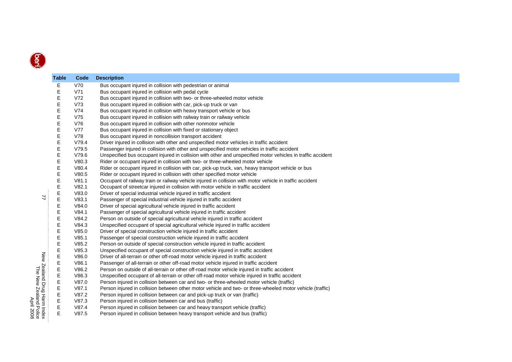|                 | <b>Table</b> | Code           | <b>Description</b>                                                                                                                                             |
|-----------------|--------------|----------------|----------------------------------------------------------------------------------------------------------------------------------------------------------------|
|                 | E            | V70            | Bus occupant injured in collision with pedestrian or animal                                                                                                    |
|                 | Е            | V71            | Bus occupant injured in collision with pedal cycle                                                                                                             |
|                 | Е            | V72            | Bus occupant injured in collision with two- or three-wheeled motor vehicle                                                                                     |
|                 | Е            | V73            | Bus occupant injured in collision with car, pick-up truck or van                                                                                               |
|                 | Е            | V74            | Bus occupant injured in collision with heavy transport vehicle or bus                                                                                          |
|                 | E            | V75            | Bus occupant injured in collision with railway train or railway vehicle                                                                                        |
|                 | Е            | V76            | Bus occupant injured in collision with other nonmotor vehicle                                                                                                  |
|                 | Ε            | <b>V77</b>     | Bus occupant injured in collision with fixed or stationary object                                                                                              |
|                 | Е            | V78            | Bus occupant injured in noncollision transport accident                                                                                                        |
|                 | Е            | V79.4          | Driver injured in collision with other and unspecified motor vehicles in traffic accident                                                                      |
|                 | E            | V79.5          | Passenger injured in collision with other and unspecified motor vehicles in traffic accident                                                                   |
|                 | E            | V79.6          | Unspecified bus occupant injured in collision with other and unspecified motor vehicles in traffic accident                                                    |
|                 | E            | V80.3          | Rider or occupant injured in collision with two- or three-wheeled motor vehicle                                                                                |
|                 | E            | V80.4          | Rider or occupant injured in collision with car, pick-up truck, van, heavy transport vehicle or bus                                                            |
|                 | E            | V80.5          | Rider or occupant injured in collision with other specified motor vehicle                                                                                      |
|                 | E            | V81.1          | Occupant of railway train or railway vehicle injured in collision with motor vehicle in traffic accident                                                       |
|                 | E            | V82.1          | Occupant of streetcar injured in collision with motor vehicle in traffic accident                                                                              |
| 77              | E            | V83.0          | Driver of special industrial vehicle injured in traffic accident                                                                                               |
|                 | E            | V83.1          | Passenger of special industrial vehicle injured in traffic accident                                                                                            |
|                 | Е            | V84.0          | Driver of special agricultural vehicle injured in traffic accident                                                                                             |
|                 | E            | V84.1          | Passenger of special agricultural vehicle injured in traffic accident                                                                                          |
|                 | E            | V84.2          | Person on outside of special agricultural vehicle injured in traffic accident                                                                                  |
|                 | Е            | V84.3          | Unspecified occupant of special agricultural vehicle injured in traffic accident                                                                               |
|                 | Е            | V85.0          | Driver of special construction vehicle injured in traffic accident                                                                                             |
|                 | Е            | V85.1          | Passenger of special construction vehicle injured in traffic accident                                                                                          |
|                 | Ε            | V85.2          | Person on outside of special construction vehicle injured in traffic accident                                                                                  |
|                 | Е            | V85.3          | Unspecified occupant of special construction vehicle injured in traffic accident                                                                               |
| New Zealand     | Е            | V86.0          | Driver of all-terrain or other off-road motor vehicle injured in traffic accident                                                                              |
|                 | Е            | V86.1          | Passenger of all-terrain or other off-road motor vehicle injured in traffic accident                                                                           |
|                 | E<br>E       | V86.2          | Person on outside of all-terrain or other off-road motor vehicle injured in traffic accident                                                                   |
|                 | E            | V86.3<br>V87.0 | Unspecified occupant of all-terrain or other off-road motor vehicle injured in traffic accident                                                                |
|                 | Е            |                | Person injured in collision between car and two- or three-wheeled motor vehicle (traffic)                                                                      |
| Drug Harm Index | E            | V87.1<br>V87.2 | Person injured in collision between other motor vehicle and two- or three-wheeled motor vehicle (traffic)                                                      |
|                 | E            | V87.3          | Person injured in collision between car and pick-up truck or van (traffic)                                                                                     |
|                 | E            | V87.4          | Person injured in collision between car and bus (traffic)                                                                                                      |
|                 | E            | V87.5          | Person injured in collision between car and heavy transport vehicle (traffic)<br>Person injured in collision between heavy transport vehicle and bus (traffic) |
|                 |              |                |                                                                                                                                                                |

 $\overline{u}$ 

The New Zealand Police New Zealand Drug Harm Index<br>The New Zealand Police<br>The New Zealand Police<br>April 2008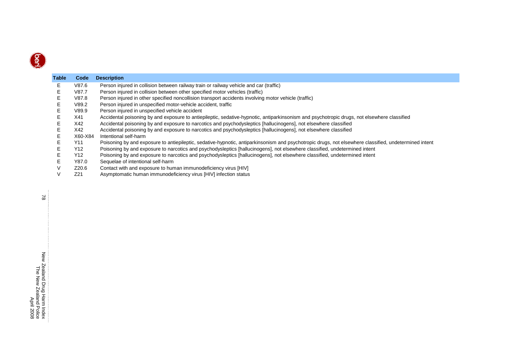

| <b>Table</b> | Code    | <b>Description</b>                                                                                                                                    |
|--------------|---------|-------------------------------------------------------------------------------------------------------------------------------------------------------|
| Е            | V87.6   | Person injured in collision between railway train or railway vehicle and car (traffic)                                                                |
|              | V87.7   | Person injured in collision between other specified motor vehicles (traffic)                                                                          |
|              | V87.8   | Person injured in other specified noncollision transport accidents involving motor vehicle (traffic)                                                  |
| Е            | V89.2   | Person injured in unspecified motor-vehicle accident, traffic                                                                                         |
|              | V89.9   | Person injured in unspecified vehicle accident                                                                                                        |
|              | X41     | Accidental poisoning by and exposure to antiepileptic, sedative-hypnotic, antiparkinsonism and psychotropic drugs, not elsewhere classified           |
| Е            | X42     | Accidental poisoning by and exposure to narcotics and psychodysleptics [hallucinogens], not elsewhere classified                                      |
|              | X42     | Accidental poisoning by and exposure to narcotics and psychodysleptics [hallucinogens], not elsewhere classified                                      |
|              | X60-X84 | Intentional self-harm                                                                                                                                 |
| Е            | Y11     | Poisoning by and exposure to antiepileptic, sedative-hypnotic, antiparkinsonism and psychotropic drugs, not elsewhere classified, undetermined intent |
|              | Y12     | Poisoning by and exposure to narcotics and psychodysleptics [hallucinogens], not elsewhere classified, undetermined intent                            |
|              | Y12     | Poisoning by and exposure to narcotics and psychodysleptics [hallucinogens], not elsewhere classified, undetermined intent                            |
|              | Y87.0   | Sequelae of intentional self-harm                                                                                                                     |
|              | Z20.6   | Contact with and exposure to human immunodeficiency virus [HIV]                                                                                       |
|              | Z21     | Asymptomatic human immunodeficiency virus [HIV] infection status                                                                                      |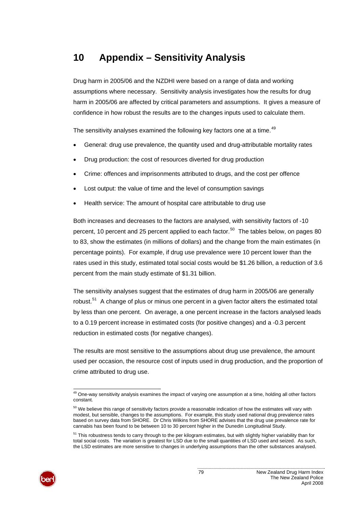# <span id="page-84-0"></span>**10 Appendix – Sensitivity Analysis**

Drug harm in 2005/06 and the NZDHI were based on a range of data and working assumptions where necessary. Sensitivity analysis investigates how the results for drug harm in 2005/06 are affected by critical parameters and assumptions. It gives a measure of confidence in how robust the results are to the changes inputs used to calculate them.

The sensitivity analyses examined the following key factors one at a time.<sup>[49](#page-84-0)</sup>

- General: drug use prevalence, the quantity used and drug-attributable mortality rates
- Drug production: the cost of resources diverted for drug production
- Crime: offences and imprisonments attributed to drugs, and the cost per offence
- Lost output: the value of time and the level of consumption savings
- Health service: The amount of hospital care attributable to drug use

Both increases and decreases to the factors are analysed, with sensitivity factors of -10 percent, 10 percent and 25 percent applied to each factor.<sup>[50](#page-84-0)</sup> The tables below, on pages [80](#page-85-0) to [83,](#page-88-0) show the estimates (in millions of dollars) and the change from the main estimates (in percentage points). For example, if drug use prevalence were 10 percent lower than the rates used in this study, estimated total social costs would be \$1.26 billion, a reduction of 3.6 percent from the main study estimate of \$1.31 billion.

The sensitivity analyses suggest that the estimates of drug harm in 2005/06 are generally robust.<sup>[51](#page-84-0)</sup> A change of plus or minus one percent in a given factor alters the estimated total by less than one percent. On average, a one percent increase in the factors analysed leads to a 0.19 percent increase in estimated costs (for positive changes) and a -0.3 percent reduction in estimated costs (for negative changes).

The results are most sensitive to the assumptions about drug use prevalence, the amount used per occasion, the resource cost of inputs used in drug production, and the proportion of crime attributed to drug use.



l  $49$  One-way sensitivity analysis examines the impact of varying one assumption at a time, holding all other factors constant.

 $50$  We believe this range of sensitivity factors provide a reasonable indication of how the estimates will vary with modest, but sensible, changes to the assumptions. For example, this study used national drug prevalence rates based on survey data from SHORE. Dr Chris Wilkins from SHORE advises that the drug use prevalence rate for cannabis has been found to be between 10 to 30 percent higher in the Dunedin Longitudinal Study.

 $51$  This robustness tends to carry through to the per kilogram estimates, but with slightly higher variability than for total social costs. The variation is greatest for LSD due to the small quantities of LSD used and seized. As such, the LSD estimates are more sensitive to changes in underlying assumptions than the other substances analysed.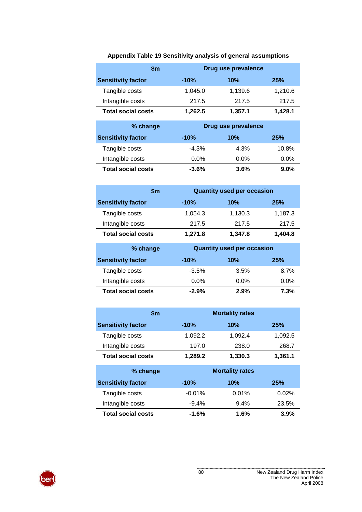<span id="page-85-0"></span>

| \$m                       |         | Drug use prevalence |         |  |
|---------------------------|---------|---------------------|---------|--|
| <b>Sensitivity factor</b> | $-10%$  | 10%                 | 25%     |  |
| Tangible costs            | 1,045.0 | 1,139.6             | 1,210.6 |  |
| Intangible costs          | 217.5   | 217.5               | 217.5   |  |
| <b>Total social costs</b> | 1,262.5 | 1,357.1             | 1,428.1 |  |

## **Appendix Table 19 Sensitivity analysis of general assumptions**

| % change                  | Drug use prevalence |         |         |
|---------------------------|---------------------|---------|---------|
| <b>Sensitivity factor</b> | $-10%$              | 10%     | 25%     |
| Tangible costs            | $-4.3%$             | 4.3%    | 10.8%   |
| Intangible costs          | $0.0\%$             | $0.0\%$ | $0.0\%$ |
| <b>Total social costs</b> | $-3.6%$             | 3.6%    | $9.0\%$ |

| \$m                       | <b>Quantity used per occasion</b> |         |            |  |
|---------------------------|-----------------------------------|---------|------------|--|
| <b>Sensitivity factor</b> | $-10%$                            | 10%     | <b>25%</b> |  |
| Tangible costs            | 1,054.3                           | 1,130.3 | 1,187.3    |  |
| Intangible costs          | 217.5                             | 217.5   | 217.5      |  |
| <b>Total social costs</b> | 1,271.8                           | 1,347.8 | 1,404.8    |  |

| % change                  |          | <b>Quantity used per occasion</b> |      |
|---------------------------|----------|-----------------------------------|------|
| <b>Sensitivity factor</b> | $-10%$   | 10%                               | 25%  |
| Tangible costs            | $-3.5\%$ | 3.5%                              | 8.7% |
| Intangible costs          | $0.0\%$  | $0.0\%$                           | 0.0% |
| <b>Total social costs</b> | $-2.9%$  | 2.9%                              | 7.3% |

|                           | \$m     | <b>Mortality rates</b> |         |
|---------------------------|---------|------------------------|---------|
| <b>Sensitivity factor</b> | $-10%$  | 10%                    | 25%     |
| Tangible costs            | 1,092.2 | 1,092.4                | 1,092.5 |
| Intangible costs          | 197.0   | 238.0                  | 268.7   |
| <b>Total social costs</b> | 1,289.2 | 1,330.3                | 1,361.1 |

| % change                  |          | <b>Mortality rates</b> |          |
|---------------------------|----------|------------------------|----------|
| <b>Sensitivity factor</b> | $-10%$   | 10%                    | 25%      |
| Tangible costs            | $-0.01%$ | $0.01\%$               | $0.02\%$ |
| Intangible costs          | $-9.4\%$ | $9.4\%$                | 23.5%    |
| <b>Total social costs</b> | $-1.6%$  | $1.6\%$                | 3.9%     |

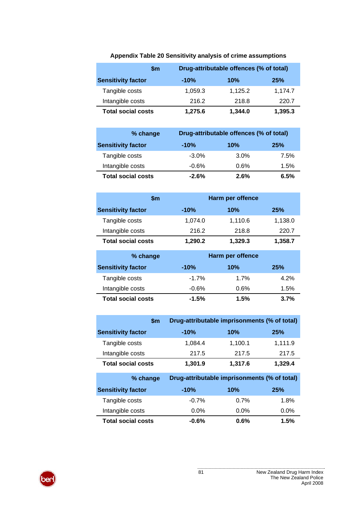| \$m                       |         | Drug-attributable offences (% of total) |         |
|---------------------------|---------|-----------------------------------------|---------|
| <b>Sensitivity factor</b> | $-10%$  | 10%                                     | 25%     |
| Tangible costs            | 1.059.3 | 1.125.2                                 | 1.174.7 |
| Intangible costs          | 216.2   | 218.8                                   | 220.7   |
| <b>Total social costs</b> | 1,275.6 | 1,344.0                                 | 1,395.3 |

## **Appendix Table 20 Sensitivity analysis of crime assumptions**

| % change                  | Drug-attributable offences (% of total) |      |      |
|---------------------------|-----------------------------------------|------|------|
| <b>Sensitivity factor</b> | $-10%$                                  | 10%  | 25%  |
| Tangible costs            | $-3.0\%$                                | 3.0% | 7.5% |
| Intangible costs          | $-0.6\%$                                | 0.6% | 1.5% |
| <b>Total social costs</b> | $-2.6\%$                                | 2.6% | 6.5% |

| \$m                       | Harm per offence |         |         |
|---------------------------|------------------|---------|---------|
| <b>Sensitivity factor</b> | $-10%$           | 10%     | 25%     |
| Tangible costs            | 1,074.0          | 1,110.6 | 1,138.0 |
| Intangible costs          | 216.2            | 218.8   | 220.7   |
| <b>Total social costs</b> | 1,290.2          | 1,329.3 | 1,358.7 |

| % change                  | Harm per offence |      |            |
|---------------------------|------------------|------|------------|
| <b>Sensitivity factor</b> | $-10%$           | 10%  | <b>25%</b> |
| Tangible costs            | $-1.7\%$         | 1.7% | 4.2%       |
| Intangible costs          | $-0.6%$          | 0.6% | 1.5%       |
| <b>Total social costs</b> | $-1.5%$          | 1.5% | 3.7%       |

| <b>Sm</b>                 | Drug-attributable imprisonments (% of total) |         |         |
|---------------------------|----------------------------------------------|---------|---------|
| <b>Sensitivity factor</b> | $-10%$                                       | 10%     | 25%     |
| Tangible costs            | 1,084.4                                      | 1,100.1 | 1,111.9 |
| Intangible costs          | 217.5                                        | 217.5   | 217.5   |
| <b>Total social costs</b> | 1,301.9                                      | 1,317.6 | 1,329.4 |

| % change                  | Drug-attributable imprisonments (% of total) |         |         |
|---------------------------|----------------------------------------------|---------|---------|
| <b>Sensitivity factor</b> | $-10%$                                       | 10%     | 25%     |
| Tangible costs            | $-0.7%$                                      | $0.7\%$ | 1.8%    |
| Intangible costs          | $0.0\%$                                      | $0.0\%$ | $0.0\%$ |
| <b>Total social costs</b> | $-0.6%$                                      | 0.6%    | 1.5%    |

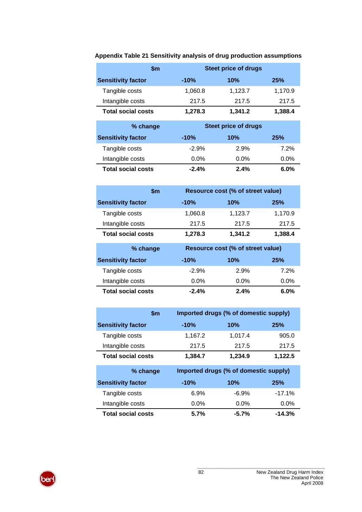|                           | \$m     | <b>Steet price of drugs</b> |         |  |
|---------------------------|---------|-----------------------------|---------|--|
| <b>Sensitivity factor</b> | $-10%$  | 10%                         | 25%     |  |
| Tangible costs            | 1,060.8 | 1,123.7                     | 1,170.9 |  |
| Intangible costs          | 217.5   | 217.5                       | 217.5   |  |
| <b>Total social costs</b> | 1,278.3 | 1,341.2                     | 1,388.4 |  |

**Appendix Table 21 Sensitivity analysis of drug production assumptions** 

| % change                  | <b>Steet price of drugs</b> |         |      |
|---------------------------|-----------------------------|---------|------|
| <b>Sensitivity factor</b> | $-10%$                      | 10%     | 25%  |
| Tangible costs            | $-2.9%$                     | 2.9%    | 7.2% |
| Intangible costs          | $0.0\%$                     | $0.0\%$ | 0.0% |
| <b>Total social costs</b> | $-2.4\%$                    | 2.4%    | 6.0% |

| \$m                       |         | Resource cost (% of street value) |         |  |
|---------------------------|---------|-----------------------------------|---------|--|
| <b>Sensitivity factor</b> | $-10%$  | 10%                               | 25%     |  |
| Tangible costs            | 1,060.8 | 1,123.7                           | 1,170.9 |  |
| Intangible costs          | 217.5   | 217.5                             | 217.5   |  |
| <b>Total social costs</b> | 1,278.3 | 1,341.2                           | 1,388.4 |  |

| % change                  | Resource cost (% of street value) |         |         |
|---------------------------|-----------------------------------|---------|---------|
| <b>Sensitivity factor</b> | $-10%$                            | 10%     | 25%     |
| Tangible costs            | $-2.9%$                           | 2.9%    | $7.2\%$ |
| Intangible costs          | $0.0\%$                           | $0.0\%$ | $0.0\%$ |
| <b>Total social costs</b> | $-2.4\%$                          | 2.4%    | $6.0\%$ |

| \$m                       | Imported drugs (% of domestic supply) |         |         |
|---------------------------|---------------------------------------|---------|---------|
| <b>Sensitivity factor</b> | $-10%$                                | 10%     | 25%     |
| Tangible costs            | 1,167.2                               | 1,017.4 | 905.0   |
| Intangible costs          | 217.5                                 | 217.5   | 217.5   |
| <b>Total social costs</b> | 1,384.7                               | 1,234.9 | 1,122.5 |

| % change                  | Imported drugs (% of domestic supply) |          |          |
|---------------------------|---------------------------------------|----------|----------|
| <b>Sensitivity factor</b> | $-10%$                                | 10%      | 25%      |
| Tangible costs            | 6.9%                                  | $-6.9%$  | $-17.1%$ |
| Intangible costs          | $0.0\%$                               | $0.0\%$  | $0.0\%$  |
| <b>Total social costs</b> | 5.7%                                  | $-5.7\%$ | $-14.3%$ |

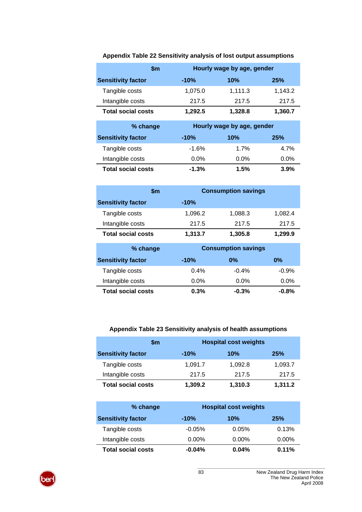| \$m                       |         | Hourly wage by age, gender |         |
|---------------------------|---------|----------------------------|---------|
| <b>Sensitivity factor</b> | $-10%$  | 10%                        | 25%     |
| Tangible costs            | 1,075.0 | 1,111.3                    | 1,143.2 |
| Intangible costs          | 217.5   | 217.5                      | 217.5   |
| <b>Total social costs</b> | 1,292.5 | 1,328.8                    | 1,360.7 |

## **Appendix Table 22 Sensitivity analysis of lost output assumptions**

| % change                  | Hourly wage by age, gender |         |         |  |  |  |
|---------------------------|----------------------------|---------|---------|--|--|--|
| <b>Sensitivity factor</b> | $-10%$                     | 10%     | 25%     |  |  |  |
| Tangible costs            | $-1.6%$                    | 1.7%    | 4.7%    |  |  |  |
| Intangible costs          | $0.0\%$                    | $0.0\%$ | $0.0\%$ |  |  |  |
| <b>Total social costs</b> | $-1.3%$                    | 1.5%    | 3.9%    |  |  |  |

| \$m                       |         | <b>Consumption savings</b> |         |
|---------------------------|---------|----------------------------|---------|
| <b>Sensitivity factor</b> | $-10%$  |                            |         |
| Tangible costs            | 1,096.2 | 1,088.3                    | 1,082.4 |
| Intangible costs          | 217.5   | 217.5                      | 217.5   |
| <b>Total social costs</b> | 1,313.7 | 1,305.8                    | 1,299.9 |

| % change                  |         | <b>Consumption savings</b> |          |
|---------------------------|---------|----------------------------|----------|
| <b>Sensitivity factor</b> | $-10%$  | $0\%$                      | $0\%$    |
| Tangible costs            | $0.4\%$ | $-0.4%$                    | $-0.9%$  |
| Intangible costs          | $0.0\%$ | $0.0\%$                    | $0.0\%$  |
| <b>Total social costs</b> | $0.3\%$ | $-0.3%$                    | $-0.8\%$ |

### **Appendix Table 23 Sensitivity analysis of health assumptions**

<span id="page-88-0"></span>

| \$m                       |         | <b>Hospital cost weights</b> |         |
|---------------------------|---------|------------------------------|---------|
| <b>Sensitivity factor</b> | $-10%$  | 10%                          | 25%     |
| Tangible costs            | 1,091.7 | 1,092.8                      | 1,093.7 |
| Intangible costs          | 217.5   | 217.5                        | 217.5   |
| <b>Total social costs</b> | 1,309.2 | 1,310.3                      | 1,311.2 |

| % change                  | <b>Hospital cost weights</b> |          |          |
|---------------------------|------------------------------|----------|----------|
| <b>Sensitivity factor</b> | $-10%$                       | 10%      | 25%      |
| Tangible costs            | $-0.05\%$                    | 0.05%    | 0.13%    |
| Intangible costs          | $0.00\%$                     | $0.00\%$ | $0.00\%$ |
| <b>Total social costs</b> | $-0.04\%$                    | 0.04%    | 0.11%    |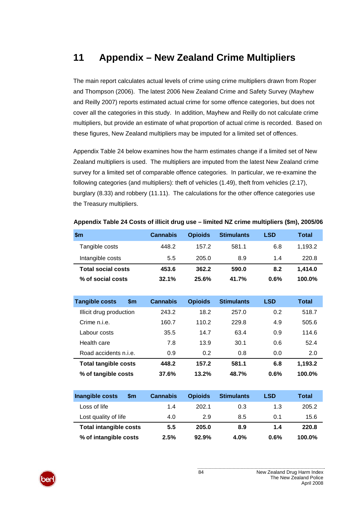# **11 Appendix – New Zealand Crime Multipliers**

The main report calculates actual levels of crime using crime multipliers drawn from Roper and Thompson (2006). The latest 2006 New Zealand Crime and Safety Survey (Mayhew and Reilly 2007) reports estimated actual crime for some offence categories, but does not cover all the categories in this study. In addition, Mayhew and Reilly do not calculate crime multipliers, but provide an estimate of what proportion of actual crime is recorded. Based on these figures, New Zealand multipliers may be imputed for a limited set of offences.

[Appendix Table 24](#page-89-0) [below](#page-89-0) examines how the harm estimates change if a limited set of New Zealand multipliers is used. The multipliers are imputed from the latest New Zealand crime survey for a limited set of comparable offence categories. In particular, we re-examine the following categories (and multipliers): theft of vehicles (1.49), theft from vehicles (2.17), burglary (8.33) and robbery (11.11). The calculations for the other offence categories use the Treasury multipliers.

<span id="page-89-0"></span>

| \$m                       | <b>Cannabis</b> | <b>Opioids</b> | <b>Stimulants</b> | LSD  | Total     |
|---------------------------|-----------------|----------------|-------------------|------|-----------|
| Tangible costs            | 448.2           | 157.2          | 581.1             | 6.8  | 1,193.2   |
| Intangible costs          | 5.5             | 205.0          | 8.9               | 1.4  | 220.8     |
| <b>Total social costs</b> | 453.6           | 362.2          | 590.0             | 8.2  | 1.414.0   |
| % of social costs         | 32.1%           | 25.6%          | 41.7%             | 0.6% | $100.0\%$ |

**Appendix Table 24 Costs of illicit drug use – limited NZ crime multipliers (\$m), 2005/06** 

| <b>Tangible costs</b><br>\$m | <b>Cannabis</b> | <b>Opioids</b> | <b>Stimulants</b> | <b>LSD</b> | <b>Total</b> |
|------------------------------|-----------------|----------------|-------------------|------------|--------------|
| Illicit drug production      | 243.2           | 18.2           | 257.0             | 0.2        | 518.7        |
| Crime n.i.e.                 | 160.7           | 110.2          | 229.8             | 4.9        | 505.6        |
| Labour costs                 | 35.5            | 14.7           | 63.4              | 0.9        | 114.6        |
| Health care                  | 7.8             | 13.9           | 30.1              | 0.6        | 52.4         |
| Road accidents n.i.e.        | 0.9             | 0.2            | 0.8               | 0.0        | 2.0          |
| <b>Total tangible costs</b>  | 448.2           | 157.2          | 581.1             | 6.8        | 1,193.2      |
| % of tangible costs          | 37.6%           | 13.2%          | 48.7%             | 0.6%       | 100.0%       |

| Inangible costs<br><b>Sm</b>  | <b>Cannabis</b> | <b>Opioids</b> | <b>Stimulants</b> | <b>LSD</b> | Total     |
|-------------------------------|-----------------|----------------|-------------------|------------|-----------|
| Loss of life                  | 1.4             | 202.1          | 0.3               | 1.3        | 205.2     |
| Lost quality of life          | 4.0             | 2.9            | 8.5               | 0.1        | 15.6      |
| <b>Total intangible costs</b> | 5.5             | 205.0          | 8.9               | 1.4        | 220.8     |
| % of intangible costs         | 2.5%            | 92.9%          | 4.0%              | 0.6%       | $100.0\%$ |

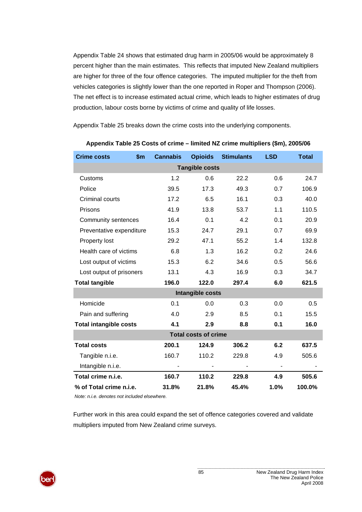[Appendix Table 24](#page-89-0) shows that estimated drug harm in 2005/06 would be approximately 8 percent higher than the main estimates. This reflects that imputed New Zealand multipliers are higher for three of the four offence categories. The imputed multiplier for the theft from vehicles categories is slightly lower than the one reported in Roper and Thompson (2006). The net effect is to increase estimated actual crime, which leads to higher estimates of drug production, labour costs borne by victims of crime and quality of life losses.

[Appendix Table 25](#page-90-0) breaks down the crime costs into the underlying components.

<span id="page-90-0"></span>

| <b>Crime costs</b>            | $\mathsf{sm}$ | <b>Cannabis</b> | <b>Opioids</b>   | <b>Stimulants</b> | <b>LSD</b> | <b>Total</b> |  |
|-------------------------------|---------------|-----------------|------------------|-------------------|------------|--------------|--|
| <b>Tangible costs</b>         |               |                 |                  |                   |            |              |  |
| Customs                       |               | 1.2             | 0.6              | 22.2              | 0.6        | 24.7         |  |
| Police                        |               | 39.5            | 17.3             | 49.3              | 0.7        | 106.9        |  |
| Criminal courts               |               | 17.2            | 6.5              | 16.1              | 0.3        | 40.0         |  |
| Prisons                       |               | 41.9            | 13.8             | 53.7              | 1.1        | 110.5        |  |
| Community sentences           |               | 16.4            | 0.1              | 4.2               | 0.1        | 20.9         |  |
| Preventative expenditure      |               | 15.3            | 24.7             | 29.1              | 0.7        | 69.9         |  |
| Property lost                 |               | 29.2            | 47.1             | 55.2              | 1.4        | 132.8        |  |
| Health care of victims        |               | 6.8             | 1.3              | 16.2              | 0.2        | 24.6         |  |
| Lost output of victims        |               | 15.3            | 6.2              | 34.6              | 0.5        | 56.6         |  |
| Lost output of prisoners      |               | 13.1            | 4.3              | 16.9              | 0.3        | 34.7         |  |
| <b>Total tangible</b>         |               | 196.0           | 122.0            | 297.4             | 6.0        | 621.5        |  |
|                               |               |                 | Intangible costs |                   |            |              |  |
| Homicide                      |               | 0.1             | 0.0              | 0.3               | 0.0        | 0.5          |  |
| Pain and suffering            |               | 4.0             | 2.9              | 8.5               | 0.1        | 15.5         |  |
| <b>Total intangible costs</b> |               | 4.1             | 2.9              | 8.8               | 0.1        | 16.0         |  |
| <b>Total costs of crime</b>   |               |                 |                  |                   |            |              |  |
| <b>Total costs</b>            |               | 200.1           | 124.9            | 306.2             | 6.2        | 637.5        |  |
| Tangible n.i.e.               |               | 160.7           | 110.2            | 229.8             | 4.9        | 505.6        |  |
| Intangible n.i.e.             |               |                 |                  |                   |            |              |  |
| Total crime n.i.e.            |               | 160.7           | 110.2            | 229.8             | 4.9        | 505.6        |  |
| % of Total crime n.i.e.       |               | 31.8%           | 21.8%            | 45.4%             | 1.0%       | 100.0%       |  |

#### **Appendix Table 25 Costs of crime – limited NZ crime multipliers (\$m), 2005/06**

*Note: n.i.e. denotes not included elsewhere.*

Further work in this area could expand the set of offence categories covered and validate multipliers imputed from New Zealand crime surveys.